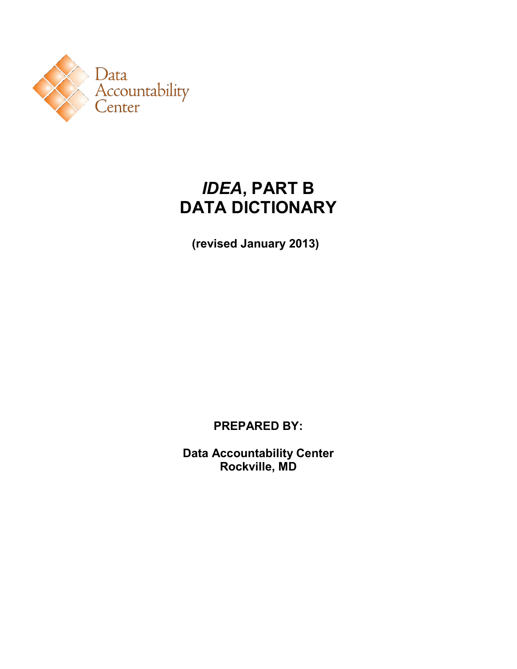

# *IDEA***, PART B DATA DICTIONARY**

**(revised January 2013)** 

**PREPARED BY:**

**Data Accountability Center Rockville, MD**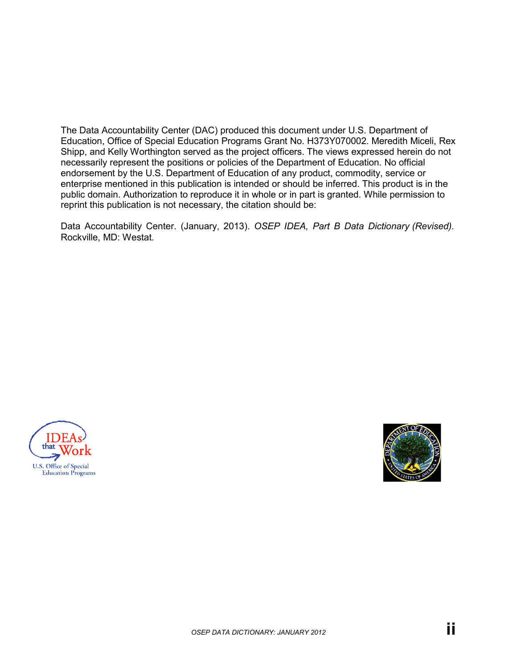The Data Accountability Center (DAC) produced this document under U.S. Department of Education, Office of Special Education Programs Grant No. H373Y070002. Meredith Miceli, Rex Shipp, and Kelly Worthington served as the project officers. The views expressed herein do not necessarily represent the positions or policies of the Department of Education. No official endorsement by the U.S. Department of Education of any product, commodity, service or enterprise mentioned in this publication is intended or should be inferred. This product is in the public domain. Authorization to reproduce it in whole or in part is granted. While permission to reprint this publication is not necessary, the citation should be:

Data Accountability Center. (January, 2013). *OSEP IDEA, Part B Data Dictionary (Revised).*  Rockville, MD: Westat.



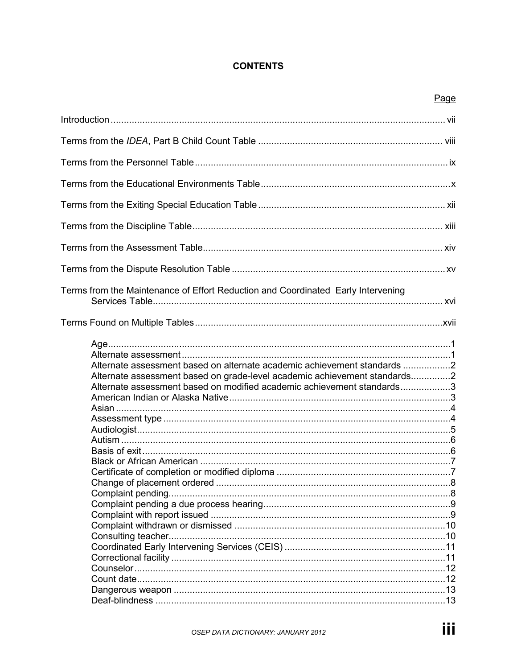#### **CONTENTS**

|                                                                                                                                                                                                                                 | Page |
|---------------------------------------------------------------------------------------------------------------------------------------------------------------------------------------------------------------------------------|------|
|                                                                                                                                                                                                                                 |      |
|                                                                                                                                                                                                                                 |      |
|                                                                                                                                                                                                                                 |      |
|                                                                                                                                                                                                                                 |      |
|                                                                                                                                                                                                                                 |      |
|                                                                                                                                                                                                                                 |      |
|                                                                                                                                                                                                                                 |      |
|                                                                                                                                                                                                                                 |      |
| Terms from the Maintenance of Effort Reduction and Coordinated Early Intervening                                                                                                                                                |      |
|                                                                                                                                                                                                                                 |      |
| Alternate assessment based on alternate academic achievement standards 2<br>Alternate assessment based on grade-level academic achievement standards2<br>Alternate assessment based on modified academic achievement standards3 |      |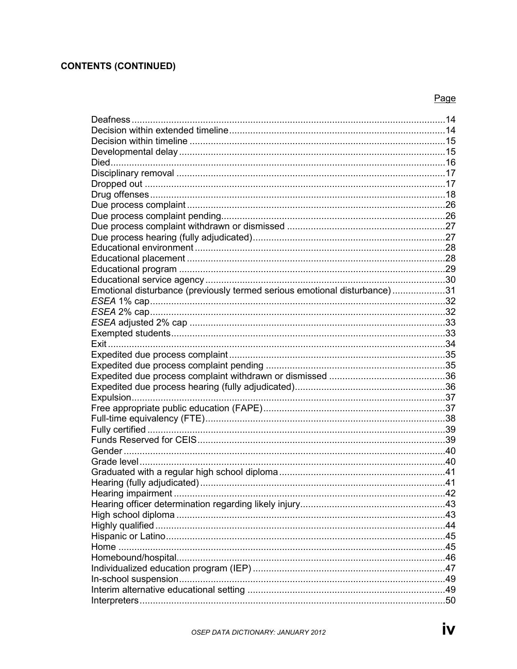### **CONTENTS (CONTINUED)**

| Emotional disturbance (previously termed serious emotional disturbance)31 |  |
|---------------------------------------------------------------------------|--|
|                                                                           |  |
|                                                                           |  |
|                                                                           |  |
|                                                                           |  |
|                                                                           |  |
|                                                                           |  |
|                                                                           |  |
|                                                                           |  |
|                                                                           |  |
|                                                                           |  |
|                                                                           |  |
|                                                                           |  |
|                                                                           |  |
|                                                                           |  |
|                                                                           |  |
|                                                                           |  |
|                                                                           |  |
|                                                                           |  |
|                                                                           |  |
|                                                                           |  |
|                                                                           |  |
|                                                                           |  |
|                                                                           |  |
|                                                                           |  |
|                                                                           |  |
|                                                                           |  |
|                                                                           |  |
|                                                                           |  |
|                                                                           |  |
|                                                                           |  |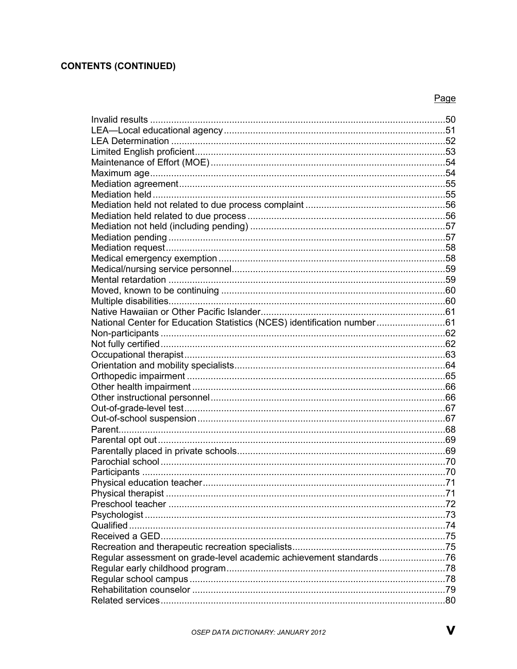### **CONTENTS (CONTINUED)**

| National Center for Education Statistics (NCES) identification number61 |  |
|-------------------------------------------------------------------------|--|
|                                                                         |  |
|                                                                         |  |
|                                                                         |  |
|                                                                         |  |
|                                                                         |  |
|                                                                         |  |
|                                                                         |  |
|                                                                         |  |
|                                                                         |  |
|                                                                         |  |
|                                                                         |  |
|                                                                         |  |
|                                                                         |  |
|                                                                         |  |
|                                                                         |  |
|                                                                         |  |
|                                                                         |  |
|                                                                         |  |
|                                                                         |  |
|                                                                         |  |
|                                                                         |  |
| Regular assessment on grade-level academic achievement standards76      |  |
|                                                                         |  |
|                                                                         |  |
|                                                                         |  |
|                                                                         |  |
|                                                                         |  |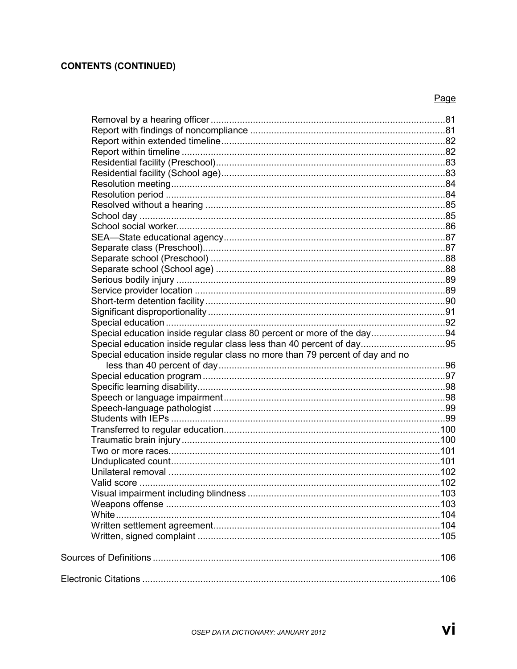### **CONTENTS (CONTINUED)**

| Special education inside regular class 80 percent or more of the day94       |  |
|------------------------------------------------------------------------------|--|
| Special education inside regular class less than 40 percent of day95         |  |
| Special education inside regular class no more than 79 percent of day and no |  |
|                                                                              |  |
|                                                                              |  |
|                                                                              |  |
|                                                                              |  |
|                                                                              |  |
|                                                                              |  |
|                                                                              |  |
|                                                                              |  |
|                                                                              |  |
|                                                                              |  |
|                                                                              |  |
|                                                                              |  |
|                                                                              |  |
|                                                                              |  |
|                                                                              |  |
|                                                                              |  |
|                                                                              |  |
|                                                                              |  |
|                                                                              |  |
|                                                                              |  |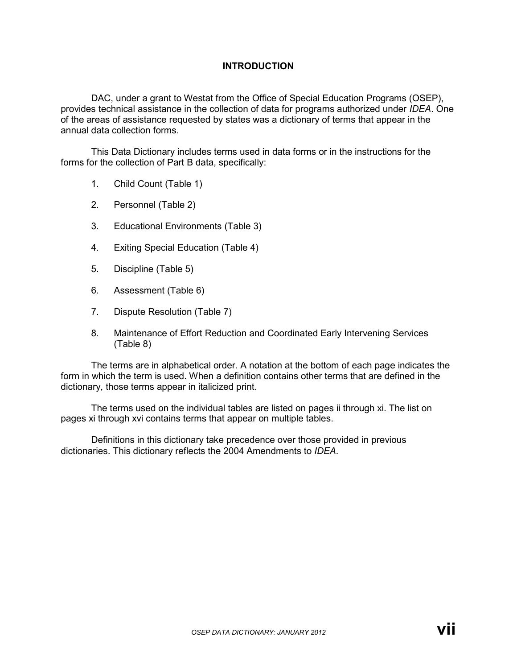#### **INTRODUCTION**

DAC, under a grant to Westat from the Office of Special Education Programs (OSEP), provides technical assistance in the collection of data for programs authorized under *IDEA*. One of the areas of assistance requested by states was a dictionary of terms that appear in the annual data collection forms.

This Data Dictionary includes terms used in data forms or in the instructions for the forms for the collection of Part B data, specifically:

- 1. Child Count (Table 1)
- 2. Personnel (Table 2)
- 3. Educational Environments (Table 3)
- 4. Exiting Special Education (Table 4)
- 5. Discipline (Table 5)
- 6. Assessment (Table 6)
- 7. Dispute Resolution (Table 7)
- 8. Maintenance of Effort Reduction and Coordinated Early Intervening Services (Table 8)

The terms are in alphabetical order. A notation at the bottom of each page indicates the form in which the term is used. When a definition contains other terms that are defined in the dictionary, those terms appear in italicized print.

The terms used on the individual tables are listed on pages ii through xi. The list on pages xi through xvi contains terms that appear on multiple tables.

Definitions in this dictionary take precedence over those provided in previous dictionaries. This dictionary reflects the 2004 Amendments to *IDEA*.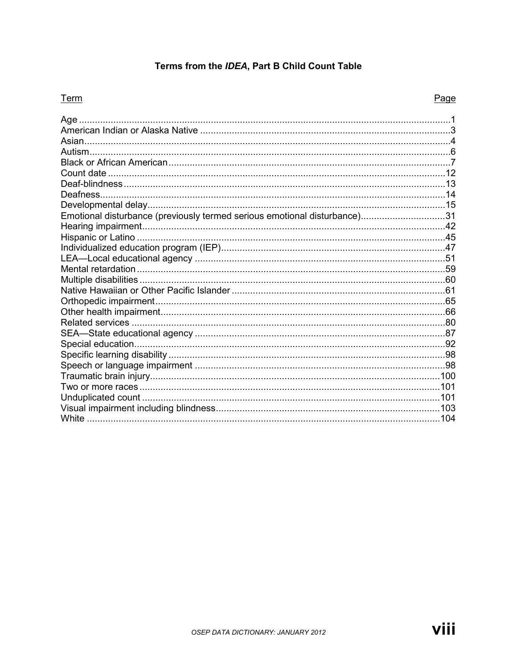### Terms from the IDEA, Part B Child Count Table

#### Term

| Age                                                                       |  |
|---------------------------------------------------------------------------|--|
|                                                                           |  |
|                                                                           |  |
|                                                                           |  |
|                                                                           |  |
|                                                                           |  |
|                                                                           |  |
|                                                                           |  |
|                                                                           |  |
| Emotional disturbance (previously termed serious emotional disturbance)31 |  |
|                                                                           |  |
|                                                                           |  |
|                                                                           |  |
|                                                                           |  |
|                                                                           |  |
|                                                                           |  |
|                                                                           |  |
|                                                                           |  |
|                                                                           |  |
|                                                                           |  |
|                                                                           |  |
|                                                                           |  |
|                                                                           |  |
|                                                                           |  |
|                                                                           |  |
|                                                                           |  |
|                                                                           |  |
|                                                                           |  |
|                                                                           |  |
|                                                                           |  |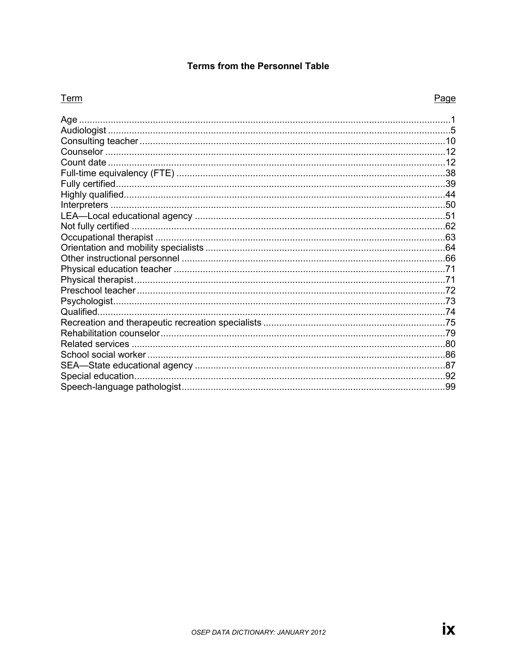#### **Terms from the Personnel Table**

#### Term

| Age                     |     |
|-------------------------|-----|
|                         |     |
|                         |     |
|                         |     |
|                         |     |
|                         |     |
|                         |     |
|                         |     |
|                         |     |
|                         |     |
|                         |     |
|                         |     |
|                         |     |
|                         |     |
|                         |     |
|                         |     |
|                         |     |
| Qualified.              |     |
|                         |     |
|                         |     |
| <b>Related services</b> |     |
|                         |     |
|                         |     |
|                         |     |
|                         | .99 |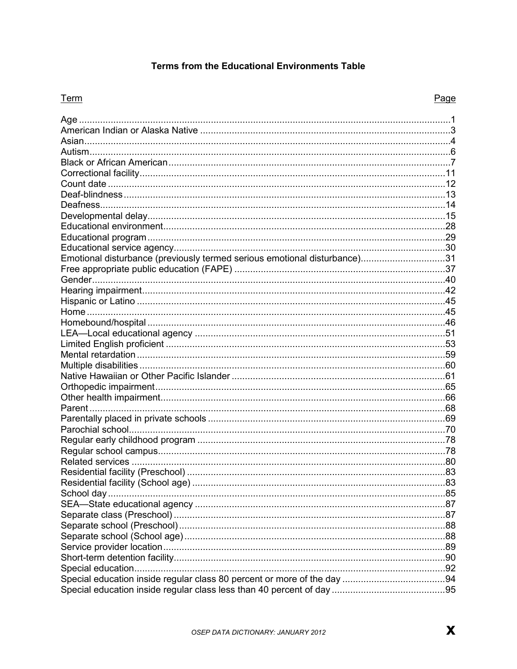#### Terms from the Educational Environments Table

#### Term

| Emotional disturbance (previously termed serious emotional disturbance)31 |
|---------------------------------------------------------------------------|
|                                                                           |
|                                                                           |
|                                                                           |
|                                                                           |
|                                                                           |
|                                                                           |
|                                                                           |
|                                                                           |
|                                                                           |
|                                                                           |
|                                                                           |
|                                                                           |
|                                                                           |
|                                                                           |
|                                                                           |
|                                                                           |
|                                                                           |
|                                                                           |
|                                                                           |
|                                                                           |
|                                                                           |
|                                                                           |
|                                                                           |
|                                                                           |
|                                                                           |
|                                                                           |
|                                                                           |
|                                                                           |
|                                                                           |
|                                                                           |
|                                                                           |
|                                                                           |
|                                                                           |
|                                                                           |
|                                                                           |
|                                                                           |
|                                                                           |
|                                                                           |
|                                                                           |
|                                                                           |
|                                                                           |
|                                                                           |
|                                                                           |
|                                                                           |
|                                                                           |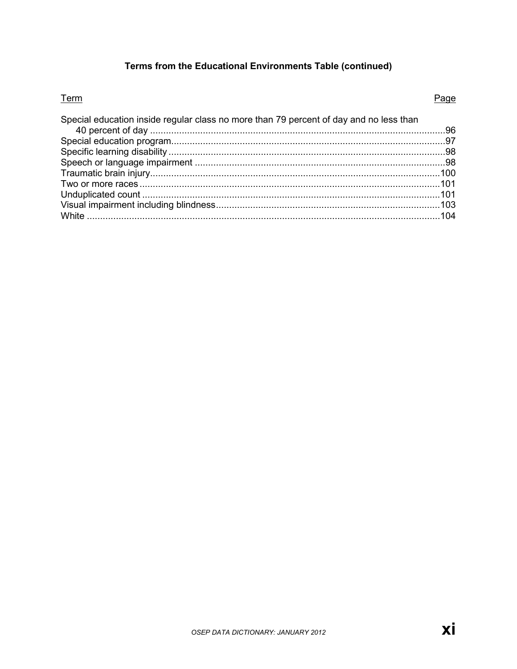### Terms from the Educational Environments Table (continued)

#### Term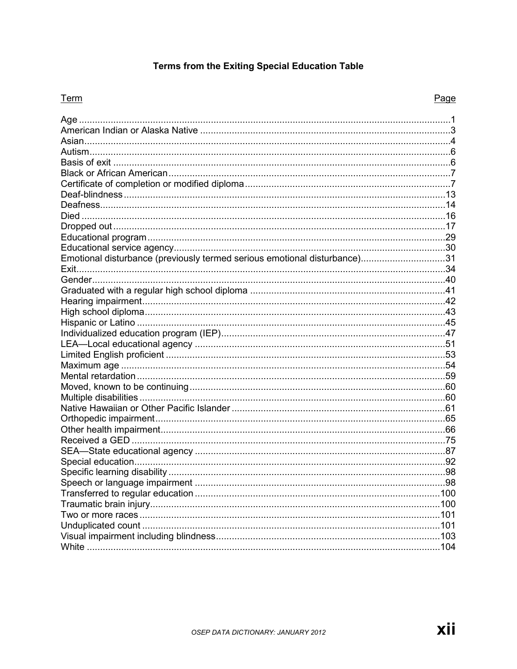### **Terms from the Exiting Special Education Table**

#### Term

| Emotional disturbance (previously termed serious emotional disturbance)31 |  |
|---------------------------------------------------------------------------|--|
|                                                                           |  |
|                                                                           |  |
|                                                                           |  |
|                                                                           |  |
|                                                                           |  |
|                                                                           |  |
|                                                                           |  |
|                                                                           |  |
|                                                                           |  |
|                                                                           |  |
|                                                                           |  |
|                                                                           |  |
|                                                                           |  |
|                                                                           |  |
|                                                                           |  |
|                                                                           |  |
|                                                                           |  |
|                                                                           |  |
|                                                                           |  |
|                                                                           |  |
|                                                                           |  |
|                                                                           |  |
|                                                                           |  |
|                                                                           |  |
|                                                                           |  |
|                                                                           |  |
|                                                                           |  |
|                                                                           |  |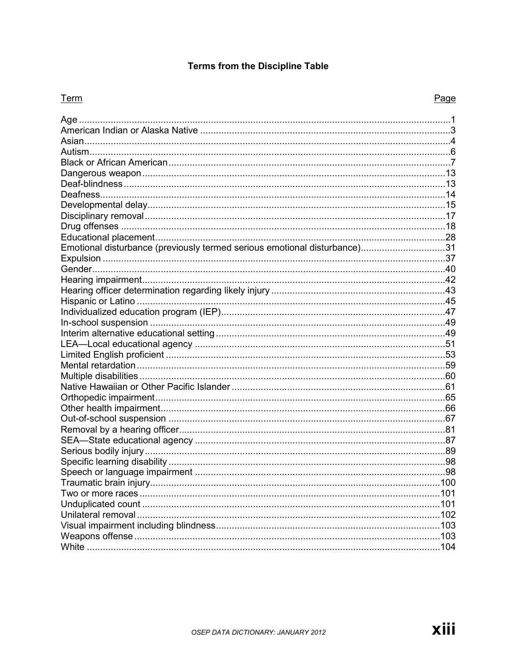### **Terms from the Discipline Table**

#### Term

| Emotional disturbance (previously termed serious emotional disturbance)31 |  |
|---------------------------------------------------------------------------|--|
|                                                                           |  |
|                                                                           |  |
|                                                                           |  |
|                                                                           |  |
|                                                                           |  |
|                                                                           |  |
|                                                                           |  |
|                                                                           |  |
|                                                                           |  |
|                                                                           |  |
|                                                                           |  |
|                                                                           |  |
|                                                                           |  |
|                                                                           |  |
|                                                                           |  |
|                                                                           |  |
|                                                                           |  |
|                                                                           |  |
|                                                                           |  |
|                                                                           |  |
|                                                                           |  |
|                                                                           |  |
|                                                                           |  |
|                                                                           |  |
|                                                                           |  |
|                                                                           |  |
|                                                                           |  |
|                                                                           |  |
|                                                                           |  |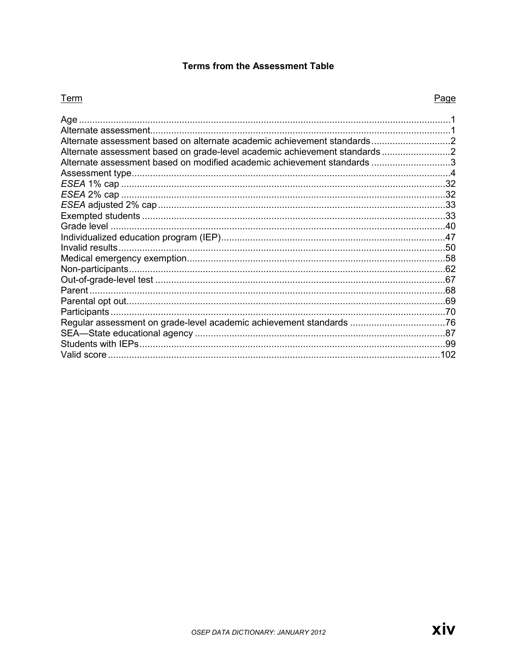#### **Terms from the Assessment Table**

#### Term

| Age                                                                      |     |
|--------------------------------------------------------------------------|-----|
|                                                                          |     |
| Alternate assessment based on alternate academic achievement standards   |     |
| Alternate assessment based on grade-level academic achievement standards |     |
| Alternate assessment based on modified academic achievement standards 3  |     |
|                                                                          |     |
|                                                                          | .32 |
|                                                                          |     |
|                                                                          |     |
|                                                                          |     |
|                                                                          |     |
|                                                                          |     |
|                                                                          |     |
|                                                                          |     |
|                                                                          |     |
|                                                                          |     |
|                                                                          |     |
|                                                                          |     |
|                                                                          |     |
|                                                                          |     |
|                                                                          |     |
|                                                                          |     |
| Valid score                                                              | 102 |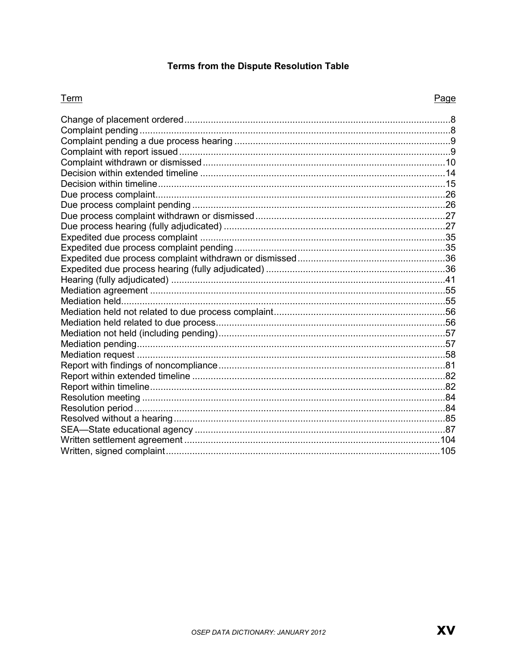### Terms from the Dispute Resolution Table

#### Term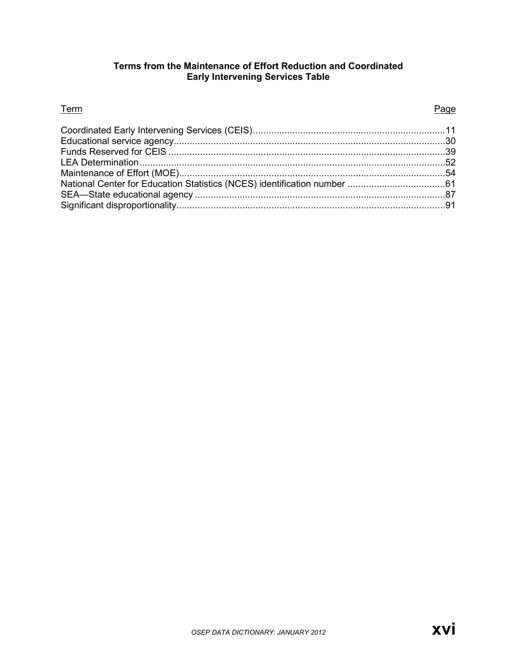#### **Terms from the Maintenance of Effort Reduction and Coordinated Early Intervening Services Table**

#### **Term Page 2018**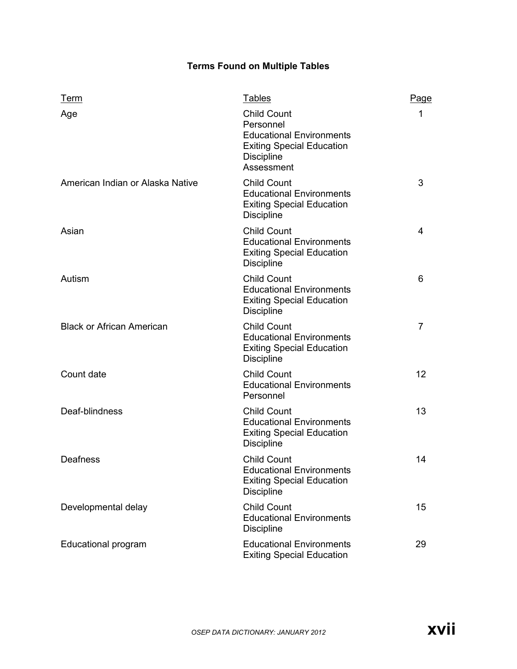#### **Terms Found on Multiple Tables**

| Term                             | <b>Tables</b>                                                                                                                             | Page              |
|----------------------------------|-------------------------------------------------------------------------------------------------------------------------------------------|-------------------|
| Age                              | <b>Child Count</b><br>Personnel<br><b>Educational Environments</b><br><b>Exiting Special Education</b><br><b>Discipline</b><br>Assessment | 1                 |
| American Indian or Alaska Native | <b>Child Count</b><br><b>Educational Environments</b><br><b>Exiting Special Education</b><br><b>Discipline</b>                            | 3                 |
| Asian                            | <b>Child Count</b><br><b>Educational Environments</b><br><b>Exiting Special Education</b><br><b>Discipline</b>                            | 4                 |
| Autism                           | <b>Child Count</b><br><b>Educational Environments</b><br><b>Exiting Special Education</b><br><b>Discipline</b>                            | 6                 |
| <b>Black or African American</b> | <b>Child Count</b><br><b>Educational Environments</b><br><b>Exiting Special Education</b><br><b>Discipline</b>                            | 7                 |
| Count date                       | <b>Child Count</b><br><b>Educational Environments</b><br>Personnel                                                                        | $12 \overline{ }$ |
| Deaf-blindness                   | <b>Child Count</b><br><b>Educational Environments</b><br><b>Exiting Special Education</b><br><b>Discipline</b>                            | 13                |
| Deafness                         | <b>Child Count</b><br><b>Educational Environments</b><br><b>Exiting Special Education</b><br><b>Discipline</b>                            | 14                |
| Developmental delay              | <b>Child Count</b><br><b>Educational Environments</b><br><b>Discipline</b>                                                                | 15 <sub>1</sub>   |
| Educational program              | <b>Educational Environments</b><br><b>Exiting Special Education</b>                                                                       | 29                |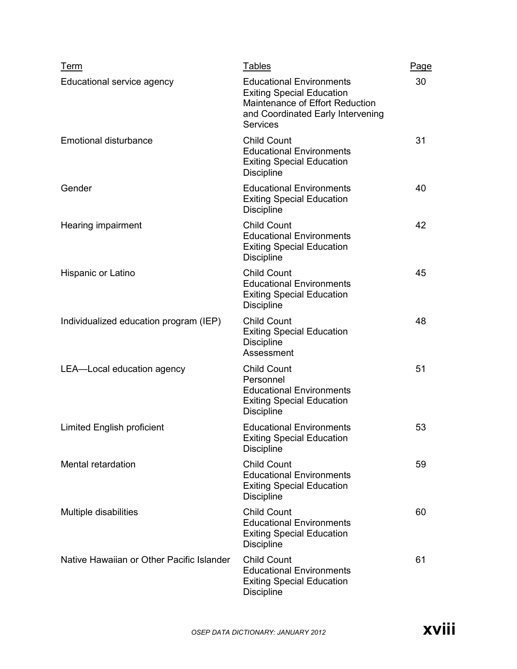| Term                                      | <b>Tables</b>                                                                                                                                                  | <b>Page</b> |
|-------------------------------------------|----------------------------------------------------------------------------------------------------------------------------------------------------------------|-------------|
| Educational service agency                | <b>Educational Environments</b><br><b>Exiting Special Education</b><br>Maintenance of Effort Reduction<br>and Coordinated Early Intervening<br><b>Services</b> | 30          |
| <b>Emotional disturbance</b>              | <b>Child Count</b><br><b>Educational Environments</b><br><b>Exiting Special Education</b><br><b>Discipline</b>                                                 | 31          |
| Gender                                    | <b>Educational Environments</b><br><b>Exiting Special Education</b><br><b>Discipline</b>                                                                       | 40          |
| Hearing impairment                        | <b>Child Count</b><br><b>Educational Environments</b><br><b>Exiting Special Education</b><br><b>Discipline</b>                                                 | 42          |
| Hispanic or Latino                        | <b>Child Count</b><br><b>Educational Environments</b><br><b>Exiting Special Education</b><br><b>Discipline</b>                                                 | 45          |
| Individualized education program (IEP)    | <b>Child Count</b><br><b>Exiting Special Education</b><br><b>Discipline</b><br>Assessment                                                                      | 48          |
| LEA-Local education agency                | <b>Child Count</b><br>Personnel<br><b>Educational Environments</b><br><b>Exiting Special Education</b><br><b>Discipline</b>                                    | 51          |
| <b>Limited English proficient</b>         | <b>Educational Environments</b><br><b>Exiting Special Education</b><br><b>Discipline</b>                                                                       | 53          |
| Mental retardation                        | <b>Child Count</b><br><b>Educational Environments</b><br><b>Exiting Special Education</b><br><b>Discipline</b>                                                 | 59          |
| Multiple disabilities                     | <b>Child Count</b><br><b>Educational Environments</b><br><b>Exiting Special Education</b><br><b>Discipline</b>                                                 | 60          |
| Native Hawaiian or Other Pacific Islander | <b>Child Count</b><br><b>Educational Environments</b><br><b>Exiting Special Education</b><br><b>Discipline</b>                                                 | 61          |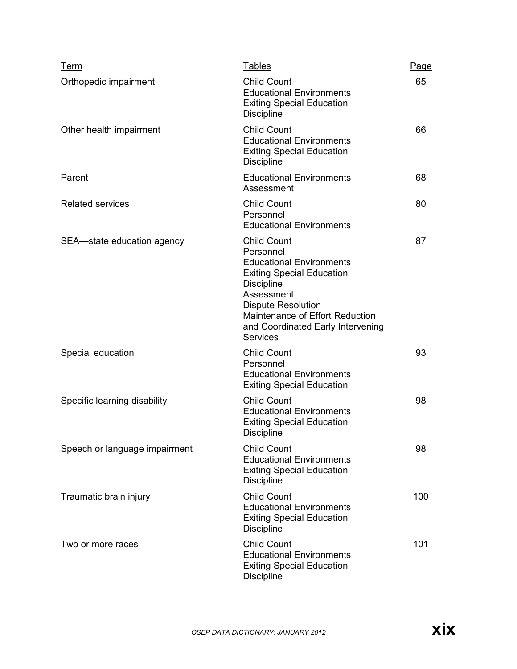| Term                          | <b>Tables</b>                                                                                                                                                                                                                                                     | <b>Page</b> |
|-------------------------------|-------------------------------------------------------------------------------------------------------------------------------------------------------------------------------------------------------------------------------------------------------------------|-------------|
| Orthopedic impairment         | <b>Child Count</b><br><b>Educational Environments</b><br><b>Exiting Special Education</b><br><b>Discipline</b>                                                                                                                                                    | 65          |
| Other health impairment       | <b>Child Count</b><br><b>Educational Environments</b><br><b>Exiting Special Education</b><br><b>Discipline</b>                                                                                                                                                    | 66          |
| Parent                        | <b>Educational Environments</b><br>Assessment                                                                                                                                                                                                                     | 68          |
| <b>Related services</b>       | <b>Child Count</b><br>Personnel<br><b>Educational Environments</b>                                                                                                                                                                                                | 80          |
| SEA-state education agency    | <b>Child Count</b><br>Personnel<br><b>Educational Environments</b><br><b>Exiting Special Education</b><br><b>Discipline</b><br>Assessment<br><b>Dispute Resolution</b><br>Maintenance of Effort Reduction<br>and Coordinated Early Intervening<br><b>Services</b> | 87          |
| Special education             | <b>Child Count</b><br>Personnel<br><b>Educational Environments</b><br><b>Exiting Special Education</b>                                                                                                                                                            | 93          |
| Specific learning disability  | <b>Child Count</b><br><b>Educational Environments</b><br><b>Exiting Special Education</b><br><b>Discipline</b>                                                                                                                                                    | 98          |
| Speech or language impairment | <b>Child Count</b><br><b>Educational Environments</b><br><b>Exiting Special Education</b><br><b>Discipline</b>                                                                                                                                                    | 98          |
| Traumatic brain injury        | <b>Child Count</b><br><b>Educational Environments</b><br><b>Exiting Special Education</b><br><b>Discipline</b>                                                                                                                                                    | 100         |
| Two or more races             | <b>Child Count</b><br><b>Educational Environments</b><br><b>Exiting Special Education</b><br><b>Discipline</b>                                                                                                                                                    | 101         |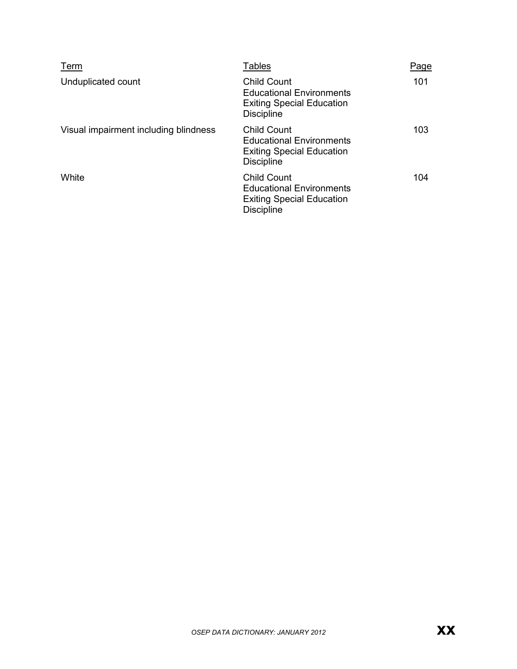| Term                                  | <b>Tables</b>                                                                                                  | Page |
|---------------------------------------|----------------------------------------------------------------------------------------------------------------|------|
| Unduplicated count                    | <b>Child Count</b><br><b>Educational Environments</b><br><b>Exiting Special Education</b><br><b>Discipline</b> | 101  |
| Visual impairment including blindness | <b>Child Count</b><br><b>Educational Environments</b><br><b>Exiting Special Education</b><br><b>Discipline</b> | 103  |
| White                                 | <b>Child Count</b><br><b>Educational Environments</b><br><b>Exiting Special Education</b><br><b>Discipline</b> | 104  |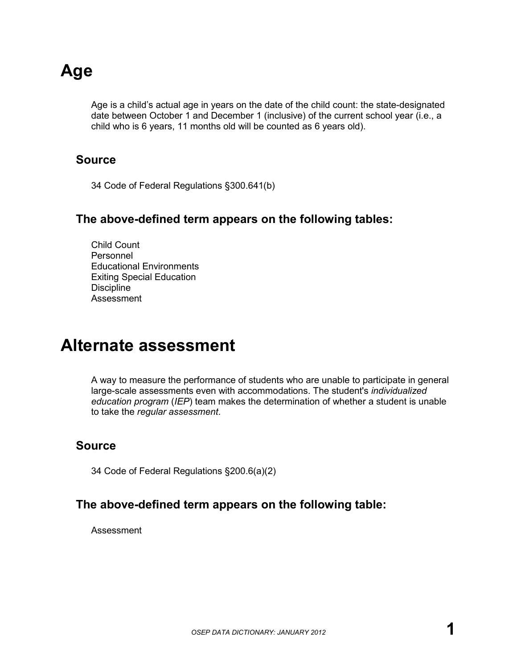# **Age**

Age is a child's actual age in years on the date of the child count: the state-designated date between October 1 and December 1 (inclusive) of the current school year (i.e., a child who is 6 years, 11 months old will be counted as 6 years old).

### **Source**

34 Code of Federal Regulations §300.641(b)

### **The above-defined term appears on the following tables:**

Child Count Personnel Educational Environments Exiting Special Education **Discipline** Assessment

### **Alternate assessment**

A way to measure the performance of students who are unable to participate in general large-scale assessments even with accommodations. The student's *individualized education program* (*IEP*) team makes the determination of whether a student is unable to take the *regular assessment*.

### **Source**

34 Code of Federal Regulations §200.6(a)(2)

### **The above-defined term appears on the following table:**

Assessment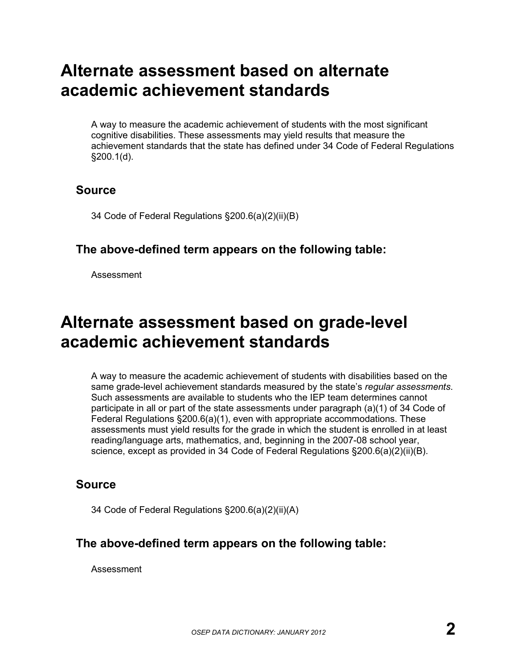# **Alternate assessment based on alternate academic achievement standards**

A way to measure the academic achievement of students with the most significant cognitive disabilities. These assessments may yield results that measure the achievement standards that the state has defined under 34 Code of Federal Regulations §200.1(d).

### **Source**

34 Code of Federal Regulations §200.6(a)(2)(ii)(B)

### **The above-defined term appears on the following table:**

Assessment

# **Alternate assessment based on grade-level academic achievement standards**

A way to measure the academic achievement of students with disabilities based on the same grade-level achievement standards measured by the state's *regular assessments*. Such assessments are available to students who the IEP team determines cannot participate in all or part of the state assessments under paragraph (a)(1) of 34 Code of Federal Regulations §200.6(a)(1), even with appropriate accommodations. These assessments must yield results for the grade in which the student is enrolled in at least reading/language arts, mathematics, and, beginning in the 2007-08 school year, science, except as provided in 34 Code of Federal Regulations §200.6(a)(2)(ii)(B).

### **Source**

34 Code of Federal Regulations §200.6(a)(2)(ii)(A)

### **The above-defined term appears on the following table:**

Assessment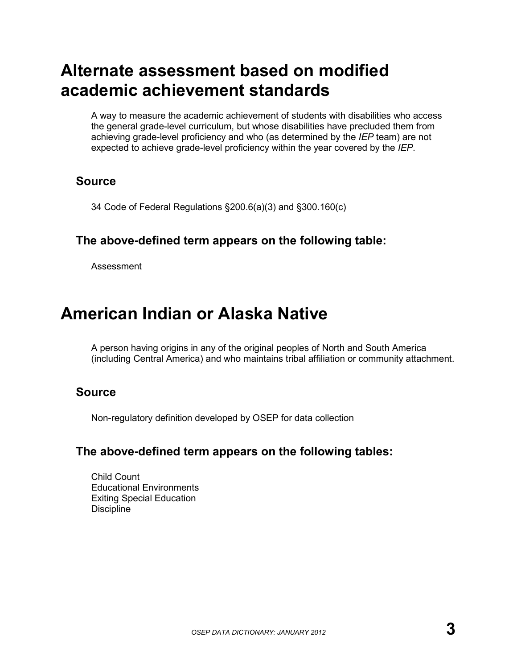# **Alternate assessment based on modified academic achievement standards**

A way to measure the academic achievement of students with disabilities who access the general grade-level curriculum, but whose disabilities have precluded them from achieving grade-level proficiency and who (as determined by the *IEP* team) are not expected to achieve grade-level proficiency within the year covered by the *IEP*.

### **Source**

34 Code of Federal Regulations §200.6(a)(3) and §300.160(c)

### **The above-defined term appears on the following table:**

Assessment

# **American Indian or Alaska Native**

A person having origins in any of the original peoples of North and South America (including Central America) and who maintains tribal affiliation or community attachment.

### **Source**

Non-regulatory definition developed by OSEP for data collection

### **The above-defined term appears on the following tables:**

Child Count Educational Environments Exiting Special Education **Discipline**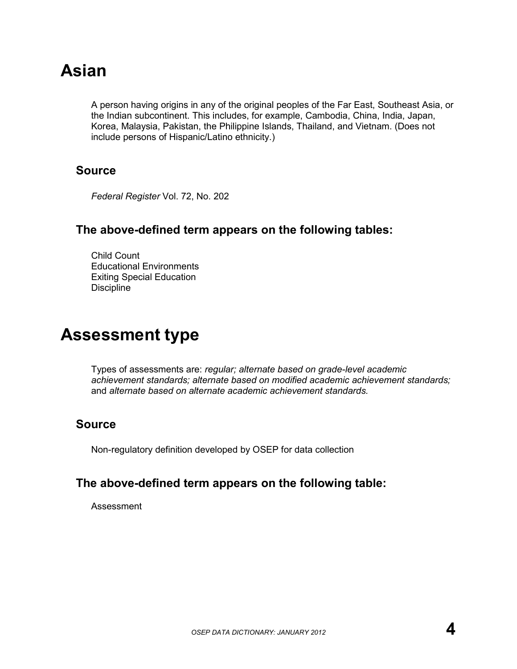# **Asian**

A person having origins in any of the original peoples of the Far East, Southeast Asia, or the Indian subcontinent. This includes, for example, Cambodia, China, India, Japan, Korea, Malaysia, Pakistan, the Philippine Islands, Thailand, and Vietnam. (Does not include persons of Hispanic/Latino ethnicity.)

### **Source**

*Federal Register* Vol. 72, No. 202

### **The above-defined term appears on the following tables:**

Child Count Educational Environments Exiting Special Education **Discipline** 

# **Assessment type**

Types of assessments are: *regular; alternate based on grade-level academic achievement standards; alternate based on modified academic achievement standards;*  and *alternate based on alternate academic achievement standards.*

### **Source**

Non-regulatory definition developed by OSEP for data collection

### **The above-defined term appears on the following table:**

Assessment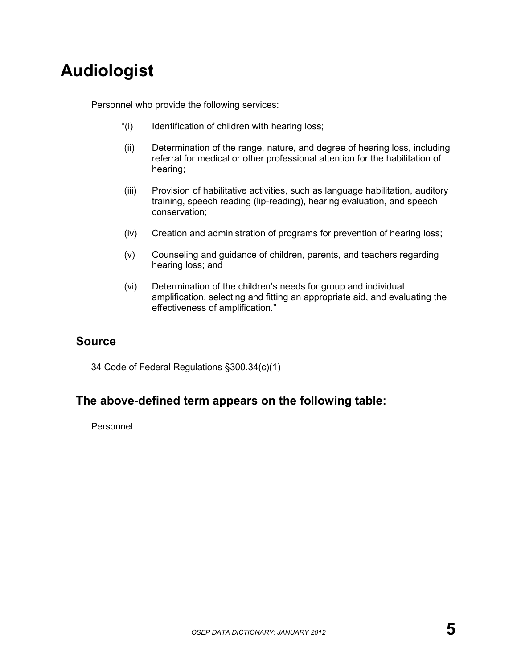# **Audiologist**

Personnel who provide the following services:

- "(i) Identification of children with hearing loss;
- (ii) Determination of the range, nature, and degree of hearing loss, including referral for medical or other professional attention for the habilitation of hearing;
- (iii) Provision of habilitative activities, such as language habilitation, auditory training, speech reading (lip-reading), hearing evaluation, and speech conservation;
- (iv) Creation and administration of programs for prevention of hearing loss;
- (v) Counseling and guidance of children, parents, and teachers regarding hearing loss; and
- (vi) Determination of the children's needs for group and individual amplification, selecting and fitting an appropriate aid, and evaluating the effectiveness of amplification."

### **Source**

34 Code of Federal Regulations §300.34(c)(1)

### **The above-defined term appears on the following table:**

Personnel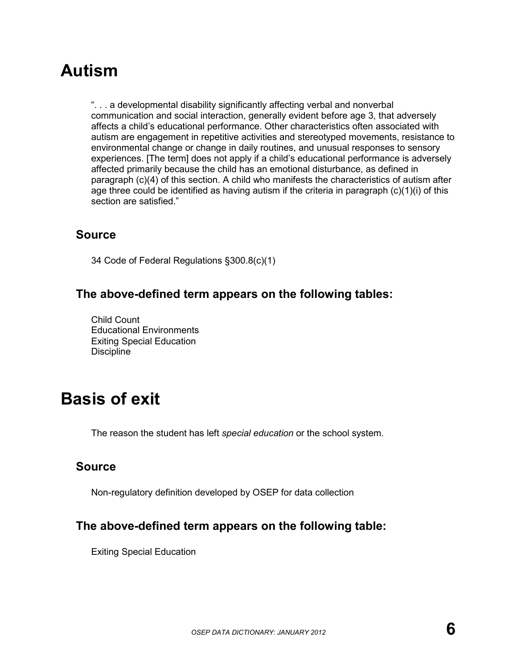# **Autism**

". . . a developmental disability significantly affecting verbal and nonverbal communication and social interaction, generally evident before age 3, that adversely affects a child's educational performance. Other characteristics often associated with autism are engagement in repetitive activities and stereotyped movements, resistance to environmental change or change in daily routines, and unusual responses to sensory experiences. [The term] does not apply if a child's educational performance is adversely affected primarily because the child has an emotional disturbance, as defined in paragraph (c)(4) of this section. A child who manifests the characteristics of autism after age three could be identified as having autism if the criteria in paragraph (c)(1)(i) of this section are satisfied."

### **Source**

34 Code of Federal Regulations §300.8(c)(1)

### **The above-defined term appears on the following tables:**

Child Count Educational Environments Exiting Special Education **Discipline** 

# **Basis of exit**

The reason the student has left *special education* or the school system.

### **Source**

Non-regulatory definition developed by OSEP for data collection

### **The above-defined term appears on the following table:**

Exiting Special Education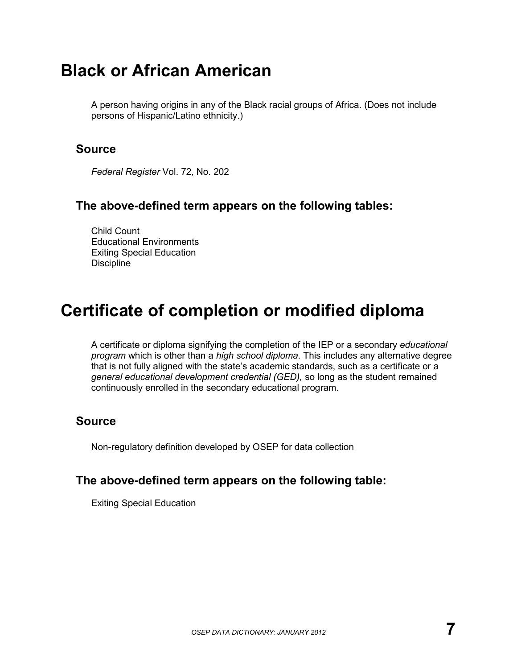# **Black or African American**

A person having origins in any of the Black racial groups of Africa. (Does not include persons of Hispanic/Latino ethnicity.)

### **Source**

*Federal Register* Vol. 72, No. 202

### **The above-defined term appears on the following tables:**

Child Count Educational Environments Exiting Special Education **Discipline** 

# **Certificate of completion or modified diploma**

A certificate or diploma signifying the completion of the IEP or a secondary *educational program* which is other than a *high school diploma*. This includes any alternative degree that is not fully aligned with the state's academic standards, such as a certificate or a *general educational development credential (GED),* so long as the student remained continuously enrolled in the secondary educational program.

### **Source**

Non-regulatory definition developed by OSEP for data collection

### **The above-defined term appears on the following table:**

Exiting Special Education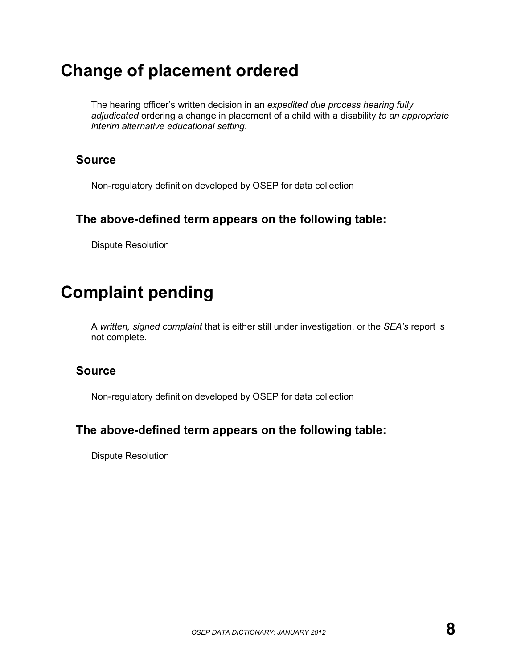# **Change of placement ordered**

The hearing officer's written decision in an *expedited due process hearing fully adjudicated* ordering a change in placement of a child with a disability *to an appropriate interim alternative educational setting*.

### **Source**

Non-regulatory definition developed by OSEP for data collection

### **The above-defined term appears on the following table:**

Dispute Resolution

# **Complaint pending**

A *written, signed complaint* that is either still under investigation, or the *SEA's* report is not complete.

### **Source**

Non-regulatory definition developed by OSEP for data collection

### **The above-defined term appears on the following table:**

Dispute Resolution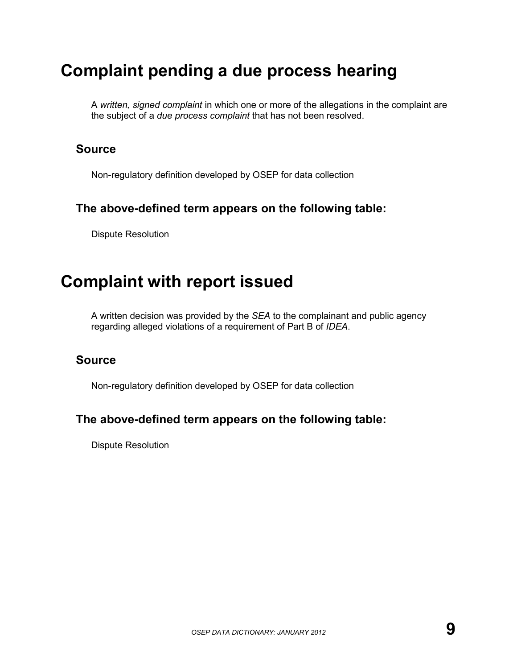# **Complaint pending a due process hearing**

A *written, signed complaint* in which one or more of the allegations in the complaint are the subject of a *due process complaint* that has not been resolved.

### **Source**

Non-regulatory definition developed by OSEP for data collection

### **The above-defined term appears on the following table:**

Dispute Resolution

### **Complaint with report issued**

A written decision was provided by the *SEA* to the complainant and public agency regarding alleged violations of a requirement of Part B of *IDEA*.

#### **Source**

Non-regulatory definition developed by OSEP for data collection

### **The above-defined term appears on the following table:**

Dispute Resolution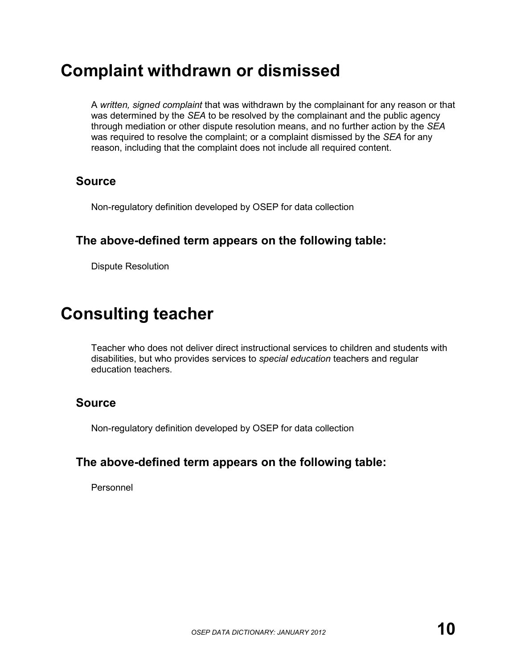# **Complaint withdrawn or dismissed**

A *written, signed complaint* that was withdrawn by the complainant for any reason or that was determined by the *SEA* to be resolved by the complainant and the public agency through mediation or other dispute resolution means, and no further action by the *SEA* was required to resolve the complaint; or a complaint dismissed by the *SEA* for any reason, including that the complaint does not include all required content.

### **Source**

Non-regulatory definition developed by OSEP for data collection

### **The above-defined term appears on the following table:**

Dispute Resolution

# **Consulting teacher**

Teacher who does not deliver direct instructional services to children and students with disabilities, but who provides services to *special education* teachers and regular education teachers.

### **Source**

Non-regulatory definition developed by OSEP for data collection

### **The above-defined term appears on the following table:**

Personnel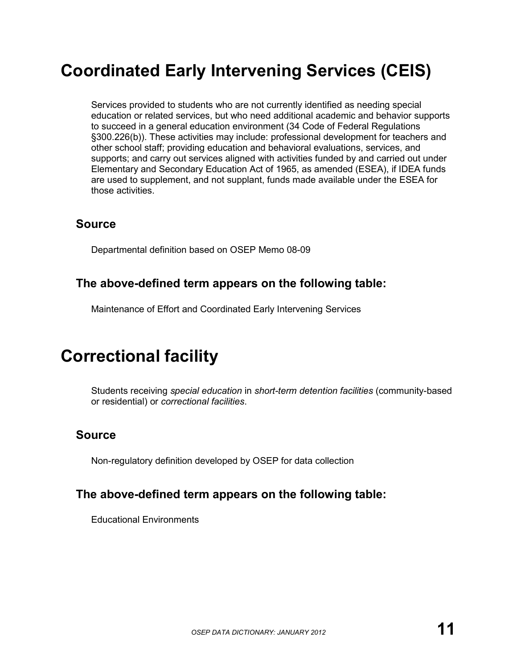# **Coordinated Early Intervening Services (CEIS)**

Services provided to students who are not currently identified as needing special education or related services, but who need additional academic and behavior supports to succeed in a general education environment (34 Code of Federal Regulations §300.226(b)). These activities may include: professional development for teachers and other school staff; providing education and behavioral evaluations, services, and supports; and carry out services aligned with activities funded by and carried out under Elementary and Secondary Education Act of 1965, as amended (ESEA), if IDEA funds are used to supplement, and not supplant, funds made available under the ESEA for those activities.

### **Source**

Departmental definition based on OSEP Memo 08-09

### **The above-defined term appears on the following table:**

Maintenance of Effort and Coordinated Early Intervening Services

# **Correctional facility**

Students receiving *special education* in *short-term detention facilities* (community-based or residential) or *correctional facilities*.

### **Source**

Non-regulatory definition developed by OSEP for data collection

### **The above-defined term appears on the following table:**

Educational Environments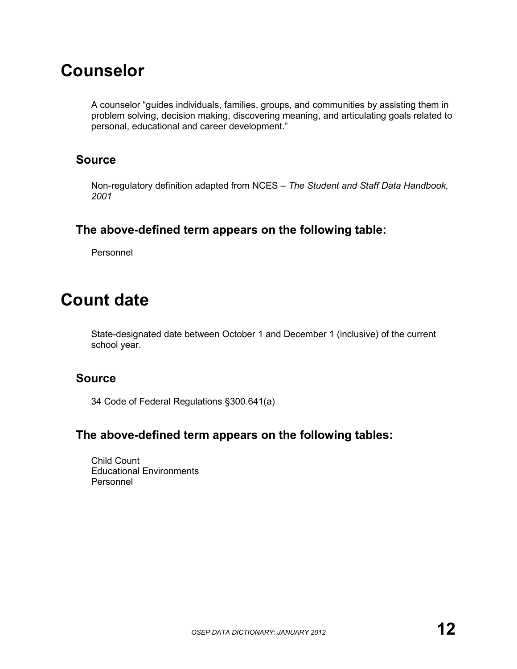# **Counselor**

A counselor "guides individuals, families, groups, and communities by assisting them in problem solving, decision making, discovering meaning, and articulating goals related to personal, educational and career development."

### **Source**

Non-regulatory definition adapted from NCES – *The Student and Staff Data Handbook, 2001*

### **The above-defined term appears on the following table:**

Personnel

# **Count date**

State-designated date between October 1 and December 1 (inclusive) of the current school year.

### **Source**

34 Code of Federal Regulations §300.641(a)

### **The above-defined term appears on the following tables:**

Child Count Educational Environments Personnel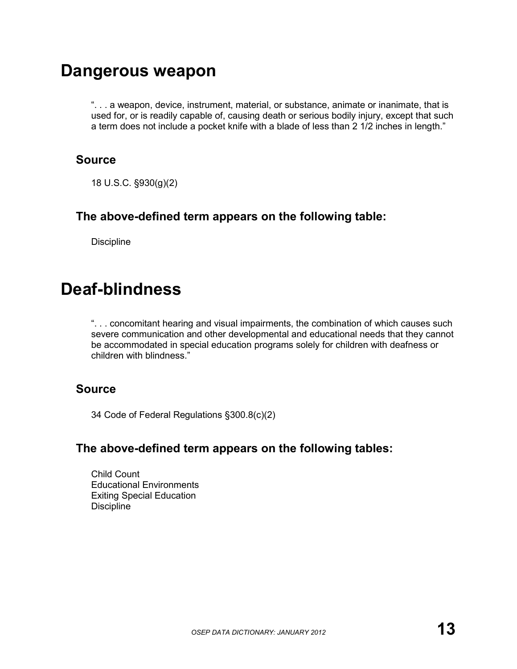### **Dangerous weapon**

". . . a weapon, device, instrument, material, or substance, animate or inanimate, that is used for, or is readily capable of, causing death or serious bodily injury, except that such a term does not include a pocket knife with a blade of less than 2 1/2 inches in length."

### **Source**

18 U.S.C. §930(g)(2)

### **The above-defined term appears on the following table:**

**Discipline** 

# **Deaf-blindness**

". . . concomitant hearing and visual impairments, the combination of which causes such severe communication and other developmental and educational needs that they cannot be accommodated in special education programs solely for children with deafness or children with blindness."

### **Source**

34 Code of Federal Regulations §300.8(c)(2)

### **The above-defined term appears on the following tables:**

Child Count Educational Environments Exiting Special Education **Discipline**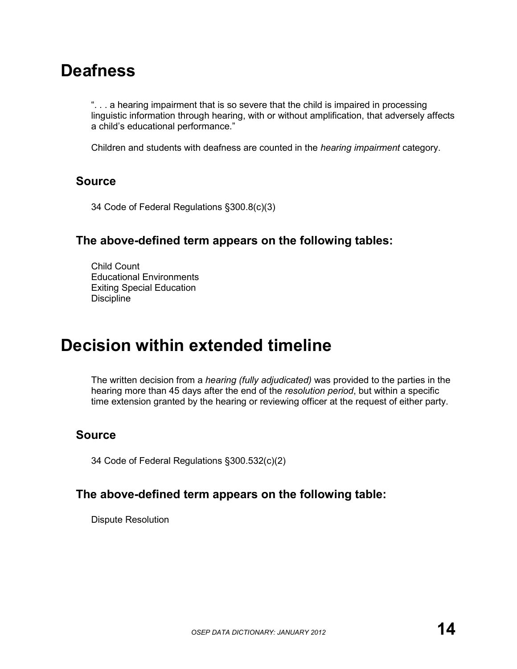# **Deafness**

". . . a hearing impairment that is so severe that the child is impaired in processing linguistic information through hearing, with or without amplification, that adversely affects a child's educational performance."

Children and students with deafness are counted in the *hearing impairment* category.

### **Source**

34 Code of Federal Regulations §300.8(c)(3)

### **The above-defined term appears on the following tables:**

Child Count Educational Environments Exiting Special Education **Discipline** 

# **Decision within extended timeline**

The written decision from a *hearing (fully adjudicated)* was provided to the parties in the hearing more than 45 days after the end of the *resolution period*, but within a specific time extension granted by the hearing or reviewing officer at the request of either party.

### **Source**

34 Code of Federal Regulations §300.532(c)(2)

### **The above-defined term appears on the following table:**

Dispute Resolution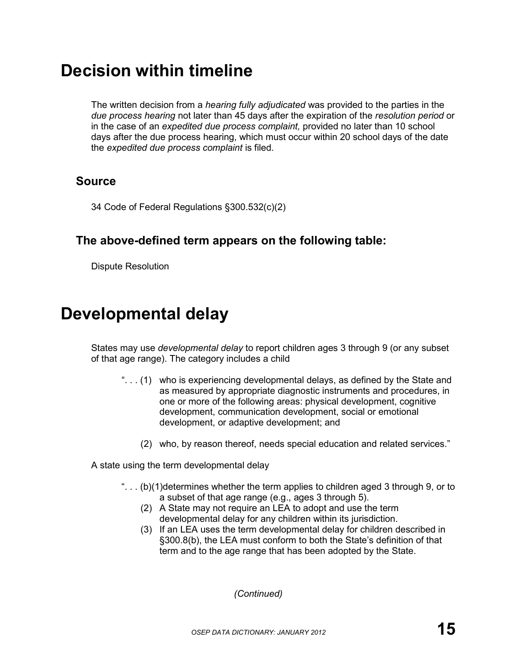# **Decision within timeline**

The written decision from a *hearing fully adjudicated* was provided to the parties in the *due process hearing* not later than 45 days after the expiration of the *resolution period* or in the case of an *expedited due process complaint,* provided no later than 10 school days after the due process hearing, which must occur within 20 school days of the date the *expedited due process complaint* is filed.

### **Source**

34 Code of Federal Regulations §300.532(c)(2)

### **The above-defined term appears on the following table:**

Dispute Resolution

# **Developmental delay**

States may use *developmental delay* to report children ages 3 through 9 (or any subset of that age range). The category includes a child

- ". . . (1) who is experiencing developmental delays, as defined by the State and as measured by appropriate diagnostic instruments and procedures, in one or more of the following areas: physical development, cognitive development, communication development, social or emotional development, or adaptive development; and
	- (2) who, by reason thereof, needs special education and related services."

A state using the term developmental delay

- "... $(b)(1)$  determines whether the term applies to children aged 3 through 9, or to a subset of that age range (e.g., ages 3 through 5).
	- (2) A State may not require an LEA to adopt and use the term developmental delay for any children within its jurisdiction.
	- (3) If an LEA uses the term developmental delay for children described in §300.8(b), the LEA must conform to both the State's definition of that term and to the age range that has been adopted by the State.

*(Continued)*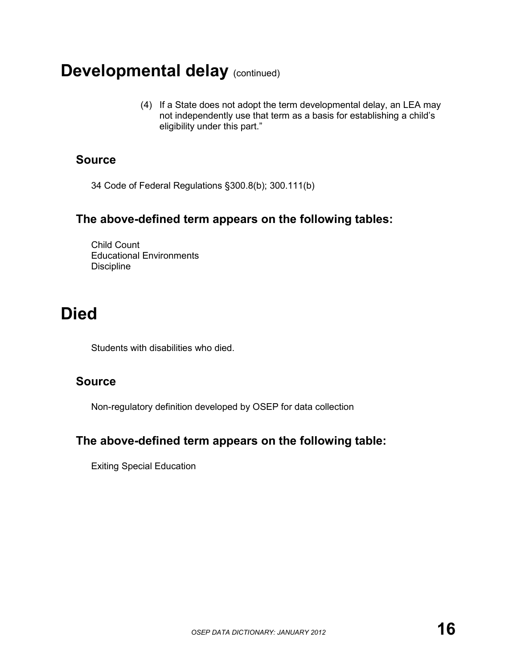# **Developmental delay (continued)**

(4) If a State does not adopt the term developmental delay, an LEA may not independently use that term as a basis for establishing a child's eligibility under this part."

### **Source**

34 Code of Federal Regulations §300.8(b); 300.111(b)

### **The above-defined term appears on the following tables:**

Child Count Educational Environments **Discipline** 

# **Died**

Students with disabilities who died.

### **Source**

Non-regulatory definition developed by OSEP for data collection

### **The above-defined term appears on the following table:**

Exiting Special Education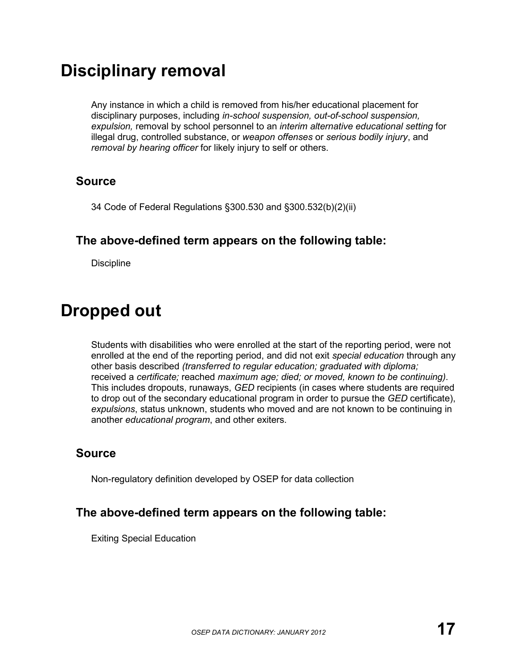## **Disciplinary removal**

Any instance in which a child is removed from his/her educational placement for disciplinary purposes, including *in-school suspension, out-of-school suspension, expulsion,* removal by school personnel to an *interim alternative educational setting* for illegal drug, controlled substance, or *weapon offenses* or *serious bodily injury*, and *removal by hearing officer* for likely injury to self or others.

#### **Source**

34 Code of Federal Regulations §300.530 and §300.532(b)(2)(ii)

#### **The above-defined term appears on the following table:**

**Discipline** 

## **Dropped out**

Students with disabilities who were enrolled at the start of the reporting period, were not enrolled at the end of the reporting period, and did not exit *special education* through any other basis described *(transferred to regular education; graduated with diploma;*  received a *certificate;* reached *maximum age; died; or moved, known to be continuing)*. This includes dropouts, runaways, *GED* recipients (in cases where students are required to drop out of the secondary educational program in order to pursue the *GED* certificate), *expulsions*, status unknown, students who moved and are not known to be continuing in another *educational program*, and other exiters.

#### **Source**

Non-regulatory definition developed by OSEP for data collection

### **The above-defined term appears on the following table:**

Exiting Special Education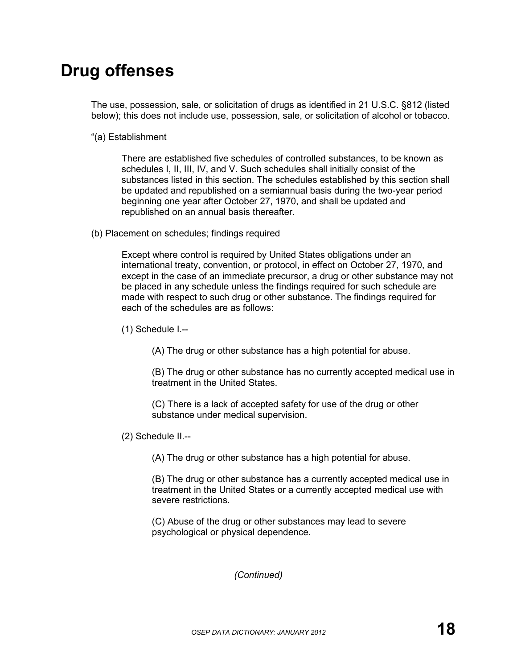## **Drug offenses**

The use, possession, sale, or solicitation of drugs as identified in 21 U.S.C. §812 (listed below); this does not include use, possession, sale, or solicitation of alcohol or tobacco.

"(a) Establishment

There are established five schedules of controlled substances, to be known as schedules I, II, III, IV, and V. Such schedules shall initially consist of the substances listed in this section. The schedules established by this section shall be updated and republished on a semiannual basis during the two-year period beginning one year after October 27, 1970, and shall be updated and republished on an annual basis thereafter.

(b) Placement on schedules; findings required

Except where control is required by United States obligations under an international treaty, convention, or protocol, in effect on October 27, 1970, and except in the case of an immediate precursor, a drug or other substance may not be placed in any schedule unless the findings required for such schedule are made with respect to such drug or other substance. The findings required for each of the schedules are as follows:

(1) Schedule I.--

(A) The drug or other substance has a high potential for abuse.

(B) The drug or other substance has no currently accepted medical use in treatment in the United States.

(C) There is a lack of accepted safety for use of the drug or other substance under medical supervision.

(2) Schedule II.--

(A) The drug or other substance has a high potential for abuse.

(B) The drug or other substance has a currently accepted medical use in treatment in the United States or a currently accepted medical use with severe restrictions.

(C) Abuse of the drug or other substances may lead to severe psychological or physical dependence.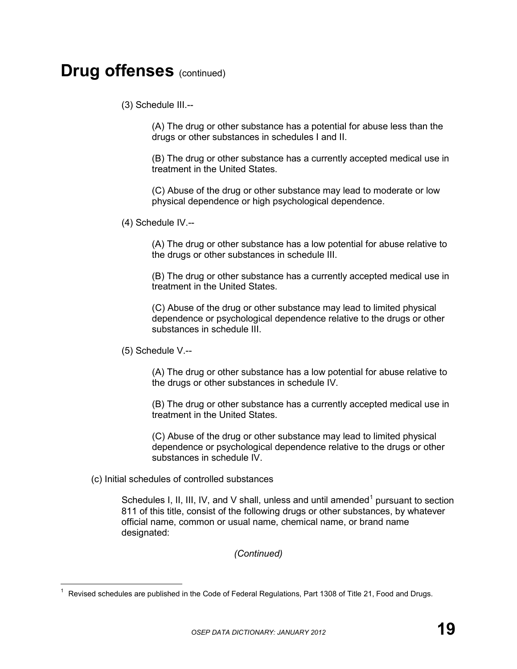(3) Schedule III.--

(A) The drug or other substance has a potential for abuse less than the drugs or other substances in schedules I and II.

(B) The drug or other substance has a currently accepted medical use in treatment in the United States.

(C) Abuse of the drug or other substance may lead to moderate or low physical dependence or high psychological dependence.

(4) Schedule IV.--

(A) The drug or other substance has a low potential for abuse relative to the drugs or other substances in schedule III.

(B) The drug or other substance has a currently accepted medical use in treatment in the United States.

(C) Abuse of the drug or other substance may lead to limited physical dependence or psychological dependence relative to the drugs or other substances in schedule III.

(5) Schedule V.--

(A) The drug or other substance has a low potential for abuse relative to the drugs or other substances in schedule IV.

(B) The drug or other substance has a currently accepted medical use in treatment in the United States.

(C) Abuse of the drug or other substance may lead to limited physical dependence or psychological dependence relative to the drugs or other substances in schedule IV.

(c) Initial schedules of controlled substances

Schedules I, II, III, IV, and V shall, unless and until amended<sup>1</sup> pursuant to section 811 of this title, consist of the following drugs or other substances, by whatever official name, common or usual name, chemical name, or brand name designated:

 $\overline{1}$  $1$  Revised schedules are published in the Code of Federal Regulations, Part 1308 of Title 21, Food and Drugs.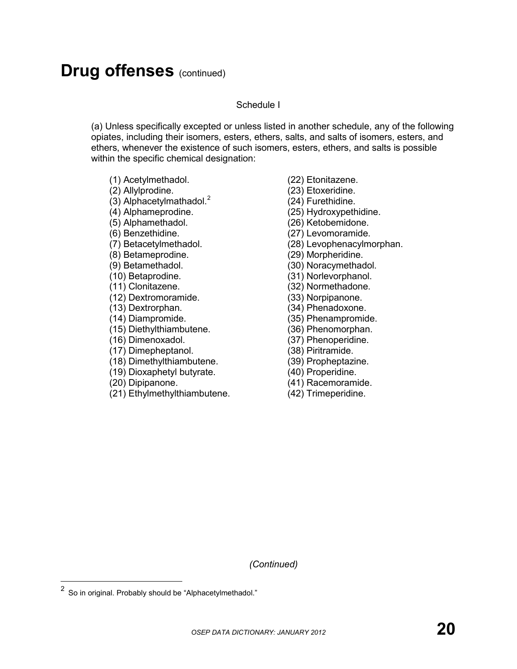#### Schedule I

(a) Unless specifically excepted or unless listed in another schedule, any of the following opiates, including their isomers, esters, ethers, salts, and salts of isomers, esters, and ethers, whenever the existence of such isomers, esters, ethers, and salts is possible within the specific chemical designation:

- (1) Acetylmethadol.
- (2) Allylprodine.
- (3) Alphacetylmathadol. $<sup>2</sup>$ </sup>
- (4) Alphameprodine.
- (5) Alphamethadol.
- (6) Benzethidine.
- (7) Betacetylmethadol.
- (8) Betameprodine.
- (9) Betamethadol.
- (10) Betaprodine.
- (11) Clonitazene.
- (12) Dextromoramide.
- (13) Dextrorphan.
- (14) Diampromide.
- (15) Diethylthiambutene.
- (16) Dimenoxadol.
- (17) Dimepheptanol.
- (18) Dimethylthiambutene.
- (19) Dioxaphetyl butyrate.
- (20) Dipipanone.
- (21) Ethylmethylthiambutene.
- (22) Etonitazene.
- (23) Etoxeridine.
- (24) Furethidine.
- (25) Hydroxypethidine.
- (26) Ketobemidone.
- (27) Levomoramide.
- (28) Levophenacylmorphan.
- (29) Morpheridine.
- (30) Noracymethadol.
- (31) Norlevorphanol.
- (32) Normethadone.
- (33) Norpipanone.
- (34) Phenadoxone.
- (35) Phenampromide.
- (36) Phenomorphan.
- (37) Phenoperidine.
- (38) Piritramide.
- (39) Propheptazine.
- (40) Properidine.
- (41) Racemoramide.
- (42) Trimeperidine.

 $\overline{a}$  $^2$  So in original. Probably should be "Alphacetylmethadol."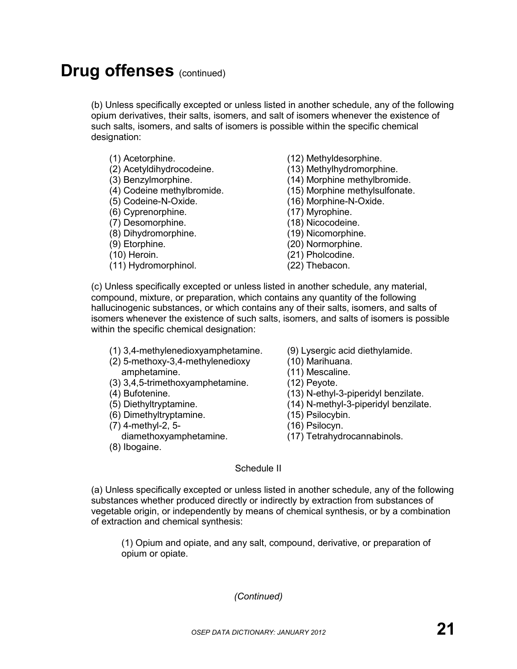(b) Unless specifically excepted or unless listed in another schedule, any of the following opium derivatives, their salts, isomers, and salt of isomers whenever the existence of such salts, isomers, and salts of isomers is possible within the specific chemical designation:

- (1) Acetorphine.
- (2) Acetyldihydrocodeine.
- (3) Benzylmorphine.
- (4) Codeine methylbromide.
- (5) Codeine-N-Oxide.
- (6) Cyprenorphine.
- (7) Desomorphine.
- (8) Dihydromorphine.
- (9) Etorphine.
- (10) Heroin.
- (11) Hydromorphinol.
- (12) Methyldesorphine.
- (13) Methylhydromorphine.
- (14) Morphine methylbromide.
- (15) Morphine methylsulfonate.
- (16) Morphine-N-Oxide.
- (17) Myrophine.
- (18) Nicocodeine.
- (19) Nicomorphine.
- (20) Normorphine.
- (21) Pholcodine.
- (22) Thebacon.

(c) Unless specifically excepted or unless listed in another schedule, any material, compound, mixture, or preparation, which contains any quantity of the following hallucinogenic substances, or which contains any of their salts, isomers, and salts of isomers whenever the existence of such salts, isomers, and salts of isomers is possible within the specific chemical designation:

- (1) 3,4-methylenedioxyamphetamine.
- (2) 5-methoxy-3,4-methylenedioxy amphetamine.
- (3) 3,4,5-trimethoxyamphetamine.
- (4) Bufotenine.
- (5) Diethyltryptamine.
- (6) Dimethyltryptamine.
- (7) 4-methyl-2, 5 diamethoxyamphetamine.
- (8) Ibogaine.
- (9) Lysergic acid diethylamide.
- (10) Marihuana.
- (11) Mescaline.
- (12) Peyote.
- (13) N-ethyl-3-piperidyl benzilate.
- (14) N-methyl-3-piperidyl benzilate.
- (15) Psilocybin.
- (16) Psilocyn.
- (17) Tetrahydrocannabinols.

#### Schedule II

(a) Unless specifically excepted or unless listed in another schedule, any of the following substances whether produced directly or indirectly by extraction from substances of vegetable origin, or independently by means of chemical synthesis, or by a combination of extraction and chemical synthesis:

(1) Opium and opiate, and any salt, compound, derivative, or preparation of opium or opiate.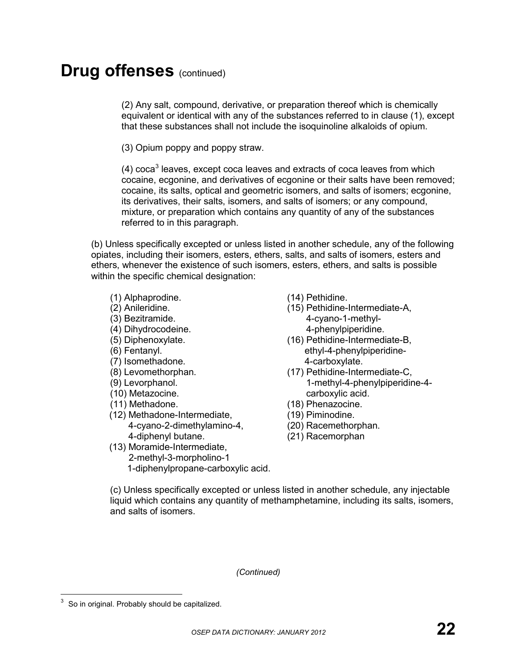(2) Any salt, compound, derivative, or preparation thereof which is chemically equivalent or identical with any of the substances referred to in clause (1), except that these substances shall not include the isoquinoline alkaloids of opium.

(3) Opium poppy and poppy straw.

 $(4)$  coca<sup>3</sup> leaves, except coca leaves and extracts of coca leaves from which cocaine, ecgonine, and derivatives of ecgonine or their salts have been removed; cocaine, its salts, optical and geometric isomers, and salts of isomers; ecgonine, its derivatives, their salts, isomers, and salts of isomers; or any compound, mixture, or preparation which contains any quantity of any of the substances referred to in this paragraph.

(b) Unless specifically excepted or unless listed in another schedule, any of the following opiates, including their isomers, esters, ethers, salts, and salts of isomers, esters and ethers, whenever the existence of such isomers, esters, ethers, and salts is possible within the specific chemical designation:

- (1) Alphaprodine.
- (2) Anileridine.
- (3) Bezitramide.
- (4) Dihydrocodeine.
- (5) Diphenoxylate.
- (6) Fentanyl.
- (7) Isomethadone.
- (8) Levomethorphan.
- (9) Levorphanol.
- (10) Metazocine.
- (11) Methadone.
- (12) Methadone-Intermediate, 4-cyano-2-dimethylamino-4, 4-diphenyl butane.

(13) Moramide-Intermediate,

2-methyl-3-morpholino-1

1-diphenylpropane-carboxylic acid.

- (14) Pethidine.
- (15) Pethidine-Intermediate-A, 4-cyano-1-methyl-4-phenylpiperidine.
- (16) Pethidine-Intermediate-B, ethyl-4-phenylpiperidine-4-carboxylate.
- (17) Pethidine-Intermediate-C, 1-methyl-4-phenylpiperidine-4 carboxylic acid.
- (18) Phenazocine.
- (19) Piminodine.
- (20) Racemethorphan.
- (21) Racemorphan

(c) Unless specifically excepted or unless listed in another schedule, any injectable liquid which contains any quantity of methamphetamine, including its salts, isomers, and salts of isomers.

 $\overline{a}$ So in original. Probably should be capitalized.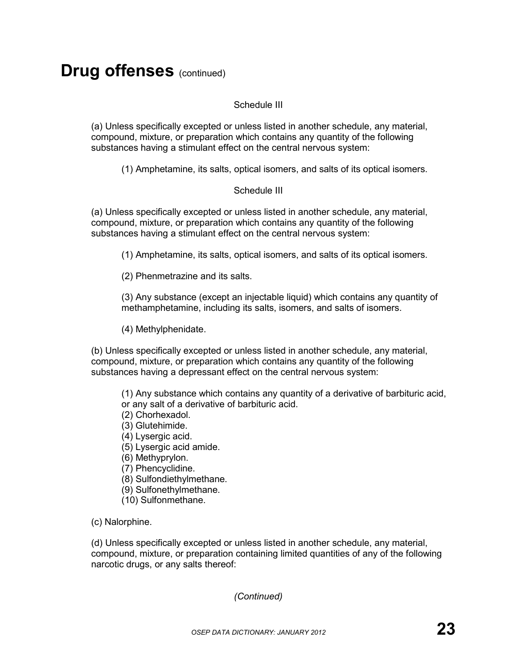#### Schedule III

(a) Unless specifically excepted or unless listed in another schedule, any material, compound, mixture, or preparation which contains any quantity of the following substances having a stimulant effect on the central nervous system:

(1) Amphetamine, its salts, optical isomers, and salts of its optical isomers.

#### Schedule III

(a) Unless specifically excepted or unless listed in another schedule, any material, compound, mixture, or preparation which contains any quantity of the following substances having a stimulant effect on the central nervous system:

(1) Amphetamine, its salts, optical isomers, and salts of its optical isomers.

(2) Phenmetrazine and its salts.

(3) Any substance (except an injectable liquid) which contains any quantity of methamphetamine, including its salts, isomers, and salts of isomers.

(4) Methylphenidate.

(b) Unless specifically excepted or unless listed in another schedule, any material, compound, mixture, or preparation which contains any quantity of the following substances having a depressant effect on the central nervous system:

(1) Any substance which contains any quantity of a derivative of barbituric acid, or any salt of a derivative of barbituric acid.

(2) Chorhexadol.

(3) Glutehimide.

(4) Lysergic acid.

(5) Lysergic acid amide.

(6) Methyprylon.

(7) Phencyclidine.

(8) Sulfondiethylmethane.

(9) Sulfonethylmethane.

(10) Sulfonmethane.

(c) Nalorphine.

(d) Unless specifically excepted or unless listed in another schedule, any material, compound, mixture, or preparation containing limited quantities of any of the following narcotic drugs, or any salts thereof: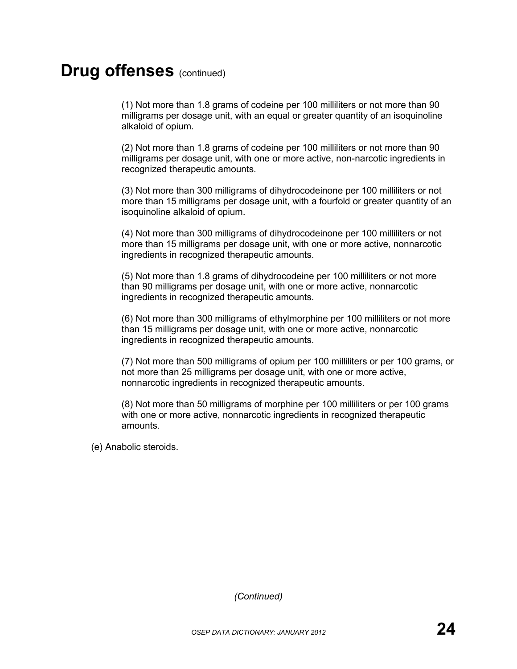(1) Not more than 1.8 grams of codeine per 100 milliliters or not more than 90 milligrams per dosage unit, with an equal or greater quantity of an isoquinoline alkaloid of opium.

(2) Not more than 1.8 grams of codeine per 100 milliliters or not more than 90 milligrams per dosage unit, with one or more active, non-narcotic ingredients in recognized therapeutic amounts.

(3) Not more than 300 milligrams of dihydrocodeinone per 100 milliliters or not more than 15 milligrams per dosage unit, with a fourfold or greater quantity of an isoquinoline alkaloid of opium.

(4) Not more than 300 milligrams of dihydrocodeinone per 100 milliliters or not more than 15 milligrams per dosage unit, with one or more active, nonnarcotic ingredients in recognized therapeutic amounts.

(5) Not more than 1.8 grams of dihydrocodeine per 100 milliliters or not more than 90 milligrams per dosage unit, with one or more active, nonnarcotic ingredients in recognized therapeutic amounts.

(6) Not more than 300 milligrams of ethylmorphine per 100 milliliters or not more than 15 milligrams per dosage unit, with one or more active, nonnarcotic ingredients in recognized therapeutic amounts.

(7) Not more than 500 milligrams of opium per 100 milliliters or per 100 grams, or not more than 25 milligrams per dosage unit, with one or more active, nonnarcotic ingredients in recognized therapeutic amounts.

(8) Not more than 50 milligrams of morphine per 100 milliliters or per 100 grams with one or more active, nonnarcotic ingredients in recognized therapeutic amounts.

(e) Anabolic steroids.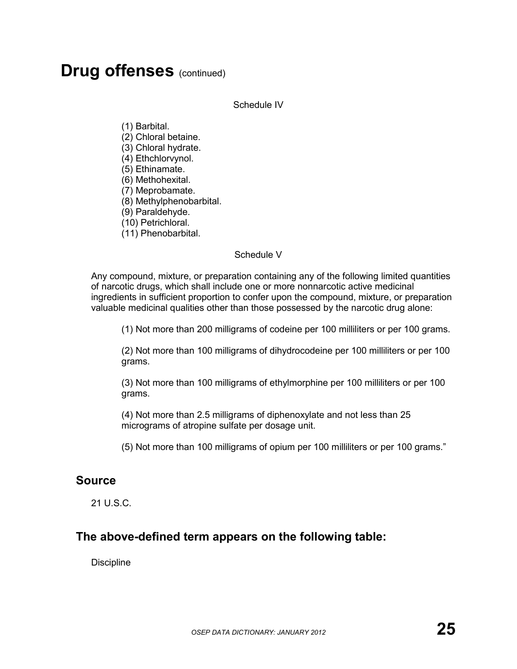Schedule IV

(1) Barbital.

- (2) Chloral betaine.
- (3) Chloral hydrate.
- (4) Ethchlorvynol.
- (5) Ethinamate.
- (6) Methohexital.
- (7) Meprobamate.
- (8) Methylphenobarbital.
- (9) Paraldehyde.
- (10) Petrichloral.
- (11) Phenobarbital.

#### Schedule V

Any compound, mixture, or preparation containing any of the following limited quantities of narcotic drugs, which shall include one or more nonnarcotic active medicinal ingredients in sufficient proportion to confer upon the compound, mixture, or preparation valuable medicinal qualities other than those possessed by the narcotic drug alone:

(1) Not more than 200 milligrams of codeine per 100 milliliters or per 100 grams.

(2) Not more than 100 milligrams of dihydrocodeine per 100 milliliters or per 100 grams.

(3) Not more than 100 milligrams of ethylmorphine per 100 milliliters or per 100 grams.

(4) Not more than 2.5 milligrams of diphenoxylate and not less than 25 micrograms of atropine sulfate per dosage unit.

(5) Not more than 100 milligrams of opium per 100 milliliters or per 100 grams."

#### **Source**

21 U.S.C.

#### **The above-defined term appears on the following table:**

**Discipline**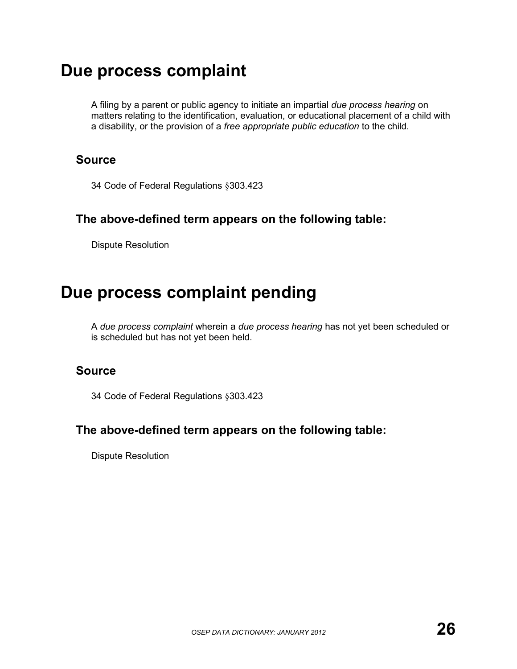### **Due process complaint**

A filing by a parent or public agency to initiate an impartial *due process hearing* on matters relating to the identification, evaluation, or educational placement of a child with a disability, or the provision of a *free appropriate public education* to the child.

#### **Source**

34 Code of Federal Regulations §303.423

#### **The above-defined term appears on the following table:**

Dispute Resolution

## **Due process complaint pending**

A *due process complaint* wherein a *due process hearing* has not yet been scheduled or is scheduled but has not yet been held.

#### **Source**

34 Code of Federal Regulations §303.423

#### **The above-defined term appears on the following table:**

Dispute Resolution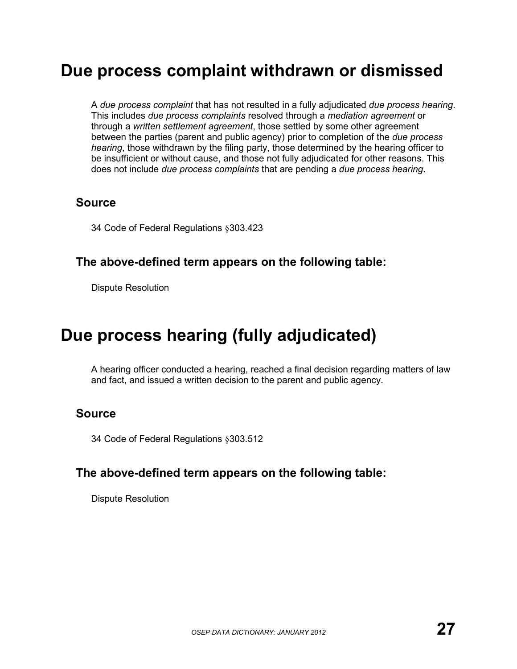## **Due process complaint withdrawn or dismissed**

A *due process complaint* that has not resulted in a fully adjudicated *due process hearing*. This includes *due process complaints* resolved through a *mediation agreement* or through a *written settlement agreement*, those settled by some other agreement between the parties (parent and public agency) prior to completion of the *due process hearing*, those withdrawn by the filing party, those determined by the hearing officer to be insufficient or without cause, and those not fully adjudicated for other reasons. This does not include *due process complaints* that are pending a *due process hearing*.

#### **Source**

34 Code of Federal Regulations §303.423

#### **The above-defined term appears on the following table:**

Dispute Resolution

## **Due process hearing (fully adjudicated)**

A hearing officer conducted a hearing, reached a final decision regarding matters of law and fact, and issued a written decision to the parent and public agency.

### **Source**

34 Code of Federal Regulations §303.512

#### **The above-defined term appears on the following table:**

Dispute Resolution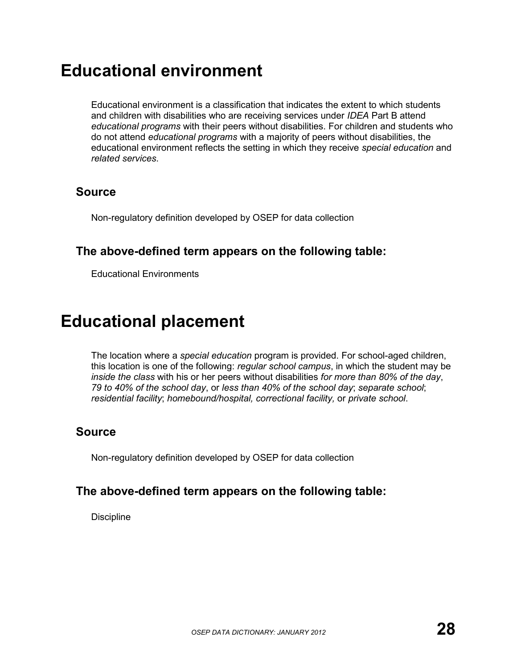## **Educational environment**

Educational environment is a classification that indicates the extent to which students and children with disabilities who are receiving services under *IDEA* Part B attend *educational programs* with their peers without disabilities. For children and students who do not attend *educational programs* with a majority of peers without disabilities, the educational environment reflects the setting in which they receive *special education* and *related services*.

#### **Source**

Non-regulatory definition developed by OSEP for data collection

#### **The above-defined term appears on the following table:**

Educational Environments

## **Educational placement**

The location where a *special education* program is provided. For school-aged children, this location is one of the following: *regular school campus*, in which the student may be *inside the class* with his or her peers without disabilities *for more than 80% of the day*, *79 to 40% of the school day*, or *less than 40% of the school day*; *separate school*; *residential facility*; *homebound/hospital, correctional facility,* or *private school*.

### **Source**

Non-regulatory definition developed by OSEP for data collection

### **The above-defined term appears on the following table:**

**Discipline**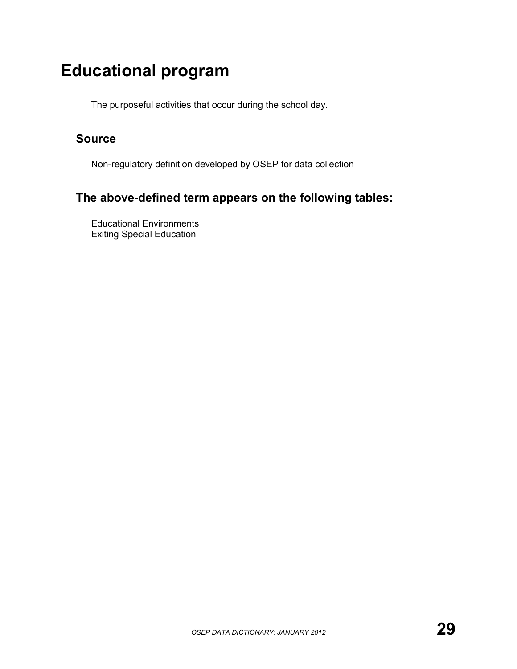## **Educational program**

The purposeful activities that occur during the school day.

### **Source**

Non-regulatory definition developed by OSEP for data collection

### **The above-defined term appears on the following tables:**

Educational Environments Exiting Special Education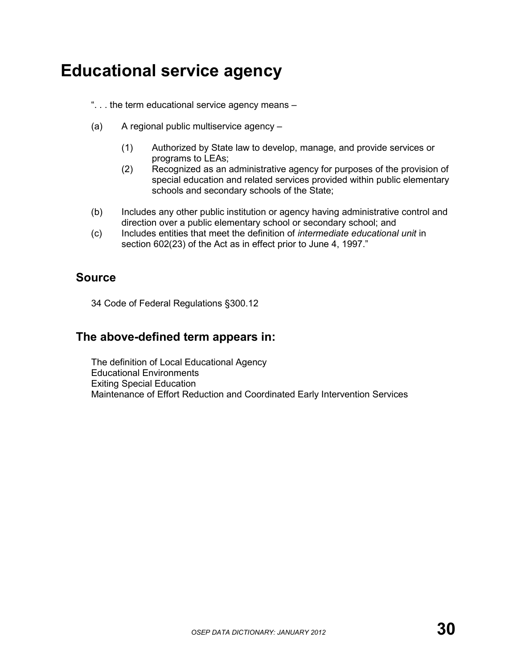## **Educational service agency**

". . . the term educational service agency means –

- (a) A regional public multiservice agency
	- (1) Authorized by State law to develop, manage, and provide services or programs to LEAs;
	- (2) Recognized as an administrative agency for purposes of the provision of special education and related services provided within public elementary schools and secondary schools of the State;
- (b) Includes any other public institution or agency having administrative control and direction over a public elementary school or secondary school; and
- (c) Includes entities that meet the definition of *intermediate educational unit* in section 602(23) of the Act as in effect prior to June 4, 1997."

#### **Source**

34 Code of Federal Regulations §300.12

#### **The above-defined term appears in:**

The definition of Local Educational Agency Educational Environments Exiting Special Education Maintenance of Effort Reduction and Coordinated Early Intervention Services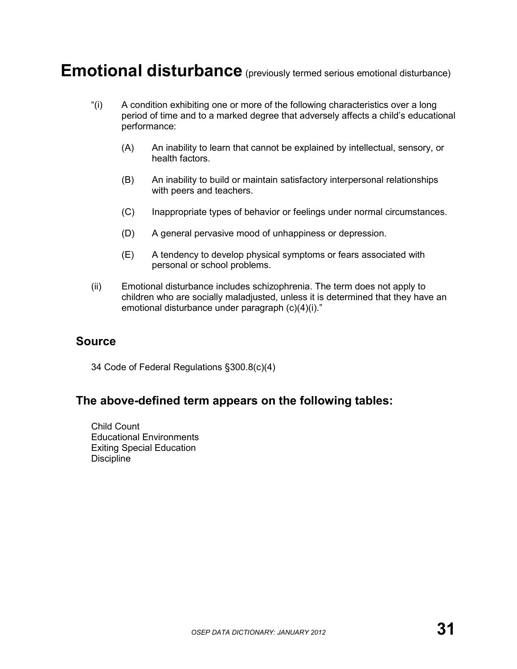### **Emotional disturbance** (previously termed serious emotional disturbance)

- "(i) A condition exhibiting one or more of the following characteristics over a long period of time and to a marked degree that adversely affects a child's educational performance:
	- (A) An inability to learn that cannot be explained by intellectual, sensory, or health factors.
	- (B) An inability to build or maintain satisfactory interpersonal relationships with peers and teachers.
	- (C) Inappropriate types of behavior or feelings under normal circumstances.
	- (D) A general pervasive mood of unhappiness or depression.
	- (E) A tendency to develop physical symptoms or fears associated with personal or school problems.
- (ii) Emotional disturbance includes schizophrenia. The term does not apply to children who are socially maladjusted, unless it is determined that they have an emotional disturbance under paragraph (c)(4)(i)."

#### **Source**

34 Code of Federal Regulations §300.8(c)(4)

#### **The above-defined term appears on the following tables:**

Child Count Educational Environments Exiting Special Education **Discipline**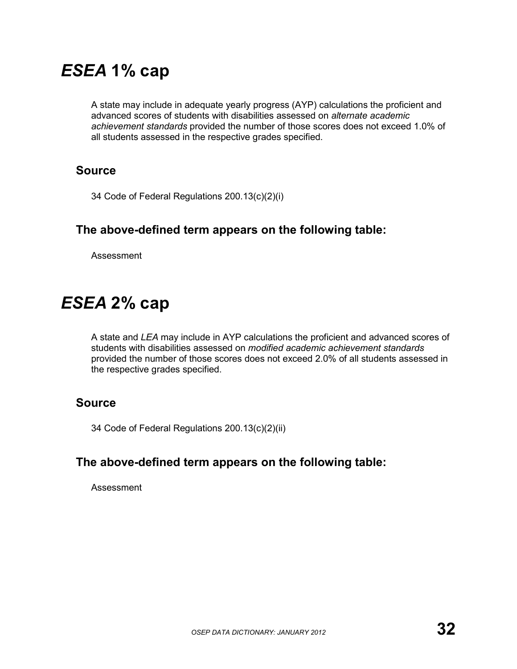## *ESEA* **1% cap**

A state may include in adequate yearly progress (AYP) calculations the proficient and advanced scores of students with disabilities assessed on *alternate academic achievement standards* provided the number of those scores does not exceed 1.0% of all students assessed in the respective grades specified.

#### **Source**

34 Code of Federal Regulations 200.13(c)(2)(i)

#### **The above-defined term appears on the following table:**

Assessment

## *ESEA* **2% cap**

A state and *LEA* may include in AYP calculations the proficient and advanced scores of students with disabilities assessed on *modified academic achievement standards* provided the number of those scores does not exceed 2.0% of all students assessed in the respective grades specified.

#### **Source**

34 Code of Federal Regulations 200.13(c)(2)(ii)

#### **The above-defined term appears on the following table:**

Assessment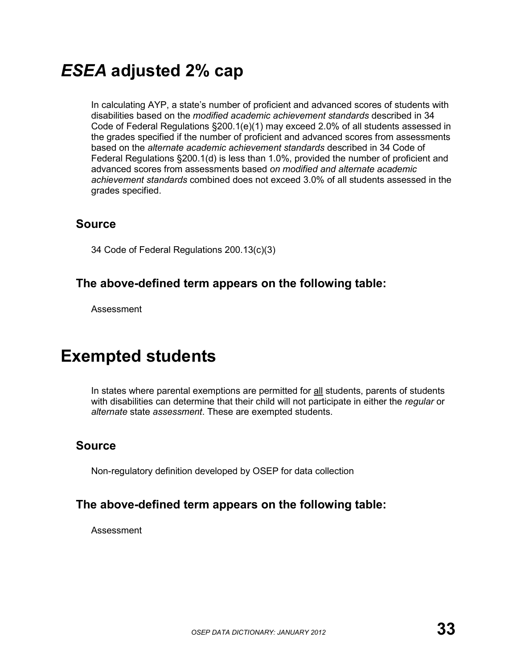## *ESEA* **adjusted 2% cap**

In calculating AYP, a state's number of proficient and advanced scores of students with disabilities based on the *modified academic achievement standards* described in 34 Code of Federal Regulations §200.1(e)(1) may exceed 2.0% of all students assessed in the grades specified if the number of proficient and advanced scores from assessments based on the *alternate academic achievement standards* described in 34 Code of Federal Regulations §200.1(d) is less than 1.0%, provided the number of proficient and advanced scores from assessments based *on modified and alternate academic achievement standards* combined does not exceed 3.0% of all students assessed in the grades specified.

#### **Source**

34 Code of Federal Regulations 200.13(c)(3)

#### **The above-defined term appears on the following table:**

Assessment

### **Exempted students**

In states where parental exemptions are permitted for all students, parents of students with disabilities can determine that their child will not participate in either the *regular* or *alternate* state *assessment*. These are exempted students.

### **Source**

Non-regulatory definition developed by OSEP for data collection

### **The above-defined term appears on the following table:**

Assessment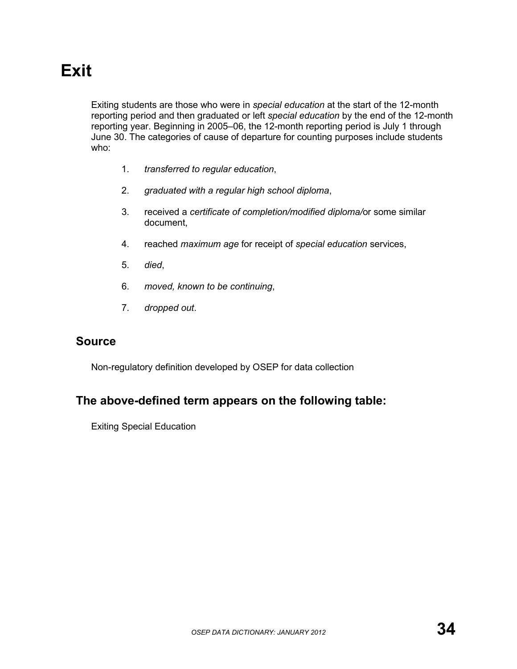# **Exit**

Exiting students are those who were in *special education* at the start of the 12-month reporting period and then graduated or left *special education* by the end of the 12-month reporting year. Beginning in 2005–06, the 12-month reporting period is July 1 through June 30. The categories of cause of departure for counting purposes include students who:

- 1. *transferred to regular education*,
- 2. *graduated with a regular high school diploma*,
- 3. received a *certificate of completion/modified diploma/*or some similar document,
- 4. reached *maximum age* for receipt of *special education* services,
- 5. *died*,
- 6. *moved, known to be continuing*,
- 7. *dropped out*.

#### **Source**

Non-regulatory definition developed by OSEP for data collection

#### **The above-defined term appears on the following table:**

Exiting Special Education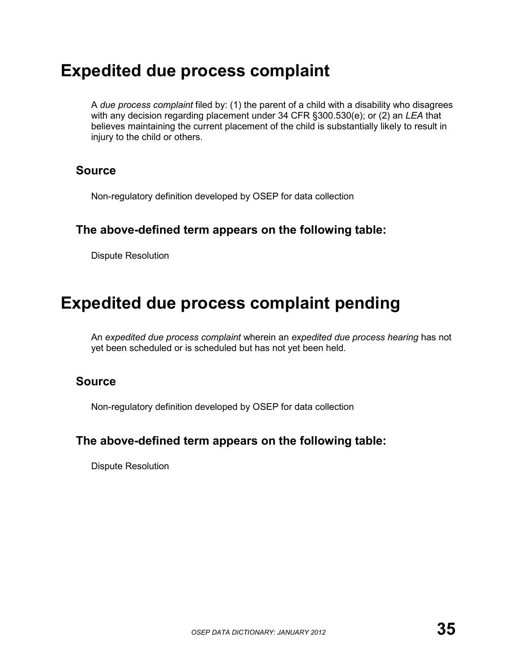### **Expedited due process complaint**

A *due process complaint* filed by: (1) the parent of a child with a disability who disagrees with any decision regarding placement under 34 CFR §300.530(e); or (2) an *LEA* that believes maintaining the current placement of the child is substantially likely to result in injury to the child or others.

#### **Source**

Non-regulatory definition developed by OSEP for data collection

#### **The above-defined term appears on the following table:**

Dispute Resolution

## **Expedited due process complaint pending**

An *expedited due process complaint* wherein an *expedited due process hearing* has not yet been scheduled or is scheduled but has not yet been held.

#### **Source**

Non-regulatory definition developed by OSEP for data collection

#### **The above-defined term appears on the following table:**

Dispute Resolution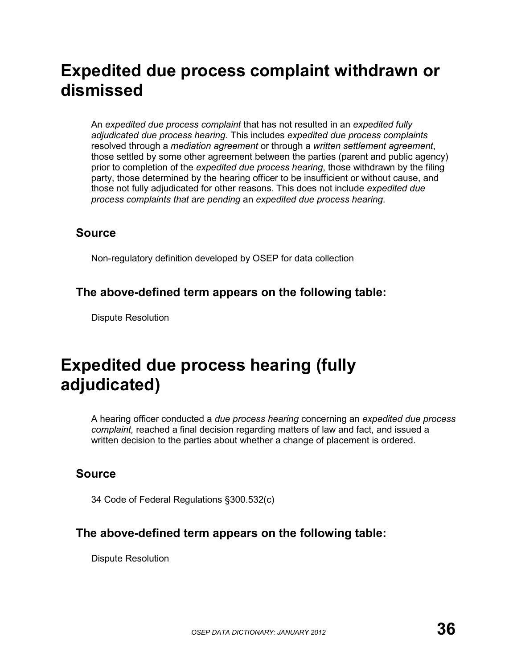## **Expedited due process complaint withdrawn or dismissed**

An *expedited due process complaint* that has not resulted in an *expedited fully adjudicated due process hearing*. This includes *expedited due process complaints* resolved through a *mediation agreement* or through a *written settlement agreement*, those settled by some other agreement between the parties (parent and public agency) prior to completion of the *expedited due process hearing*, those withdrawn by the filing party, those determined by the hearing officer to be insufficient or without cause, and those not fully adjudicated for other reasons. This does not include *expedited due process complaints that are pending* an *expedited due process hearing*.

#### **Source**

Non-regulatory definition developed by OSEP for data collection

#### **The above-defined term appears on the following table:**

Dispute Resolution

## **Expedited due process hearing (fully adjudicated)**

A hearing officer conducted a *due process hearing* concerning an *expedited due process complaint,* reached a final decision regarding matters of law and fact, and issued a written decision to the parties about whether a change of placement is ordered.

### **Source**

34 Code of Federal Regulations §300.532(c)

#### **The above-defined term appears on the following table:**

Dispute Resolution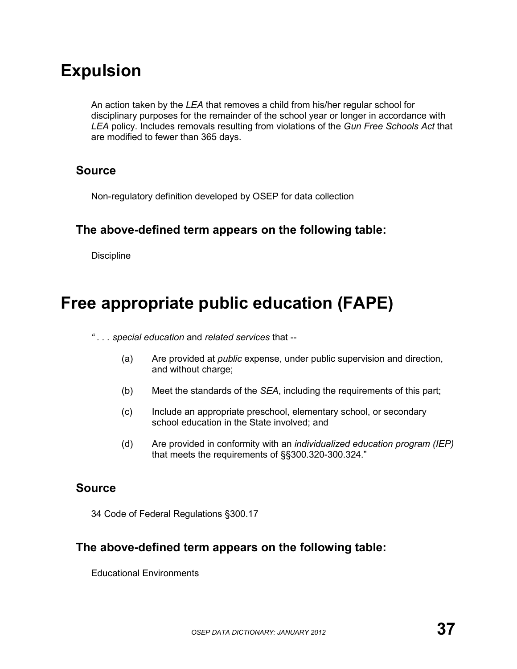## **Expulsion**

An action taken by the *LEA* that removes a child from his/her regular school for disciplinary purposes for the remainder of the school year or longer in accordance with *LEA* policy. Includes removals resulting from violations of the *Gun Free Schools Act* that are modified to fewer than 365 days.

#### **Source**

Non-regulatory definition developed by OSEP for data collection

#### **The above-defined term appears on the following table:**

**Discipline** 

## **Free appropriate public education (FAPE)**

- *" . . . special education* and *related services* that --
	- (a) Are provided at *public* expense, under public supervision and direction, and without charge;
	- (b) Meet the standards of the *SEA*, including the requirements of this part;
	- (c) Include an appropriate preschool, elementary school, or secondary school education in the State involved; and
	- (d) Are provided in conformity with an *individualized education program (IEP)* that meets the requirements of §§300.320-300.324."

#### **Source**

34 Code of Federal Regulations §300.17

#### **The above-defined term appears on the following table:**

Educational Environments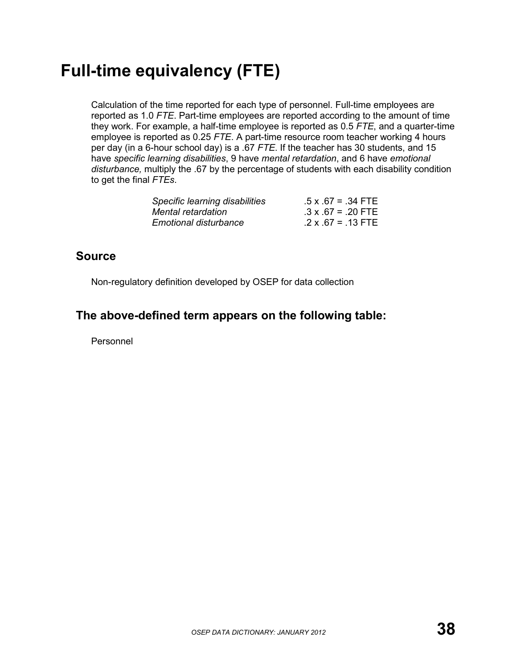# **Full-time equivalency (FTE)**

Calculation of the time reported for each type of personnel. Full-time employees are reported as 1.0 *FTE*. Part-time employees are reported according to the amount of time they work. For example, a half-time employee is reported as 0.5 *FTE*, and a quarter-time employee is reported as 0.25 *FTE*. A part-time resource room teacher working 4 hours per day (in a 6-hour school day) is a .67 *FTE*. If the teacher has 30 students, and 15 have *specific learning disabilities*, 9 have *mental retardation*, and 6 have *emotional disturbance,* multiply the .67 by the percentage of students with each disability condition to get the final *FTEs*.

| Specific learning disabilities | $.5 \times .67 = .34$ FTE |
|--------------------------------|---------------------------|
| Mental retardation             | $.3 \times .67 = .20$ FTE |
| <b>Emotional disturbance</b>   | $.2 \times .67 = .13$ FTE |

#### **Source**

Non-regulatory definition developed by OSEP for data collection

### **The above-defined term appears on the following table:**

Personnel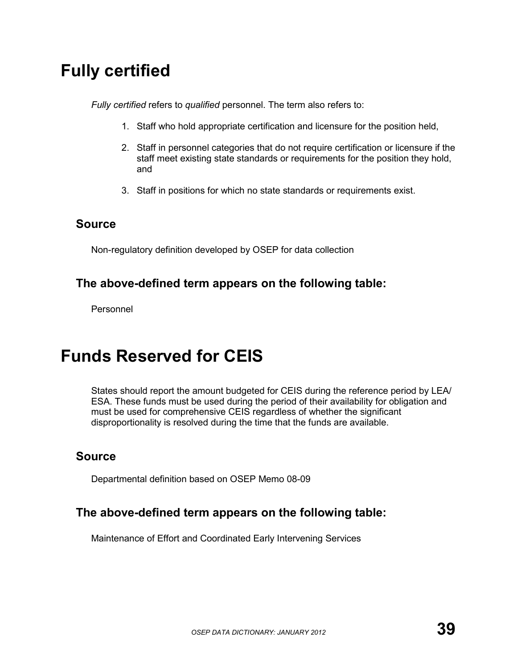## **Fully certified**

*Fully certified* refers to *qualified* personnel. The term also refers to:

- 1. Staff who hold appropriate certification and licensure for the position held,
- 2. Staff in personnel categories that do not require certification or licensure if the staff meet existing state standards or requirements for the position they hold, and
- 3. Staff in positions for which no state standards or requirements exist.

#### **Source**

Non-regulatory definition developed by OSEP for data collection

#### **The above-defined term appears on the following table:**

Personnel

### **Funds Reserved for CEIS**

States should report the amount budgeted for CEIS during the reference period by LEA/ ESA. These funds must be used during the period of their availability for obligation and must be used for comprehensive CEIS regardless of whether the significant disproportionality is resolved during the time that the funds are available.

#### **Source**

Departmental definition based on OSEP Memo 08-09

#### **The above-defined term appears on the following table:**

Maintenance of Effort and Coordinated Early Intervening Services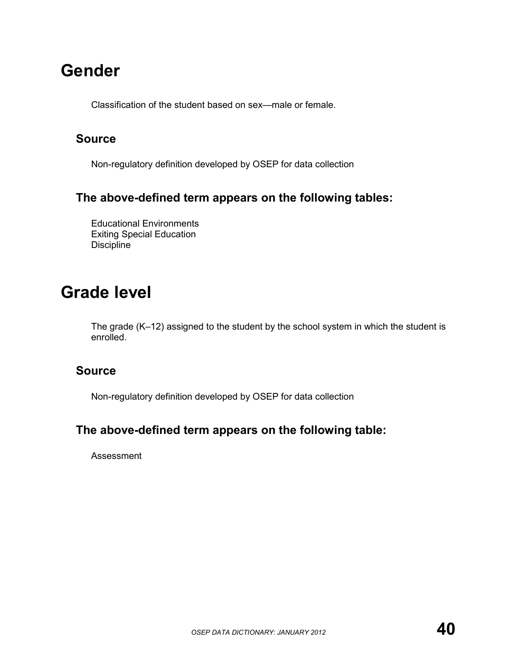## **Gender**

Classification of the student based on sex—male or female.

#### **Source**

Non-regulatory definition developed by OSEP for data collection

#### **The above-defined term appears on the following tables:**

Educational Environments Exiting Special Education **Discipline** 

### **Grade level**

The grade (K–12) assigned to the student by the school system in which the student is enrolled.

#### **Source**

Non-regulatory definition developed by OSEP for data collection

#### **The above-defined term appears on the following table:**

Assessment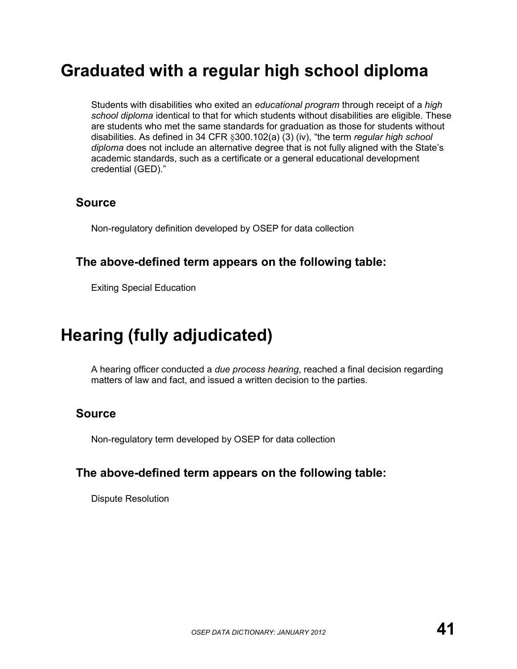## **Graduated with a regular high school diploma**

Students with disabilities who exited an *educational program* through receipt of a *high school diploma* identical to that for which students without disabilities are eligible. These are students who met the same standards for graduation as those for students without disabilities. As defined in 34 CFR §300.102(a) (3) (iv), "the term *regular high school diploma* does not include an alternative degree that is not fully aligned with the State's academic standards, such as a certificate or a general educational development credential (GED)."

#### **Source**

Non-regulatory definition developed by OSEP for data collection

#### **The above-defined term appears on the following table:**

Exiting Special Education

## **Hearing (fully adjudicated)**

A hearing officer conducted a *due process hearing*, reached a final decision regarding matters of law and fact, and issued a written decision to the parties.

#### **Source**

Non-regulatory term developed by OSEP for data collection

#### **The above-defined term appears on the following table:**

Dispute Resolution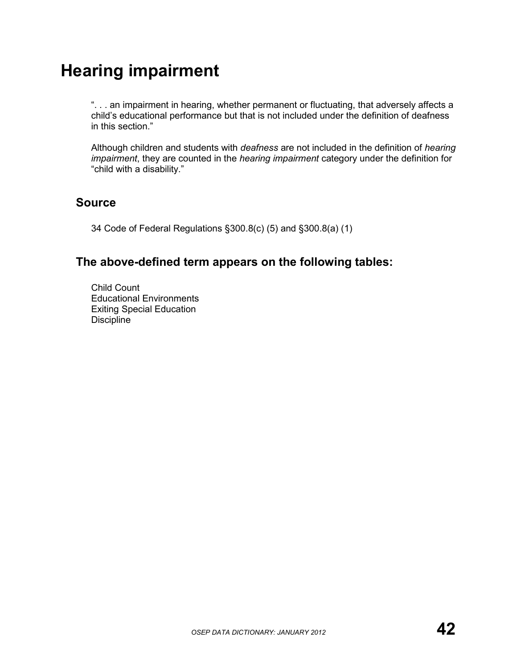# **Hearing impairment**

". . . an impairment in hearing, whether permanent or fluctuating, that adversely affects a child's educational performance but that is not included under the definition of deafness in this section."

Although children and students with *deafness* are not included in the definition of *hearing impairment*, they are counted in the *hearing impairment* category under the definition for "child with a disability."

#### **Source**

34 Code of Federal Regulations §300.8(c) (5) and §300.8(a) (1)

### **The above-defined term appears on the following tables:**

Child Count Educational Environments Exiting Special Education Discipline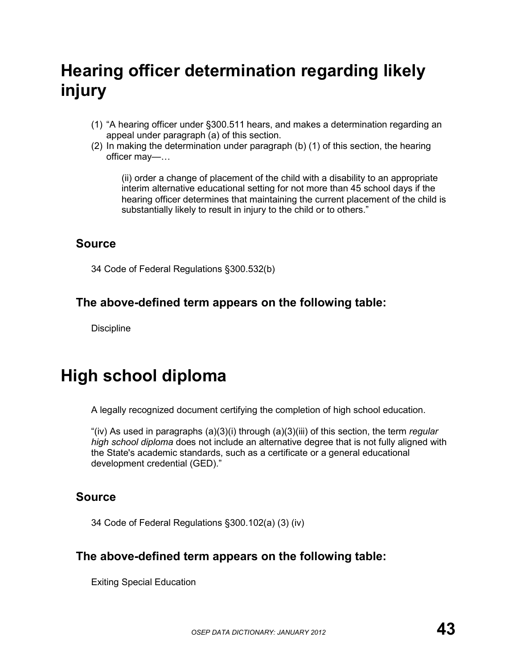# **Hearing officer determination regarding likely injury**

- (1) "A hearing officer under §300.511 hears, and makes a determination regarding an appeal under paragraph (a) of this section.
- (2) In making the determination under paragraph (b) (1) of this section, the hearing officer may—…

(ii) order a change of placement of the child with a disability to an appropriate interim alternative educational setting for not more than 45 school days if the hearing officer determines that maintaining the current placement of the child is substantially likely to result in injury to the child or to others."

#### **Source**

34 Code of Federal Regulations §300.532(b)

### **The above-defined term appears on the following table:**

**Discipline** 

# **High school diploma**

A legally recognized document certifying the completion of high school education.

"(iv) As used in paragraphs (a)(3)(i) through (a)(3)(iii) of this section, the term *regular high school diploma* does not include an alternative degree that is not fully aligned with the State's academic standards, such as a certificate or a general educational development credential (GED)."

### **Source**

34 Code of Federal Regulations §300.102(a) (3) (iv)

### **The above-defined term appears on the following table:**

Exiting Special Education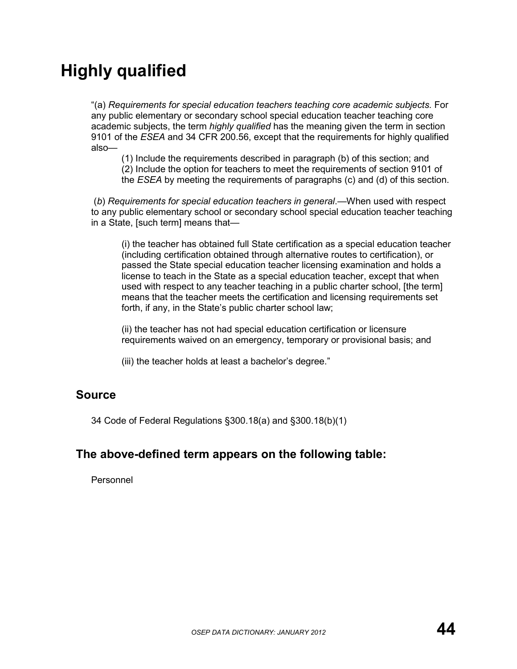# **Highly qualified**

"(a) *Requirements for special education teachers teaching core academic subjects.* For any public elementary or secondary school special education teacher teaching core academic subjects, the term *highly qualified* has the meaning given the term in section 9101 of the *ESEA* and 34 CFR 200.56, except that the requirements for highly qualified also—

(1) Include the requirements described in paragraph (b) of this section; and (2) Include the option for teachers to meet the requirements of section 9101 of the *ESEA* by meeting the requirements of paragraphs (c) and (d) of this section.

 (*b*) *Requirements for special education teachers in general*.—When used with respect to any public elementary school or secondary school special education teacher teaching in a State, [such term] means that—

(i) the teacher has obtained full State certification as a special education teacher (including certification obtained through alternative routes to certification), or passed the State special education teacher licensing examination and holds a license to teach in the State as a special education teacher, except that when used with respect to any teacher teaching in a public charter school, [the term] means that the teacher meets the certification and licensing requirements set forth, if any, in the State's public charter school law;

(ii) the teacher has not had special education certification or licensure requirements waived on an emergency, temporary or provisional basis; and

(iii) the teacher holds at least a bachelor's degree."

#### **Source**

34 Code of Federal Regulations §300.18(a) and §300.18(b)(1)

#### **The above-defined term appears on the following table:**

Personnel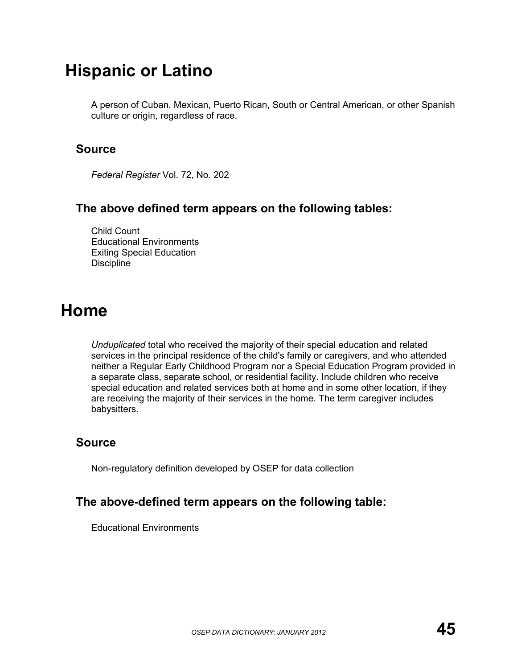### **Hispanic or Latino**

A person of Cuban, Mexican, Puerto Rican, South or Central American, or other Spanish culture or origin, regardless of race.

#### **Source**

*Federal Register* Vol. 72, No. 202

#### **The above defined term appears on the following tables:**

Child Count Educational Environments Exiting Special Education **Discipline** 

### **Home**

*Unduplicated* total who received the majority of their special education and related services in the principal residence of the child's family or caregivers, and who attended neither a Regular Early Childhood Program nor a Special Education Program provided in a separate class, separate school, or residential facility. Include children who receive special education and related services both at home and in some other location, if they are receiving the majority of their services in the home. The term caregiver includes babysitters.

#### **Source**

Non-regulatory definition developed by OSEP for data collection

#### **The above-defined term appears on the following table:**

Educational Environments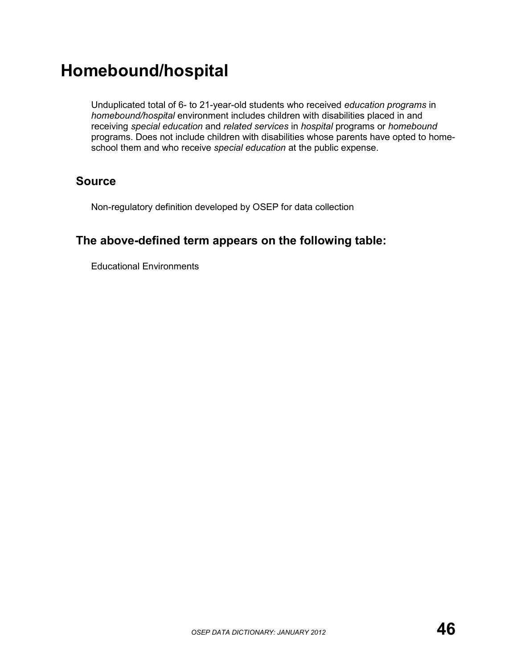## **Homebound/hospital**

Unduplicated total of 6- to 21-year-old students who received *education programs* in *homebound/hospital* environment includes children with disabilities placed in and receiving *special education* and *related services* in *hospital* programs or *homebound* programs. Does not include children with disabilities whose parents have opted to homeschool them and who receive *special education* at the public expense.

#### **Source**

Non-regulatory definition developed by OSEP for data collection

### **The above-defined term appears on the following table:**

Educational Environments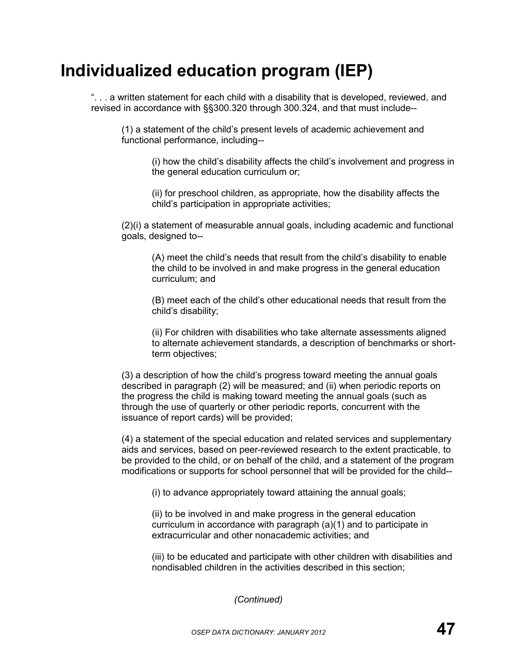# **Individualized education program (IEP)**

". . . a written statement for each child with a disability that is developed, reviewed, and revised in accordance with §§300.320 through 300.324, and that must include--

(1) a statement of the child's present levels of academic achievement and functional performance, including--

(i) how the child's disability affects the child's involvement and progress in the general education curriculum or;

(ii) for preschool children, as appropriate, how the disability affects the child's participation in appropriate activities;

(2)(i) a statement of measurable annual goals, including academic and functional goals, designed to--

(A) meet the child's needs that result from the child's disability to enable the child to be involved in and make progress in the general education curriculum; and

(B) meet each of the child's other educational needs that result from the child's disability;

(ii) For children with disabilities who take alternate assessments aligned to alternate achievement standards, a description of benchmarks or shortterm objectives;

(3) a description of how the child's progress toward meeting the annual goals described in paragraph (2) will be measured; and (ii) when periodic reports on the progress the child is making toward meeting the annual goals (such as through the use of quarterly or other periodic reports, concurrent with the issuance of report cards) will be provided;

(4) a statement of the special education and related services and supplementary aids and services, based on peer-reviewed research to the extent practicable, to be provided to the child, or on behalf of the child, and a statement of the program modifications or supports for school personnel that will be provided for the child--

(i) to advance appropriately toward attaining the annual goals;

(ii) to be involved in and make progress in the general education curriculum in accordance with paragraph (a)(1) and to participate in extracurricular and other nonacademic activities; and

(iii) to be educated and participate with other children with disabilities and nondisabled children in the activities described in this section;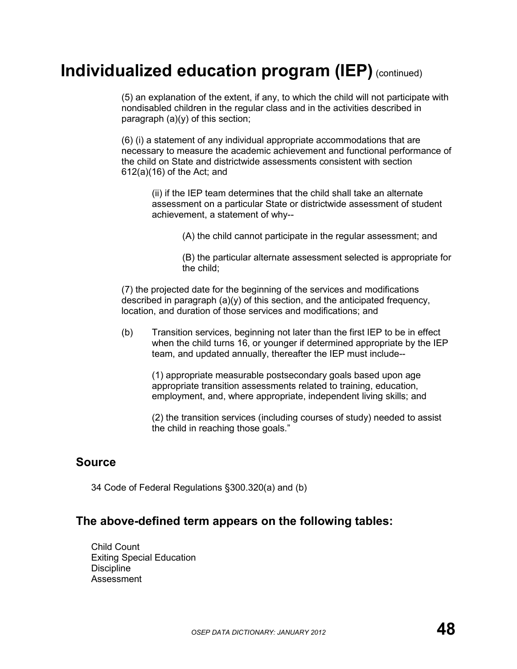## **Individualized education program (IEP)** (continued)

(5) an explanation of the extent, if any, to which the child will not participate with nondisabled children in the regular class and in the activities described in paragraph (a)(y) of this section;

(6) (i) a statement of any individual appropriate accommodations that are necessary to measure the academic achievement and functional performance of the child on State and districtwide assessments consistent with section 612(a)(16) of the Act; and

(ii) if the IEP team determines that the child shall take an alternate assessment on a particular State or districtwide assessment of student achievement, a statement of why--

(A) the child cannot participate in the regular assessment; and

(B) the particular alternate assessment selected is appropriate for the child;

(7) the projected date for the beginning of the services and modifications described in paragraph  $(a)(y)$  of this section, and the anticipated frequency, location, and duration of those services and modifications; and

(b) Transition services, beginning not later than the first IEP to be in effect when the child turns 16, or younger if determined appropriate by the IEP team, and updated annually, thereafter the IEP must include--

(1) appropriate measurable postsecondary goals based upon age appropriate transition assessments related to training, education, employment, and, where appropriate, independent living skills; and

(2) the transition services (including courses of study) needed to assist the child in reaching those goals."

#### **Source**

34 Code of Federal Regulations §300.320(a) and (b)

#### **The above-defined term appears on the following tables:**

Child Count Exiting Special Education **Discipline** Assessment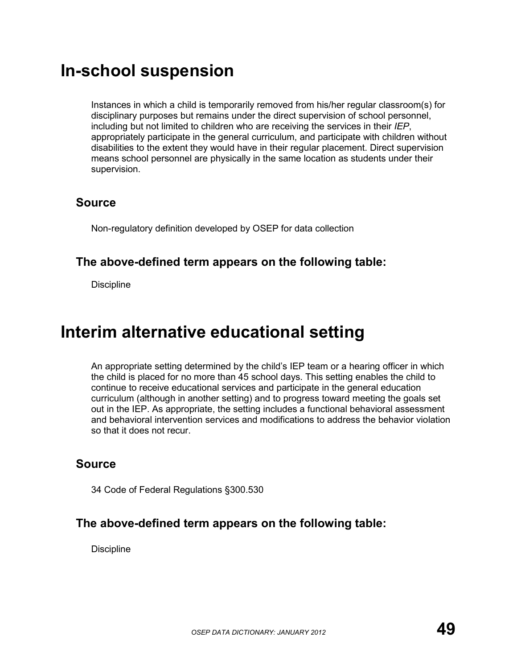### **In-school suspension**

Instances in which a child is temporarily removed from his/her regular classroom(s) for disciplinary purposes but remains under the direct supervision of school personnel, including but not limited to children who are receiving the services in their *IEP*, appropriately participate in the general curriculum, and participate with children without disabilities to the extent they would have in their regular placement. Direct supervision means school personnel are physically in the same location as students under their supervision.

#### **Source**

Non-regulatory definition developed by OSEP for data collection

#### **The above-defined term appears on the following table:**

**Discipline** 

## **Interim alternative educational setting**

An appropriate setting determined by the child's IEP team or a hearing officer in which the child is placed for no more than 45 school days. This setting enables the child to continue to receive educational services and participate in the general education curriculum (although in another setting) and to progress toward meeting the goals set out in the IEP. As appropriate, the setting includes a functional behavioral assessment and behavioral intervention services and modifications to address the behavior violation so that it does not recur.

#### **Source**

34 Code of Federal Regulations §300.530

#### **The above-defined term appears on the following table:**

**Discipline**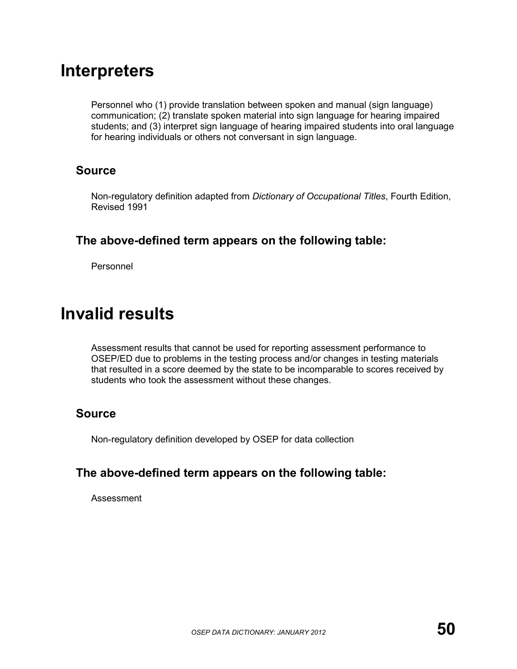### **Interpreters**

Personnel who (1) provide translation between spoken and manual (sign language) communication; (2) translate spoken material into sign language for hearing impaired students; and (3) interpret sign language of hearing impaired students into oral language for hearing individuals or others not conversant in sign language.

#### **Source**

Non-regulatory definition adapted from *Dictionary of Occupational Titles*, Fourth Edition, Revised 1991

#### **The above-defined term appears on the following table:**

Personnel

### **Invalid results**

Assessment results that cannot be used for reporting assessment performance to OSEP/ED due to problems in the testing process and/or changes in testing materials that resulted in a score deemed by the state to be incomparable to scores received by students who took the assessment without these changes.

#### **Source**

Non-regulatory definition developed by OSEP for data collection

#### **The above-defined term appears on the following table:**

Assessment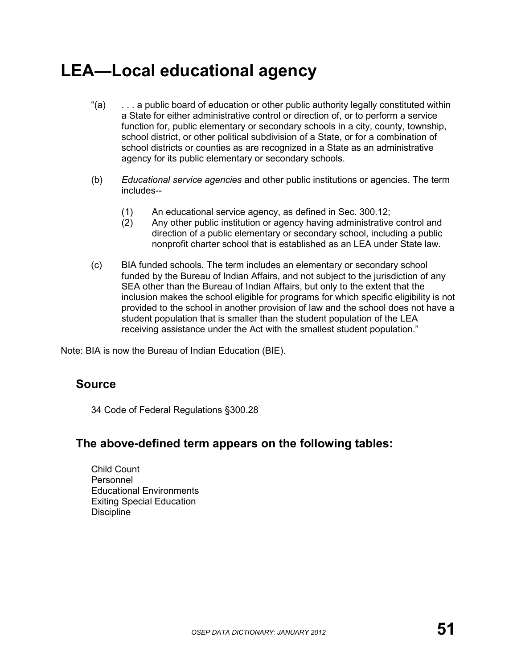## **LEA—Local educational agency**

- "(a) . . . a public board of education or other public authority legally constituted within a State for either administrative control or direction of, or to perform a service function for, public elementary or secondary schools in a city, county, township, school district, or other political subdivision of a State, or for a combination of school districts or counties as are recognized in a State as an administrative agency for its public elementary or secondary schools.
- (b) *Educational service agencies* and other public institutions or agencies. The term includes--
	- (1) An educational service agency, as defined in Sec. 300.12;<br>(2) Any other public institution or agency having administrative
	- Any other public institution or agency having administrative control and direction of a public elementary or secondary school, including a public nonprofit charter school that is established as an LEA under State law.
- (c) BIA funded schools. The term includes an elementary or secondary school funded by the Bureau of Indian Affairs, and not subject to the jurisdiction of any SEA other than the Bureau of Indian Affairs, but only to the extent that the inclusion makes the school eligible for programs for which specific eligibility is not provided to the school in another provision of law and the school does not have a student population that is smaller than the student population of the LEA receiving assistance under the Act with the smallest student population."

Note: BIA is now the Bureau of Indian Education (BIE).

#### **Source**

34 Code of Federal Regulations §300.28

#### **The above-defined term appears on the following tables:**

Child Count Personnel Educational Environments Exiting Special Education **Discipline**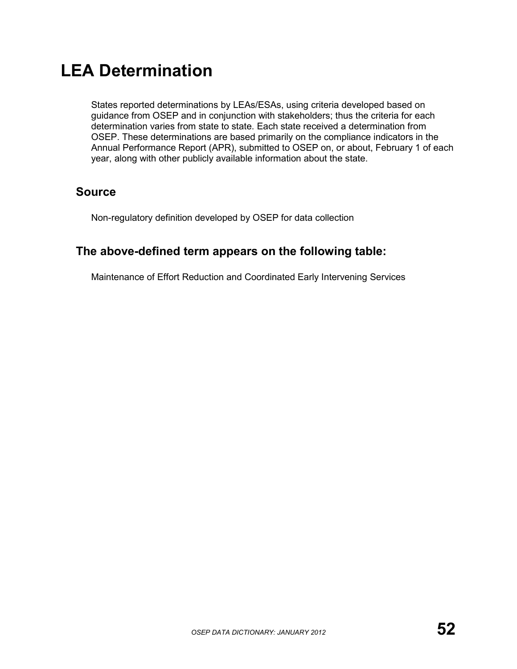## **LEA Determination**

States reported determinations by LEAs/ESAs, using criteria developed based on guidance from OSEP and in conjunction with stakeholders; thus the criteria for each determination varies from state to state. Each state received a determination from OSEP. These determinations are based primarily on the compliance indicators in the Annual Performance Report (APR), submitted to OSEP on, or about, February 1 of each year, along with other publicly available information about the state.

### **Source**

Non-regulatory definition developed by OSEP for data collection

### **The above-defined term appears on the following table:**

Maintenance of Effort Reduction and Coordinated Early Intervening Services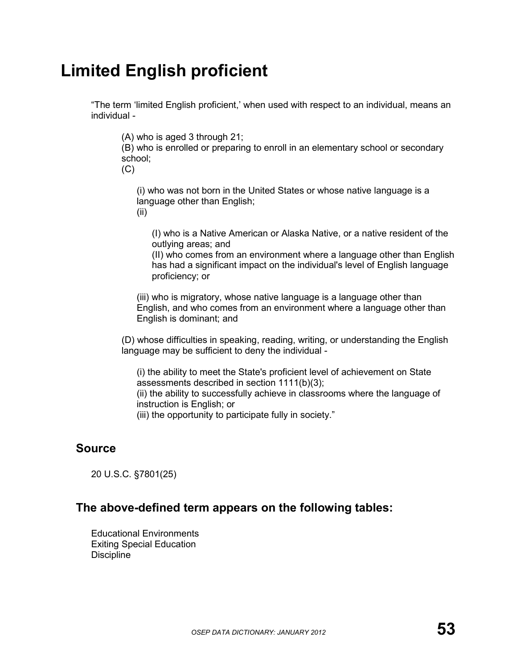# **Limited English proficient**

"The term 'limited English proficient,' when used with respect to an individual, means an individual -

(A) who is aged 3 through 21;

(B) who is enrolled or preparing to enroll in an elementary school or secondary school;

 $(C)$ 

(i) who was not born in the United States or whose native language is a language other than English;

(ii)

(I) who is a Native American or Alaska Native, or a native resident of the outlying areas; and

(II) who comes from an environment where a language other than English has had a significant impact on the individual's level of English language proficiency; or

(iii) who is migratory, whose native language is a language other than English, and who comes from an environment where a language other than English is dominant; and

(D) whose difficulties in speaking, reading, writing, or understanding the English language may be sufficient to deny the individual -

(i) the ability to meet the State's proficient level of achievement on State assessments described in section 1111(b)(3); (ii) the ability to successfully achieve in classrooms where the language of

instruction is English; or (iii) the opportunity to participate fully in society."

#### **Source**

20 U.S.C. §7801(25)

#### **The above-defined term appears on the following tables:**

Educational Environments Exiting Special Education **Discipline**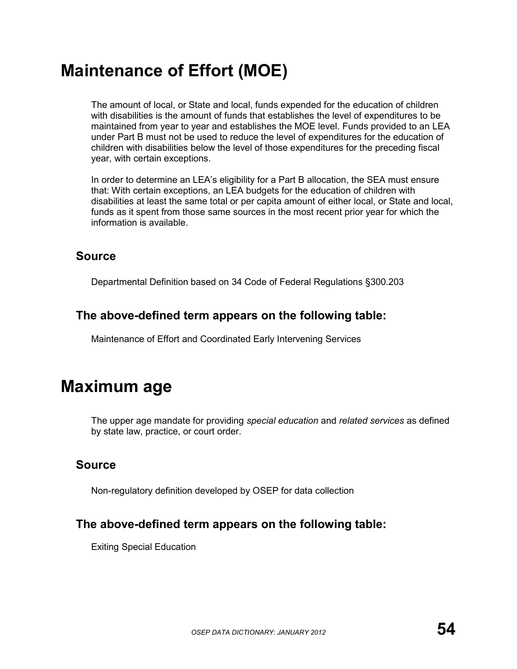# **Maintenance of Effort (MOE)**

The amount of local, or State and local, funds expended for the education of children with disabilities is the amount of funds that establishes the level of expenditures to be maintained from year to year and establishes the MOE level. Funds provided to an LEA under Part B must not be used to reduce the level of expenditures for the education of children with disabilities below the level of those expenditures for the preceding fiscal year, with certain exceptions.

In order to determine an LEA's eligibility for a Part B allocation, the SEA must ensure that: With certain exceptions, an LEA budgets for the education of children with disabilities at least the same total or per capita amount of either local, or State and local, funds as it spent from those same sources in the most recent prior year for which the information is available.

#### **Source**

Departmental Definition based on 34 Code of Federal Regulations §300.203

### **The above-defined term appears on the following table:**

Maintenance of Effort and Coordinated Early Intervening Services

## **Maximum age**

The upper age mandate for providing *special education* and *related services* as defined by state law, practice, or court order.

### **Source**

Non-regulatory definition developed by OSEP for data collection

### **The above-defined term appears on the following table:**

Exiting Special Education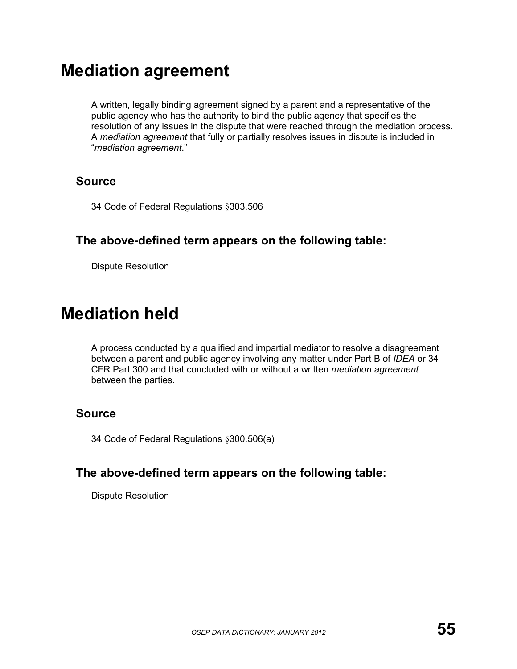## **Mediation agreement**

A written, legally binding agreement signed by a parent and a representative of the public agency who has the authority to bind the public agency that specifies the resolution of any issues in the dispute that were reached through the mediation process. A *mediation agreement* that fully or partially resolves issues in dispute is included in "*mediation agreement*."

#### **Source**

34 Code of Federal Regulations §303.506

### **The above-defined term appears on the following table:**

Dispute Resolution

## **Mediation held**

A process conducted by a qualified and impartial mediator to resolve a disagreement between a parent and public agency involving any matter under Part B of *IDEA* or 34 CFR Part 300 and that concluded with or without a written *mediation agreement* between the parties.

### **Source**

34 Code of Federal Regulations §300.506(a)

### **The above-defined term appears on the following table:**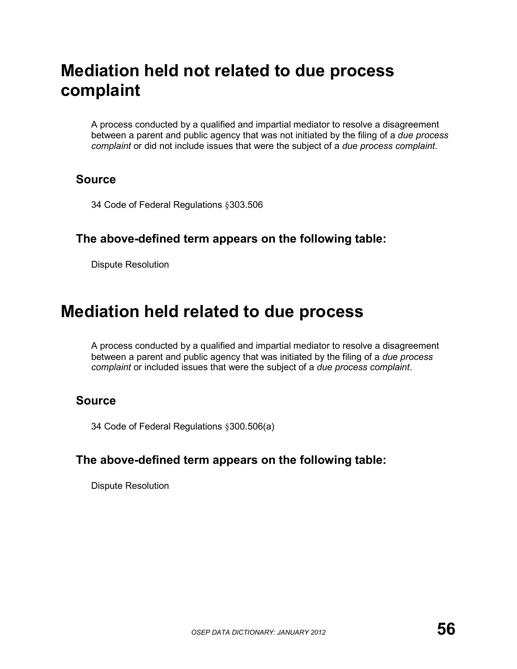# **Mediation held not related to due process complaint**

A process conducted by a qualified and impartial mediator to resolve a disagreement between a parent and public agency that was not initiated by the filing of a *due process complaint* or did not include issues that were the subject of a *due process complaint*.

#### **Source**

34 Code of Federal Regulations §303.506

#### **The above-defined term appears on the following table:**

Dispute Resolution

## **Mediation held related to due process**

A process conducted by a qualified and impartial mediator to resolve a disagreement between a parent and public agency that was initiated by the filing of a *due process complaint* or included issues that were the subject of a *due process complaint*.

### **Source**

34 Code of Federal Regulations §300.506(a)

#### **The above-defined term appears on the following table:**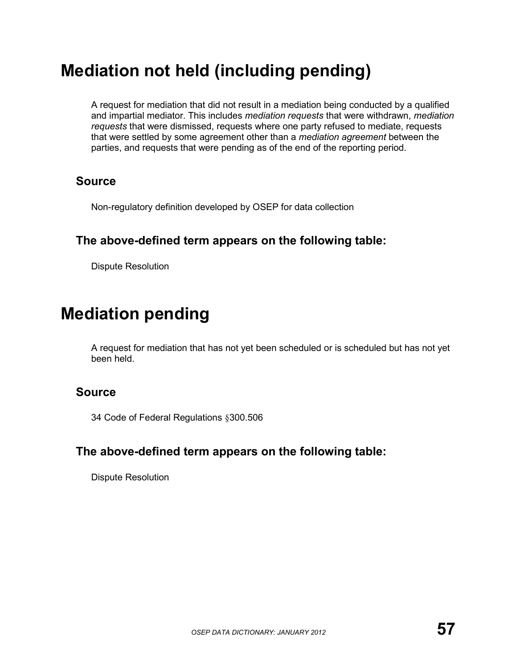# **Mediation not held (including pending)**

A request for mediation that did not result in a mediation being conducted by a qualified and impartial mediator. This includes *mediation requests* that were withdrawn, *mediation requests* that were dismissed, requests where one party refused to mediate, requests that were settled by some agreement other than a *mediation agreement* between the parties, and requests that were pending as of the end of the reporting period.

#### **Source**

Non-regulatory definition developed by OSEP for data collection

### **The above-defined term appears on the following table:**

Dispute Resolution

## **Mediation pending**

A request for mediation that has not yet been scheduled or is scheduled but has not yet been held.

### **Source**

34 Code of Federal Regulations §300.506

### **The above-defined term appears on the following table:**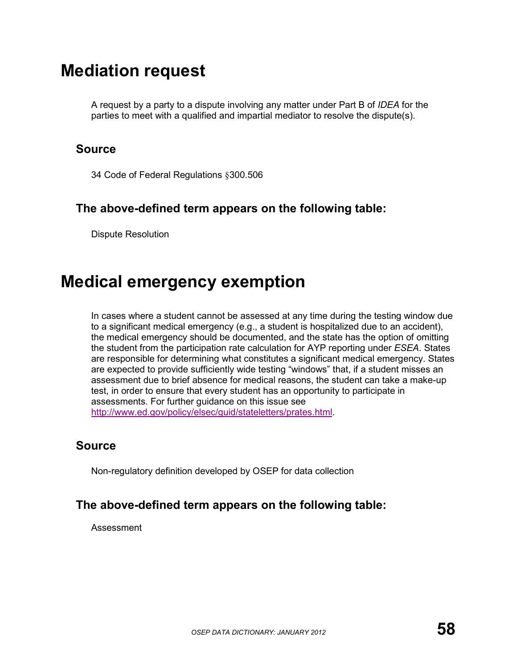## **Mediation request**

A request by a party to a dispute involving any matter under Part B of *IDEA* for the parties to meet with a qualified and impartial mediator to resolve the dispute(s).

#### **Source**

34 Code of Federal Regulations §300.506

#### **The above-defined term appears on the following table:**

Dispute Resolution

## **Medical emergency exemption**

In cases where a student cannot be assessed at any time during the testing window due to a significant medical emergency (e.g., a student is hospitalized due to an accident), the medical emergency should be documented, and the state has the option of omitting the student from the participation rate calculation for AYP reporting under *ESEA*. States are responsible for determining what constitutes a significant medical emergency. States are expected to provide sufficiently wide testing "windows" that, if a student misses an assessment due to brief absence for medical reasons, the student can take a make-up test, in order to ensure that every student has an opportunity to participate in assessments. For further guidance on this issue see [http://www.ed.gov/policy/elsec/guid/stateletters/prates.html.](http://www.ed.gov/policy/elsec/guid/stateletters/prates.html)

### **Source**

Non-regulatory definition developed by OSEP for data collection

### **The above-defined term appears on the following table:**

Assessment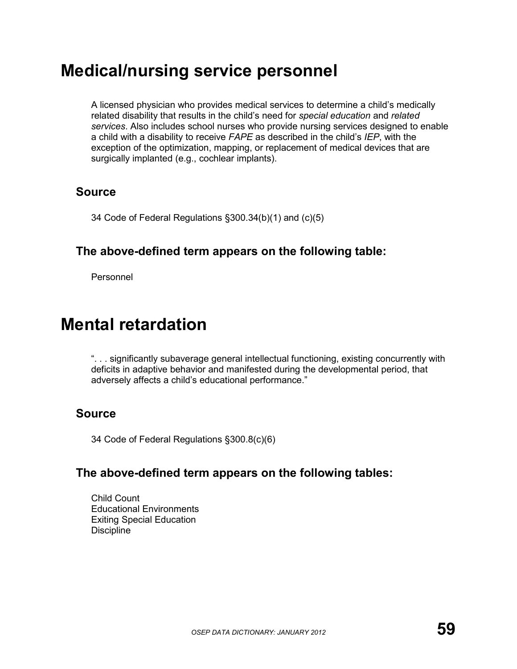## **Medical/nursing service personnel**

A licensed physician who provides medical services to determine a child's medically related disability that results in the child's need for *special education* and *related services*. Also includes school nurses who provide nursing services designed to enable a child with a disability to receive *FAPE* as described in the child's *IEP*, with the exception of the optimization, mapping, or replacement of medical devices that are surgically implanted (e.g., cochlear implants).

### **Source**

34 Code of Federal Regulations §300.34(b)(1) and (c)(5)

### **The above-defined term appears on the following table:**

Personnel

## **Mental retardation**

". . . significantly subaverage general intellectual functioning, existing concurrently with deficits in adaptive behavior and manifested during the developmental period, that adversely affects a child's educational performance."

## **Source**

34 Code of Federal Regulations §300.8(c)(6)

### **The above-defined term appears on the following tables:**

Child Count Educational Environments Exiting Special Education **Discipline**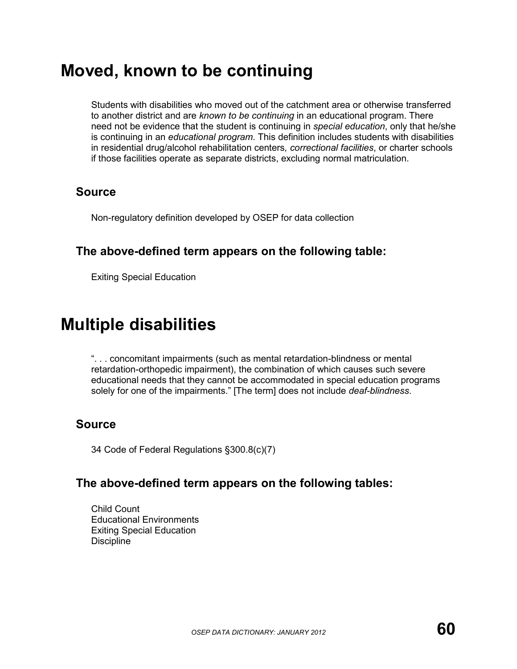## **Moved, known to be continuing**

Students with disabilities who moved out of the catchment area or otherwise transferred to another district and are *known to be continuing* in an educational program. There need not be evidence that the student is continuing in *special education*, only that he/she is continuing in an *educational program*. This definition includes students with disabilities in residential drug/alcohol rehabilitation centers*, correctional facilities*, or charter schools if those facilities operate as separate districts, excluding normal matriculation.

### **Source**

Non-regulatory definition developed by OSEP for data collection

### **The above-defined term appears on the following table:**

Exiting Special Education

## **Multiple disabilities**

". . . concomitant impairments (such as mental retardation-blindness or mental retardation-orthopedic impairment), the combination of which causes such severe educational needs that they cannot be accommodated in special education programs solely for one of the impairments." [The term] does not include *deaf-blindness*.

### **Source**

34 Code of Federal Regulations §300.8(c)(7)

#### **The above-defined term appears on the following tables:**

Child Count Educational Environments Exiting Special Education **Discipline**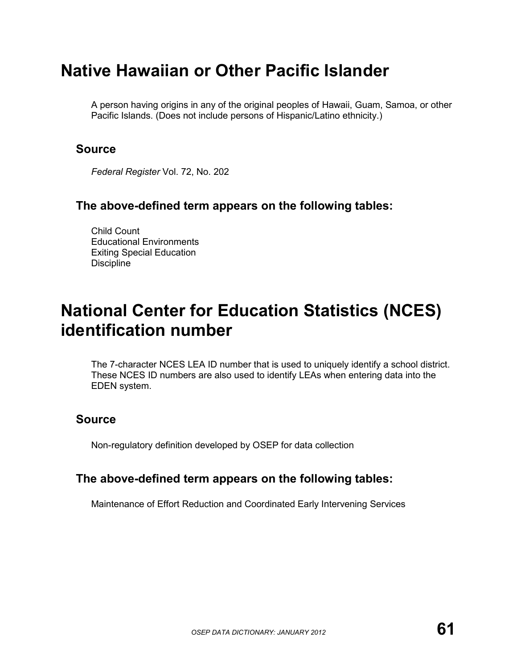## **Native Hawaiian or Other Pacific Islander**

A person having origins in any of the original peoples of Hawaii, Guam, Samoa, or other Pacific Islands. (Does not include persons of Hispanic/Latino ethnicity.)

### **Source**

*Federal Register* Vol. 72, No. 202

### **The above-defined term appears on the following tables:**

Child Count Educational Environments Exiting Special Education **Discipline** 

## **National Center for Education Statistics (NCES) identification number**

The 7-character NCES LEA ID number that is used to uniquely identify a school district. These NCES ID numbers are also used to identify LEAs when entering data into the EDEN system.

## **Source**

Non-regulatory definition developed by OSEP for data collection

### **The above-defined term appears on the following tables:**

Maintenance of Effort Reduction and Coordinated Early Intervening Services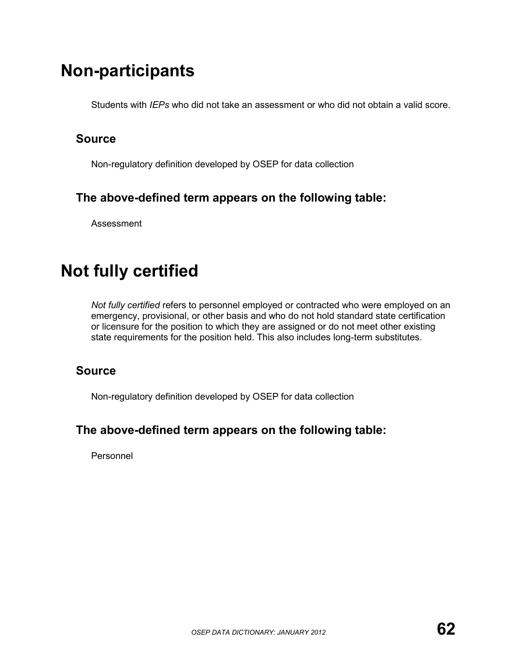# **Non-participants**

Students with *IEPs* who did not take an assessment or who did not obtain a valid score.

## **Source**

Non-regulatory definition developed by OSEP for data collection

## **The above-defined term appears on the following table:**

Assessment

# **Not fully certified**

*Not fully certified* refers to personnel employed or contracted who were employed on an emergency, provisional, or other basis and who do not hold standard state certification or licensure for the position to which they are assigned or do not meet other existing state requirements for the position held. This also includes long-term substitutes.

## **Source**

Non-regulatory definition developed by OSEP for data collection

## **The above-defined term appears on the following table:**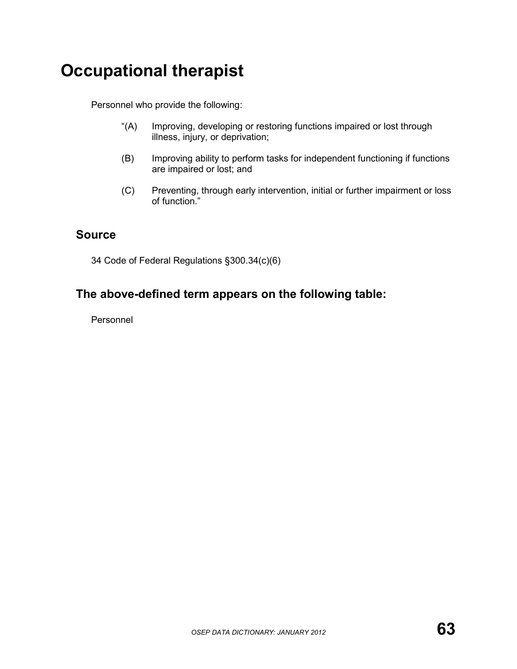# **Occupational therapist**

Personnel who provide the following:

- "(A) Improving, developing or restoring functions impaired or lost through illness, injury, or deprivation;
- (B) Improving ability to perform tasks for independent functioning if functions are impaired or lost; and
- (C) Preventing, through early intervention, initial or further impairment or loss of function."

### **Source**

34 Code of Federal Regulations §300.34(c)(6)

## **The above-defined term appears on the following table:**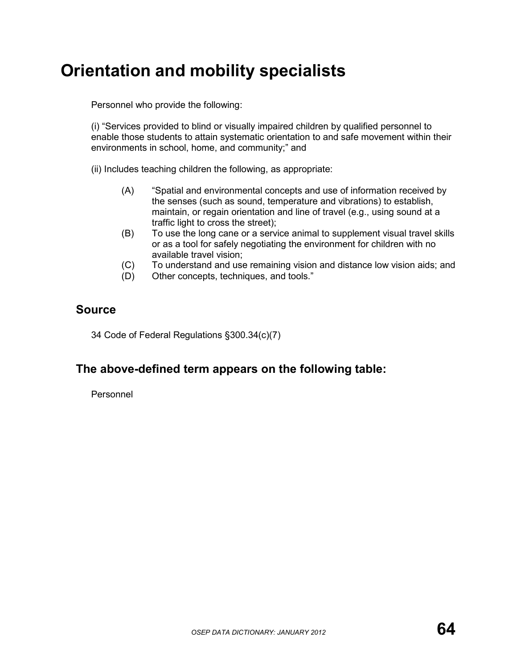# **Orientation and mobility specialists**

Personnel who provide the following:

(i) "Services provided to blind or visually impaired children by qualified personnel to enable those students to attain systematic orientation to and safe movement within their environments in school, home, and community;" and

(ii) Includes teaching children the following, as appropriate:

- (A) "Spatial and environmental concepts and use of information received by the senses (such as sound, temperature and vibrations) to establish, maintain, or regain orientation and line of travel (e.g., using sound at a traffic light to cross the street);
- (B) To use the long cane or a service animal to supplement visual travel skills or as a tool for safely negotiating the environment for children with no available travel vision;
- (C) To understand and use remaining vision and distance low vision aids; and
- (D) Other concepts, techniques, and tools."

### **Source**

34 Code of Federal Regulations §300.34(c)(7)

### **The above-defined term appears on the following table:**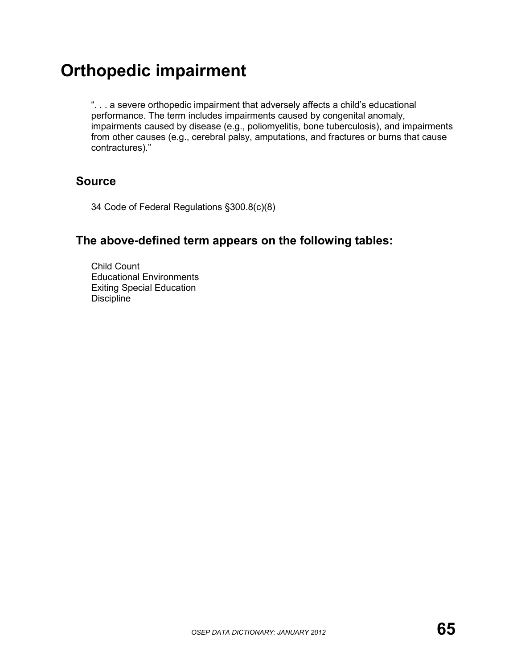# **Orthopedic impairment**

". . . a severe orthopedic impairment that adversely affects a child's educational performance. The term includes impairments caused by congenital anomaly, impairments caused by disease (e.g., poliomyelitis, bone tuberculosis), and impairments from other causes (e.g., cerebral palsy, amputations, and fractures or burns that cause contractures)."

### **Source**

34 Code of Federal Regulations §300.8(c)(8)

## **The above-defined term appears on the following tables:**

Child Count Educational Environments Exiting Special Education **Discipline**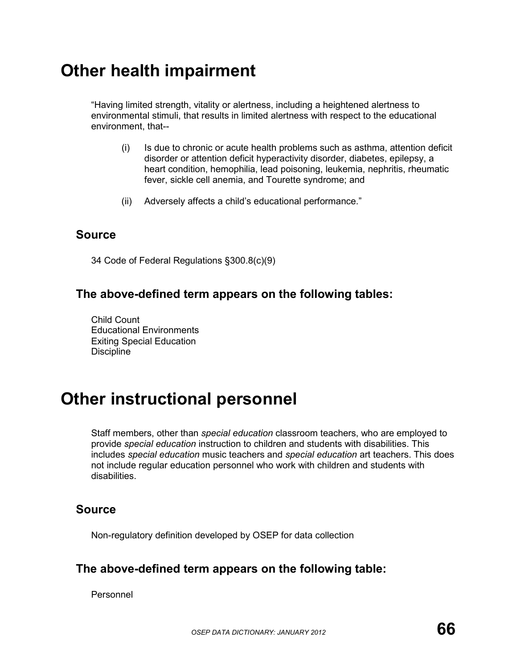## **Other health impairment**

"Having limited strength, vitality or alertness, including a heightened alertness to environmental stimuli, that results in limited alertness with respect to the educational environment, that--

- (i) Is due to chronic or acute health problems such as asthma, attention deficit disorder or attention deficit hyperactivity disorder, diabetes, epilepsy, a heart condition, hemophilia, lead poisoning, leukemia, nephritis, rheumatic fever, sickle cell anemia, and Tourette syndrome; and
- (ii) Adversely affects a child's educational performance."

#### **Source**

34 Code of Federal Regulations §300.8(c)(9)

### **The above-defined term appears on the following tables:**

Child Count Educational Environments Exiting Special Education **Discipline** 

## **Other instructional personnel**

Staff members, other than *special education* classroom teachers, who are employed to provide *special education* instruction to children and students with disabilities. This includes *special education* music teachers and *special education* art teachers. This does not include regular education personnel who work with children and students with disabilities.

### **Source**

Non-regulatory definition developed by OSEP for data collection

### **The above-defined term appears on the following table:**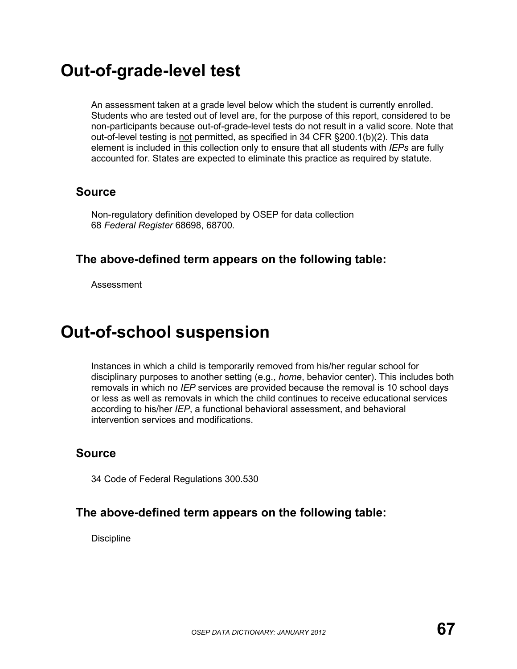## **Out-of-grade-level test**

An assessment taken at a grade level below which the student is currently enrolled. Students who are tested out of level are, for the purpose of this report, considered to be non-participants because out-of-grade-level tests do not result in a valid score. Note that out-of-level testing is not permitted, as specified in 34 CFR §200.1(b)(2). This data element is included in this collection only to ensure that all students with *IEPs* are fully accounted for. States are expected to eliminate this practice as required by statute.

### **Source**

Non-regulatory definition developed by OSEP for data collection 68 *Federal Register* 68698, 68700.

### **The above-defined term appears on the following table:**

Assessment

## **Out-of-school suspension**

Instances in which a child is temporarily removed from his/her regular school for disciplinary purposes to another setting (e.g., *home*, behavior center). This includes both removals in which no *IEP* services are provided because the removal is 10 school days or less as well as removals in which the child continues to receive educational services according to his/her *IEP*, a functional behavioral assessment, and behavioral intervention services and modifications.

### **Source**

34 Code of Federal Regulations 300.530

### **The above-defined term appears on the following table:**

**Discipline**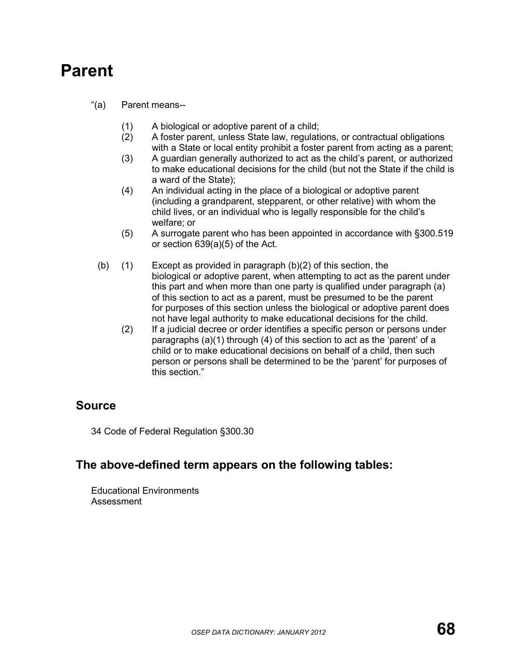## **Parent**

- "(a) Parent means--
	- (1) A biological or adoptive parent of a child;
	- (2) A foster parent, unless State law, regulations, or contractual obligations with a State or local entity prohibit a foster parent from acting as a parent;
	- (3) A guardian generally authorized to act as the child's parent, or authorized to make educational decisions for the child (but not the State if the child is a ward of the State);
	- (4) An individual acting in the place of a biological or adoptive parent (including a grandparent, stepparent, or other relative) with whom the child lives, or an individual who is legally responsible for the child's welfare; or
	- (5) A surrogate parent who has been appointed in accordance with §300.519 or section 639(a)(5) of the Act.
	- (b)  $(1)$  Except as provided in paragraph  $(b)(2)$  of this section, the biological or adoptive parent, when attempting to act as the parent under this part and when more than one party is qualified under paragraph (a) of this section to act as a parent, must be presumed to be the parent for purposes of this section unless the biological or adoptive parent does not have legal authority to make educational decisions for the child.
		- (2) If a judicial decree or order identifies a specific person or persons under paragraphs (a)(1) through (4) of this section to act as the 'parent' of a child or to make educational decisions on behalf of a child, then such person or persons shall be determined to be the 'parent' for purposes of this section."

### **Source**

34 Code of Federal Regulation §300.30

#### **The above-defined term appears on the following tables:**

Educational Environments Assessment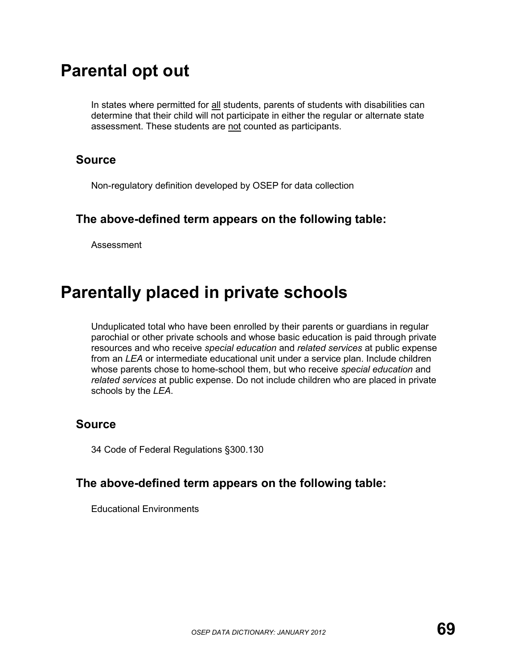## **Parental opt out**

In states where permitted for all students, parents of students with disabilities can determine that their child will not participate in either the regular or alternate state assessment. These students are not counted as participants.

#### **Source**

Non-regulatory definition developed by OSEP for data collection

#### **The above-defined term appears on the following table:**

Assessment

## **Parentally placed in private schools**

Unduplicated total who have been enrolled by their parents or guardians in regular parochial or other private schools and whose basic education is paid through private resources and who receive *special education* and *related services* at public expense from an *LEA* or intermediate educational unit under a service plan. Include children whose parents chose to home-school them, but who receive *special education* and *related services* at public expense. Do not include children who are placed in private schools by the *LEA*.

#### **Source**

34 Code of Federal Regulations §300.130

#### **The above-defined term appears on the following table:**

Educational Environments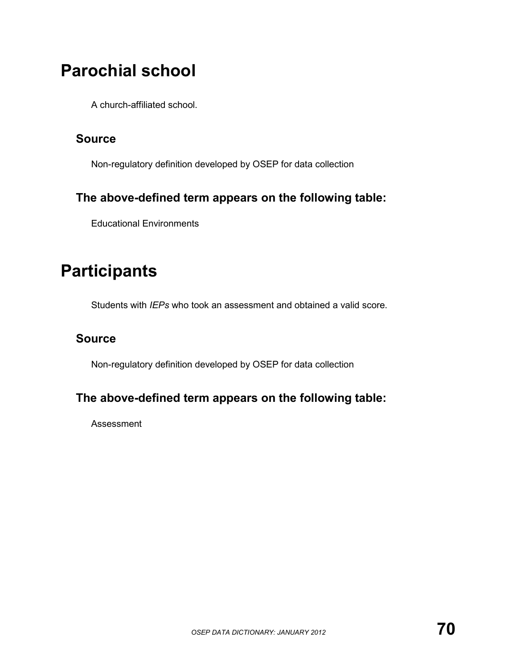# **Parochial school**

A church-affiliated school.

### **Source**

Non-regulatory definition developed by OSEP for data collection

## **The above-defined term appears on the following table:**

Educational Environments

# **Participants**

Students with *IEPs* who took an assessment and obtained a valid score.

## **Source**

Non-regulatory definition developed by OSEP for data collection

## **The above-defined term appears on the following table:**

Assessment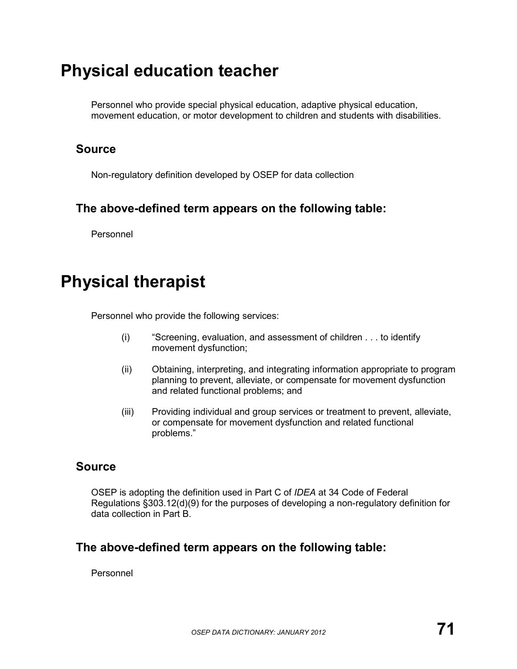## **Physical education teacher**

Personnel who provide special physical education, adaptive physical education, movement education, or motor development to children and students with disabilities.

### **Source**

Non-regulatory definition developed by OSEP for data collection

## **The above-defined term appears on the following table:**

Personnel

## **Physical therapist**

Personnel who provide the following services:

- (i) "Screening, evaluation, and assessment of children . . . to identify movement dysfunction;
- (ii) Obtaining, interpreting, and integrating information appropriate to program planning to prevent, alleviate, or compensate for movement dysfunction and related functional problems; and
- (iii) Providing individual and group services or treatment to prevent, alleviate, or compensate for movement dysfunction and related functional problems."

## **Source**

OSEP is adopting the definition used in Part C of *IDEA* at 34 Code of Federal Regulations §303.12(d)(9) for the purposes of developing a non-regulatory definition for data collection in Part B.

## **The above-defined term appears on the following table:**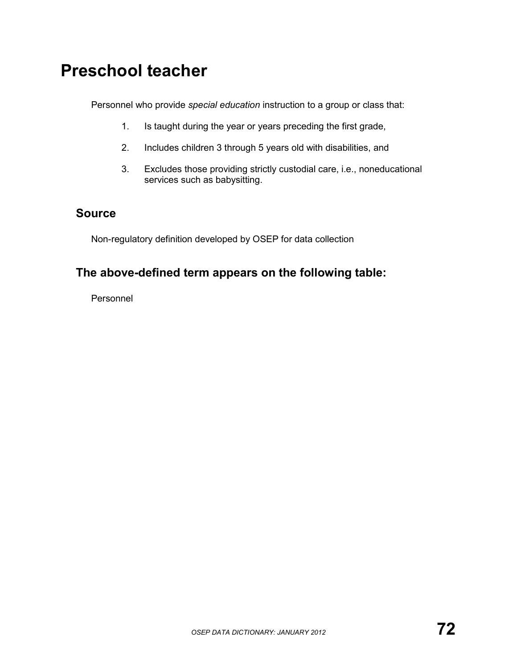## **Preschool teacher**

Personnel who provide *special education* instruction to a group or class that:

- 1. Is taught during the year or years preceding the first grade,
- 2. Includes children 3 through 5 years old with disabilities, and
- 3. Excludes those providing strictly custodial care, i.e., noneducational services such as babysitting.

### **Source**

Non-regulatory definition developed by OSEP for data collection

## **The above-defined term appears on the following table:**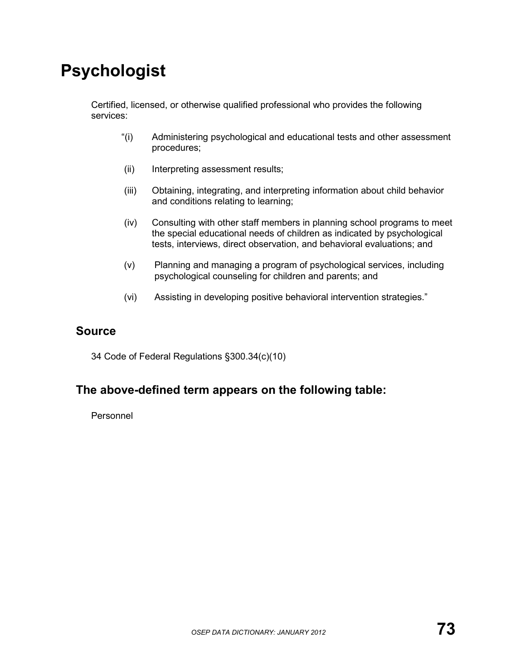# **Psychologist**

Certified, licensed, or otherwise qualified professional who provides the following services:

- "(i) Administering psychological and educational tests and other assessment procedures;
- (ii) Interpreting assessment results;
- (iii) Obtaining, integrating, and interpreting information about child behavior and conditions relating to learning;
- (iv) Consulting with other staff members in planning school programs to meet the special educational needs of children as indicated by psychological tests, interviews, direct observation, and behavioral evaluations; and
- (v) Planning and managing a program of psychological services, including psychological counseling for children and parents; and
- (vi) Assisting in developing positive behavioral intervention strategies."

### **Source**

34 Code of Federal Regulations §300.34(c)(10)

### **The above-defined term appears on the following table:**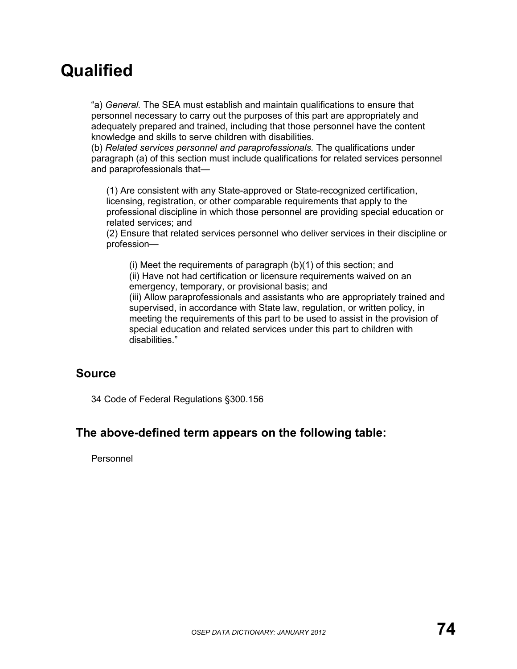# **Qualified**

"a) *General.* The SEA must establish and maintain qualifications to ensure that personnel necessary to carry out the purposes of this part are appropriately and adequately prepared and trained, including that those personnel have the content knowledge and skills to serve children with disabilities.

(b) *Related services personnel and paraprofessionals.* The qualifications under paragraph (a) of this section must include qualifications for related services personnel and paraprofessionals that—

(1) Are consistent with any State-approved or State-recognized certification, licensing, registration, or other comparable requirements that apply to the professional discipline in which those personnel are providing special education or related services; and

(2) Ensure that related services personnel who deliver services in their discipline or profession—

(i) Meet the requirements of paragraph (b)(1) of this section; and (ii) Have not had certification or licensure requirements waived on an emergency, temporary, or provisional basis; and

(iii) Allow paraprofessionals and assistants who are appropriately trained and supervised, in accordance with State law, regulation, or written policy, in meeting the requirements of this part to be used to assist in the provision of special education and related services under this part to children with disabilities."

### **Source**

34 Code of Federal Regulations §300.156

### **The above-defined term appears on the following table:**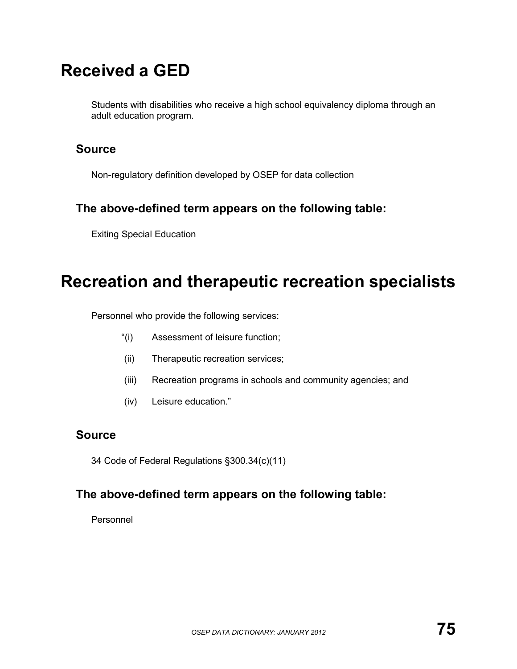# **Received a GED**

Students with disabilities who receive a high school equivalency diploma through an adult education program.

### **Source**

Non-regulatory definition developed by OSEP for data collection

## **The above-defined term appears on the following table:**

Exiting Special Education

## **Recreation and therapeutic recreation specialists**

Personnel who provide the following services:

- "(i) Assessment of leisure function;
- (ii) Therapeutic recreation services;
- (iii) Recreation programs in schools and community agencies; and
- (iv) Leisure education."

### **Source**

34 Code of Federal Regulations §300.34(c)(11)

### **The above-defined term appears on the following table:**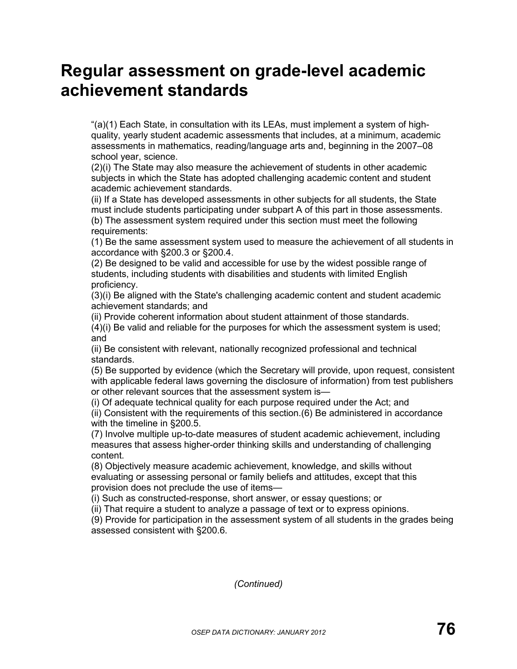## **Regular assessment on grade-level academic achievement standards**

"(a)(1) Each State, in consultation with its LEAs, must implement a system of highquality, yearly student academic assessments that includes, at a minimum, academic assessments in mathematics, reading/language arts and, beginning in the 2007–08 school year, science.

(2)(i) The State may also measure the achievement of students in other academic subjects in which the State has adopted challenging academic content and student academic achievement standards.

(ii) If a State has developed assessments in other subjects for all students, the State must include students participating under subpart A of this part in those assessments. (b) The assessment system required under this section must meet the following requirements:

(1) Be the same assessment system used to measure the achievement of all students in accordance with §200.3 or §200.4.

(2) Be designed to be valid and accessible for use by the widest possible range of students, including students with disabilities and students with limited English proficiency.

(3)(i) Be aligned with the State's challenging academic content and student academic achievement standards; and

(ii) Provide coherent information about student attainment of those standards.

(4)(i) Be valid and reliable for the purposes for which the assessment system is used; and

(ii) Be consistent with relevant, nationally recognized professional and technical standards.

(5) Be supported by evidence (which the Secretary will provide, upon request, consistent with applicable federal laws governing the disclosure of information) from test publishers or other relevant sources that the assessment system is—

(i) Of adequate technical quality for each purpose required under the Act; and

(ii) Consistent with the requirements of this section.(6) Be administered in accordance with the timeline in §200.5.

(7) Involve multiple up-to-date measures of student academic achievement, including measures that assess higher-order thinking skills and understanding of challenging content.

(8) Objectively measure academic achievement, knowledge, and skills without evaluating or assessing personal or family beliefs and attitudes, except that this provision does not preclude the use of items—

(i) Such as constructed-response, short answer, or essay questions; or

(ii) That require a student to analyze a passage of text or to express opinions.

(9) Provide for participation in the assessment system of all students in the grades being assessed consistent with §200.6.

*(Continued)*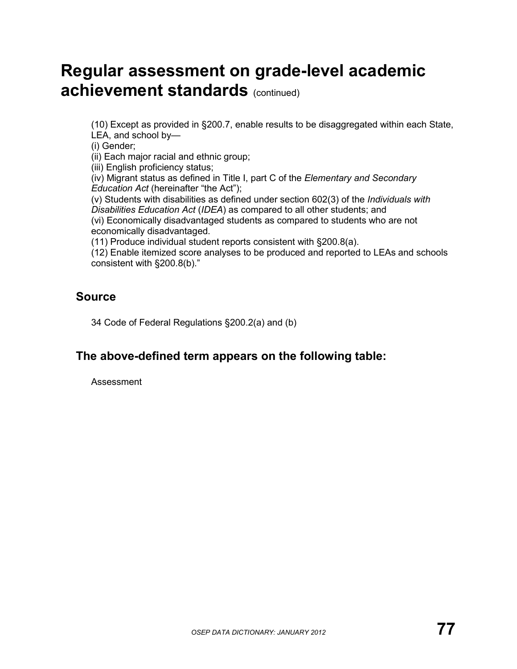# **Regular assessment on grade-level academic achievement standards (continued)**

(10) Except as provided in §200.7, enable results to be disaggregated within each State, LEA, and school by—

(i) Gender;

(ii) Each major racial and ethnic group;

(iii) English proficiency status;

(iv) Migrant status as defined in Title I, part C of the *Elementary and Secondary Education Act* (hereinafter "the Act");

(v) Students with disabilities as defined under section 602(3) of the *Individuals with Disabilities Education Act* (*IDEA*) as compared to all other students; and (vi) Economically disadvantaged students as compared to students who are not economically disadvantaged.

(11) Produce individual student reports consistent with §200.8(a).

(12) Enable itemized score analyses to be produced and reported to LEAs and schools consistent with §200.8(b)."

### **Source**

34 Code of Federal Regulations §200.2(a) and (b)

### **The above-defined term appears on the following table:**

Assessment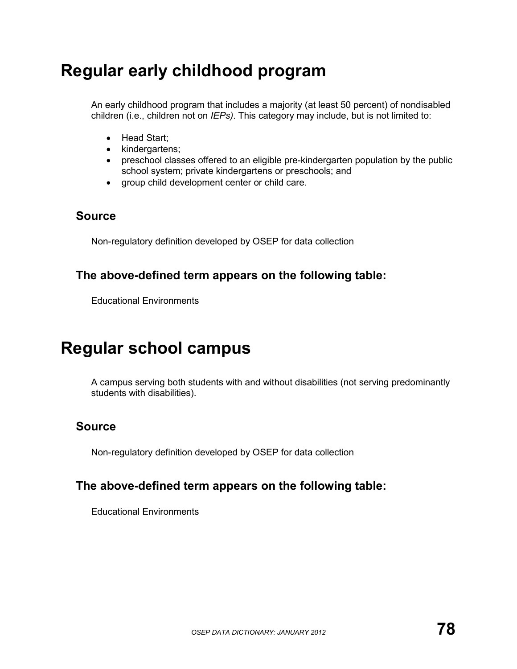# **Regular early childhood program**

An early childhood program that includes a majority (at least 50 percent) of nondisabled children (i.e., children not on *IEPs)*. This category may include, but is not limited to:

- Head Start;
- kindergartens;
- preschool classes offered to an eligible pre-kindergarten population by the public school system; private kindergartens or preschools; and
- group child development center or child care.

### **Source**

Non-regulatory definition developed by OSEP for data collection

### **The above-defined term appears on the following table:**

Educational Environments

## **Regular school campus**

A campus serving both students with and without disabilities (not serving predominantly students with disabilities).

### **Source**

Non-regulatory definition developed by OSEP for data collection

### **The above-defined term appears on the following table:**

Educational Environments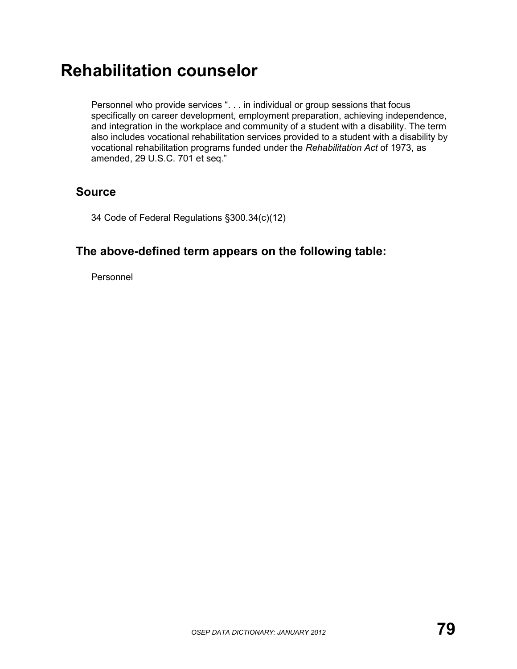# **Rehabilitation counselor**

Personnel who provide services ". . . in individual or group sessions that focus specifically on career development, employment preparation, achieving independence, and integration in the workplace and community of a student with a disability. The term also includes vocational rehabilitation services provided to a student with a disability by vocational rehabilitation programs funded under the *Rehabilitation Act* of 1973, as amended, 29 U.S.C. 701 et seq."

### **Source**

34 Code of Federal Regulations §300.34(c)(12)

### **The above-defined term appears on the following table:**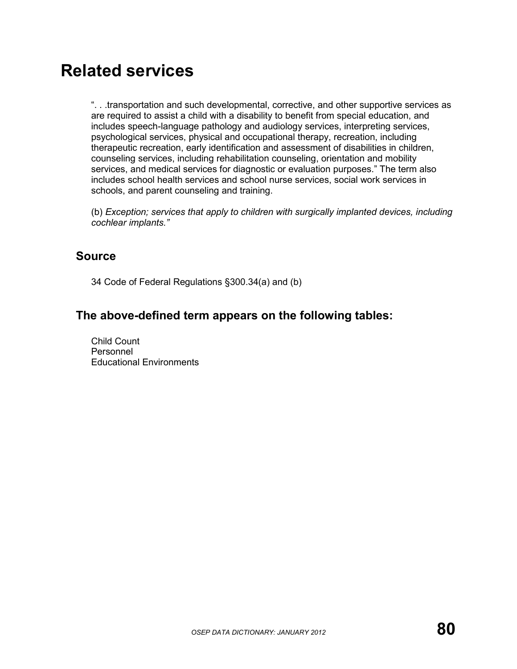## **Related services**

". . .transportation and such developmental, corrective, and other supportive services as are required to assist a child with a disability to benefit from special education, and includes speech-language pathology and audiology services, interpreting services, psychological services, physical and occupational therapy, recreation, including therapeutic recreation, early identification and assessment of disabilities in children, counseling services, including rehabilitation counseling, orientation and mobility services, and medical services for diagnostic or evaluation purposes." The term also includes school health services and school nurse services, social work services in schools, and parent counseling and training.

(b) *Exception; services that apply to children with surgically implanted devices, including cochlear implants."*

#### **Source**

34 Code of Federal Regulations §300.34(a) and (b)

### **The above-defined term appears on the following tables:**

Child Count Personnel Educational Environments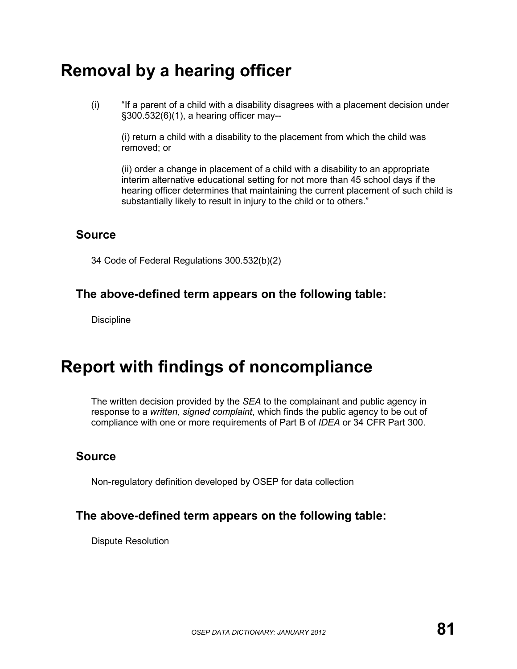# **Removal by a hearing officer**

(i) "If a parent of a child with a disability disagrees with a placement decision under §300.532(6)(1), a hearing officer may--

(i) return a child with a disability to the placement from which the child was removed; or

(ii) order a change in placement of a child with a disability to an appropriate interim alternative educational setting for not more than 45 school days if the hearing officer determines that maintaining the current placement of such child is substantially likely to result in injury to the child or to others."

#### **Source**

34 Code of Federal Regulations 300.532(b)(2)

### **The above-defined term appears on the following table:**

**Discipline** 

## **Report with findings of noncompliance**

The written decision provided by the *SEA* to the complainant and public agency in response to a *written, signed complaint*, which finds the public agency to be out of compliance with one or more requirements of Part B of *IDEA* or 34 CFR Part 300.

### **Source**

Non-regulatory definition developed by OSEP for data collection

### **The above-defined term appears on the following table:**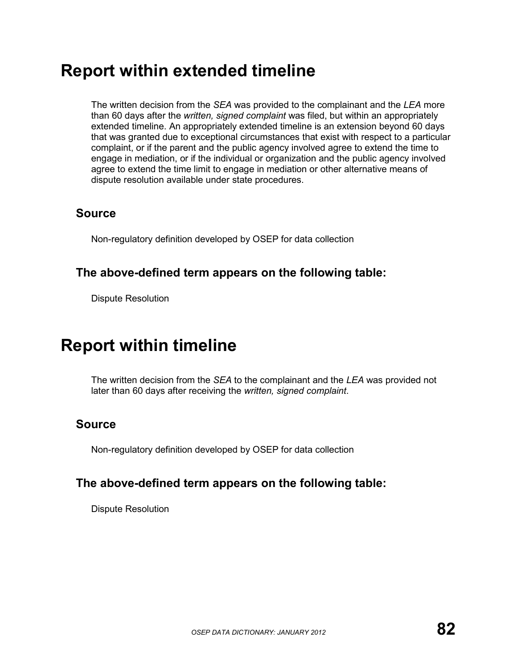## **Report within extended timeline**

The written decision from the *SEA* was provided to the complainant and the *LEA* more than 60 days after the *written, signed complaint* was filed, but within an appropriately extended timeline. An appropriately extended timeline is an extension beyond 60 days that was granted due to exceptional circumstances that exist with respect to a particular complaint, or if the parent and the public agency involved agree to extend the time to engage in mediation, or if the individual or organization and the public agency involved agree to extend the time limit to engage in mediation or other alternative means of dispute resolution available under state procedures.

### **Source**

Non-regulatory definition developed by OSEP for data collection

### **The above-defined term appears on the following table:**

Dispute Resolution

## **Report within timeline**

The written decision from the *SEA* to the complainant and the *LEA* was provided not later than 60 days after receiving the *written, signed complaint*.

## **Source**

Non-regulatory definition developed by OSEP for data collection

### **The above-defined term appears on the following table:**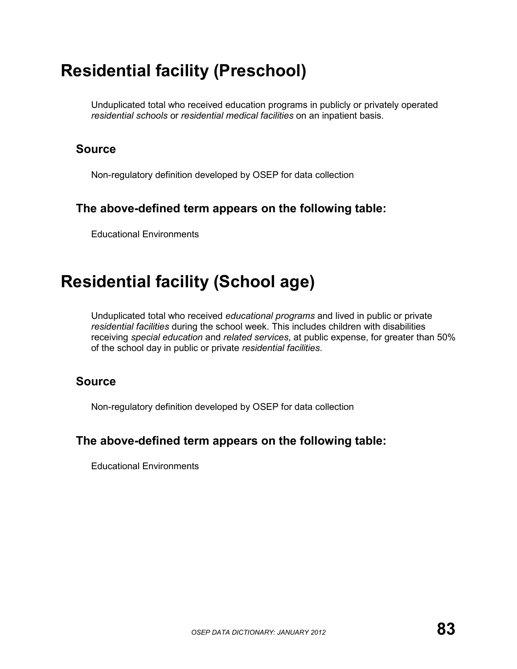# **Residential facility (Preschool)**

Unduplicated total who received education programs in publicly or privately operated *residential schools* or *residential medical facilities* on an inpatient basis.

### **Source**

Non-regulatory definition developed by OSEP for data collection

## **The above-defined term appears on the following table:**

Educational Environments

# **Residential facility (School age)**

Unduplicated total who received *educational programs* and lived in public or private *residential facilities* during the school week. This includes children with disabilities receiving *special education* and *related services*, at public expense, for greater than 50% of the school day in public or private *residential facilities*.

### **Source**

Non-regulatory definition developed by OSEP for data collection

### **The above-defined term appears on the following table:**

Educational Environments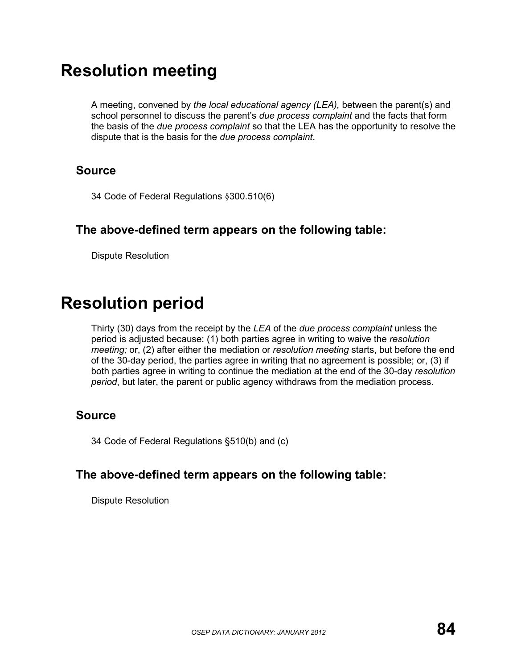# **Resolution meeting**

A meeting, convened by *the local educational agency (LEA),* between the parent(s) and school personnel to discuss the parent's *due process complaint* and the facts that form the basis of the *due process complaint* so that the LEA has the opportunity to resolve the dispute that is the basis for the *due process complaint*.

### **Source**

34 Code of Federal Regulations §300.510(6)

### **The above-defined term appears on the following table:**

Dispute Resolution

## **Resolution period**

Thirty (30) days from the receipt by the *LEA* of the *due process complaint* unless the period is adjusted because: (1) both parties agree in writing to waive the *resolution meeting;* or, (2) after either the mediation or *resolution meeting* starts, but before the end of the 30-day period, the parties agree in writing that no agreement is possible; or, (3) if both parties agree in writing to continue the mediation at the end of the 30-day *resolution period*, but later, the parent or public agency withdraws from the mediation process.

### **Source**

34 Code of Federal Regulations §510(b) and (c)

## **The above-defined term appears on the following table:**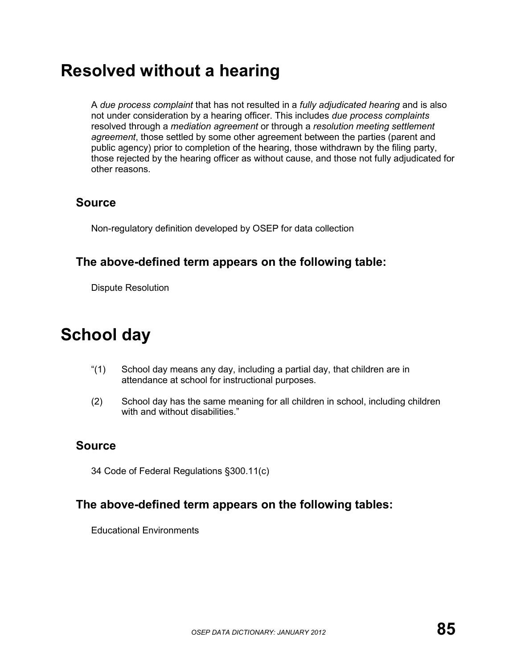## **Resolved without a hearing**

A *due process complaint* that has not resulted in a *fully adjudicated hearing* and is also not under consideration by a hearing officer. This includes *due process complaints*  resolved through a *mediation agreement* or through a *resolution meeting settlement agreement*, those settled by some other agreement between the parties (parent and public agency) prior to completion of the hearing, those withdrawn by the filing party, those rejected by the hearing officer as without cause, and those not fully adjudicated for other reasons.

### **Source**

Non-regulatory definition developed by OSEP for data collection

### **The above-defined term appears on the following table:**

Dispute Resolution

# **School day**

- "(1) School day means any day, including a partial day, that children are in attendance at school for instructional purposes.
- (2) School day has the same meaning for all children in school, including children with and without disabilities."

## **Source**

34 Code of Federal Regulations §300.11(c)

### **The above-defined term appears on the following tables:**

Educational Environments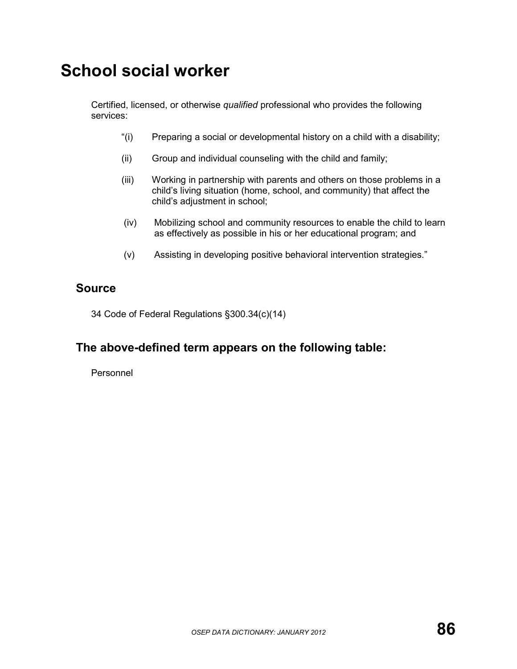# **School social worker**

Certified, licensed, or otherwise *qualified* professional who provides the following services:

- "(i) Preparing a social or developmental history on a child with a disability;
- (ii) Group and individual counseling with the child and family;
- (iii) Working in partnership with parents and others on those problems in a child's living situation (home, school, and community) that affect the child's adjustment in school;
- (iv) Mobilizing school and community resources to enable the child to learn as effectively as possible in his or her educational program; and
- (v) Assisting in developing positive behavioral intervention strategies."

#### **Source**

34 Code of Federal Regulations §300.34(c)(14)

## **The above-defined term appears on the following table:**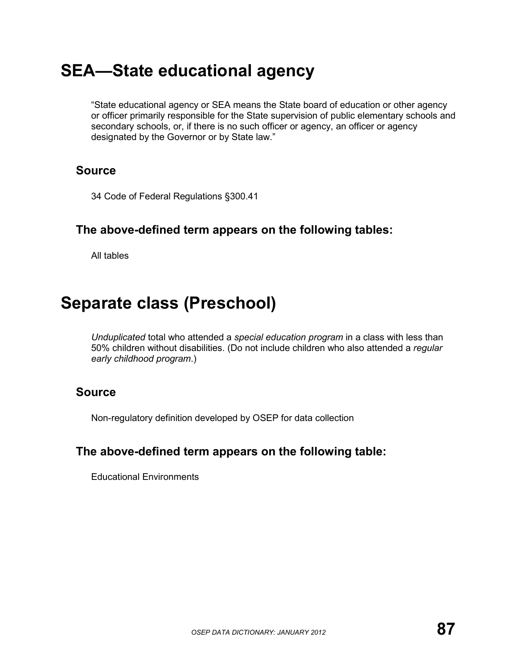## **SEA—State educational agency**

"State educational agency or SEA means the State board of education or other agency or officer primarily responsible for the State supervision of public elementary schools and secondary schools, or, if there is no such officer or agency, an officer or agency designated by the Governor or by State law."

### **Source**

34 Code of Federal Regulations §300.41

#### **The above-defined term appears on the following tables:**

All tables

## **Separate class (Preschool)**

*Unduplicated* total who attended a *special education program* in a class with less than 50% children without disabilities. (Do not include children who also attended a *regular early childhood program*.)

#### **Source**

Non-regulatory definition developed by OSEP for data collection

### **The above-defined term appears on the following table:**

Educational Environments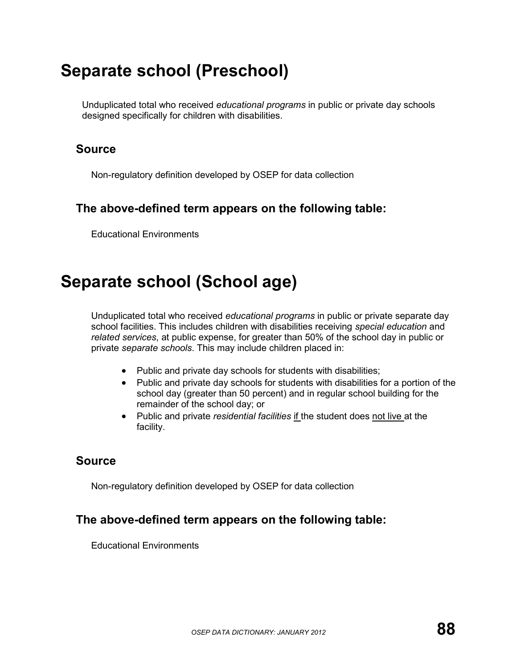# **Separate school (Preschool)**

Unduplicated total who received *educational programs* in public or private day schools designed specifically for children with disabilities.

### **Source**

Non-regulatory definition developed by OSEP for data collection

## **The above-defined term appears on the following table:**

Educational Environments

# **Separate school (School age)**

Unduplicated total who received *educational programs* in public or private separate day school facilities. This includes children with disabilities receiving *special education* and *related services*, at public expense, for greater than 50% of the school day in public or private *separate schools*. This may include children placed in:

- Public and private day schools for students with disabilities;
- Public and private day schools for students with disabilities for a portion of the school day (greater than 50 percent) and in regular school building for the remainder of the school day; or
- Public and private *residential facilities* if the student does not live at the facility.

## **Source**

Non-regulatory definition developed by OSEP for data collection

## **The above-defined term appears on the following table:**

Educational Environments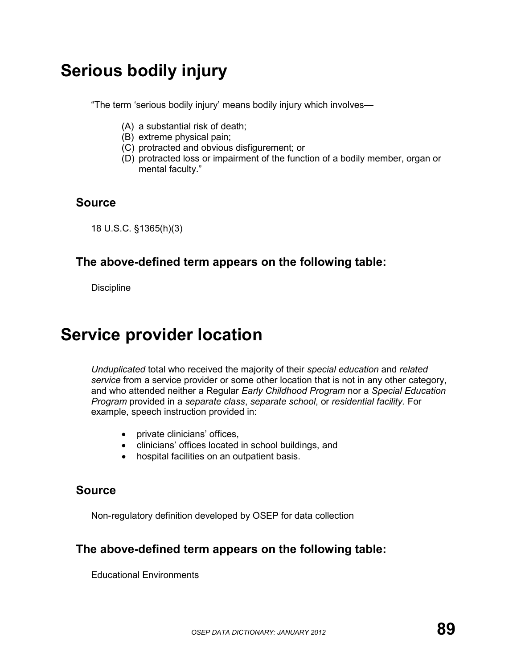# **Serious bodily injury**

"The term 'serious bodily injury' means bodily injury which involves—

- (A) a substantial risk of death;
- (B) extreme physical pain;
- (C) protracted and obvious disfigurement; or
- (D) protracted loss or impairment of the function of a bodily member, organ or mental faculty."

#### **Source**

18 U.S.C. §1365(h)(3)

#### **The above-defined term appears on the following table:**

**Discipline** 

## **Service provider location**

*Unduplicated* total who received the majority of their *special education* and *related service* from a service provider or some other location that is not in any other category, and who attended neither a Regular *Early Childhood Program* nor a *Special Education Program* provided in a *separate class*, *separate school*, or *residential facility.* For example, speech instruction provided in:

- private clinicians' offices,
- clinicians' offices located in school buildings, and
- hospital facilities on an outpatient basis.

#### **Source**

Non-regulatory definition developed by OSEP for data collection

#### **The above-defined term appears on the following table:**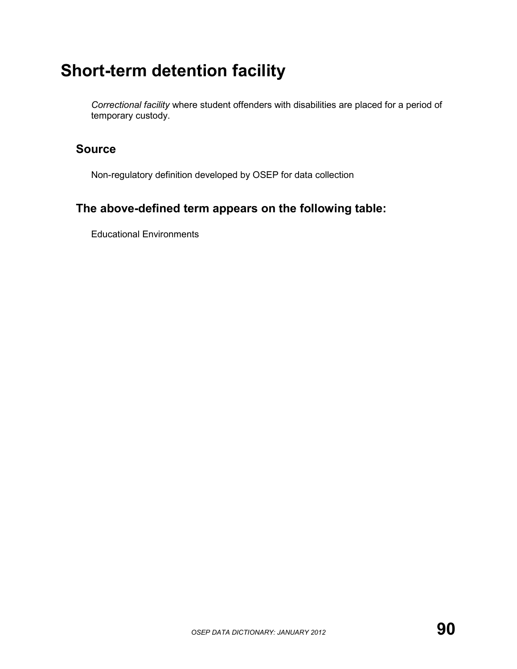# **Short-term detention facility**

*Correctional facility* where student offenders with disabilities are placed for a period of temporary custody.

#### **Source**

Non-regulatory definition developed by OSEP for data collection

### **The above-defined term appears on the following table:**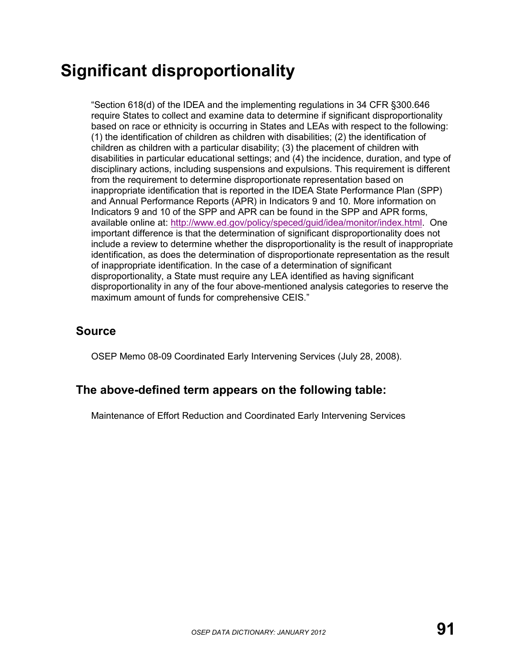# **Significant disproportionality**

"Section 618(d) of the IDEA and the implementing regulations in 34 CFR §300.646 require States to collect and examine data to determine if significant disproportionality based on race or ethnicity is occurring in States and LEAs with respect to the following: (1) the identification of children as children with disabilities; (2) the identification of children as children with a particular disability; (3) the placement of children with disabilities in particular educational settings; and (4) the incidence, duration, and type of disciplinary actions, including suspensions and expulsions. This requirement is different from the requirement to determine disproportionate representation based on inappropriate identification that is reported in the IDEA State Performance Plan (SPP) and Annual Performance Reports (APR) in Indicators 9 and 10. More information on Indicators 9 and 10 of the SPP and APR can be found in the SPP and APR forms, available online at: [http://www.ed.gov/policy/speced/guid/idea/monitor/index.html.](http://www.ed.gov/policy/speced/guid/idea/monitor/index.html) One important difference is that the determination of significant disproportionality does not include a review to determine whether the disproportionality is the result of inappropriate identification, as does the determination of disproportionate representation as the result of inappropriate identification. In the case of a determination of significant disproportionality, a State must require any LEA identified as having significant disproportionality in any of the four above-mentioned analysis categories to reserve the maximum amount of funds for comprehensive CEIS."

### **Source**

OSEP Memo 08-09 Coordinated Early Intervening Services (July 28, 2008).

#### **The above-defined term appears on the following table:**

Maintenance of Effort Reduction and Coordinated Early Intervening Services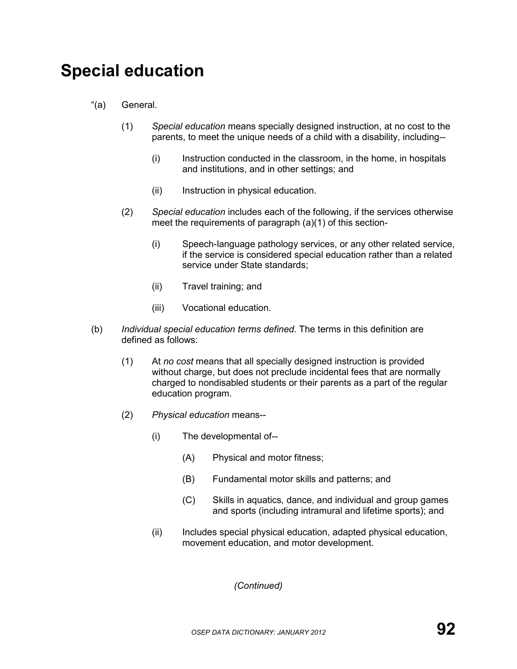# **Special education**

- "(a) General.
	- (1) *Special education* means specially designed instruction, at no cost to the parents, to meet the unique needs of a child with a disability, including--
		- (i) Instruction conducted in the classroom, in the home, in hospitals and institutions, and in other settings; and
		- (ii) Instruction in physical education.
	- (2) *Special education* includes each of the following, if the services otherwise meet the requirements of paragraph (a)(1) of this section-
		- (i) Speech-language pathology services, or any other related service, if the service is considered special education rather than a related service under State standards;
		- (ii) Travel training; and
		- (iii) Vocational education.
- (b) *Individual special education terms defined*. The terms in this definition are defined as follows:
	- (1) At *no cost* means that all specially designed instruction is provided without charge, but does not preclude incidental fees that are normally charged to nondisabled students or their parents as a part of the regular education program.
	- (2) *Physical education* means--
		- (i) The developmental of--
			- (A) Physical and motor fitness;
			- (B) Fundamental motor skills and patterns; and
			- (C) Skills in aquatics, dance, and individual and group games and sports (including intramural and lifetime sports); and
		- (ii) Includes special physical education, adapted physical education, movement education, and motor development.

*(Continued)*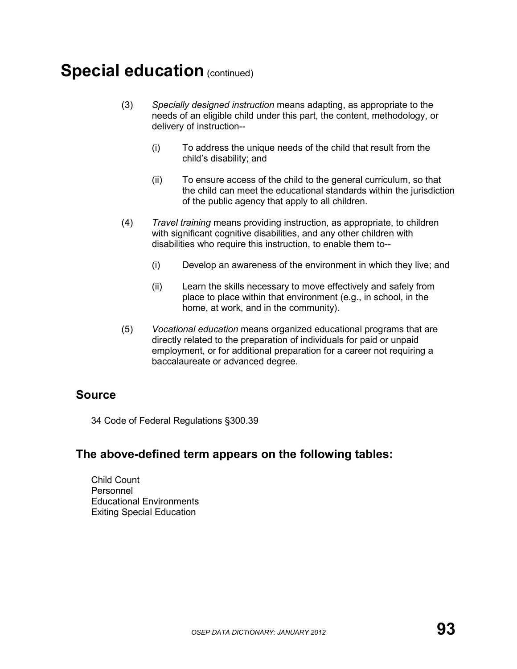## **Special education (continued)**

- (3) *Specially designed instruction* means adapting, as appropriate to the needs of an eligible child under this part, the content, methodology, or delivery of instruction--
	- (i) To address the unique needs of the child that result from the child's disability; and
	- (ii) To ensure access of the child to the general curriculum, so that the child can meet the educational standards within the jurisdiction of the public agency that apply to all children.
- (4) *Travel training* means providing instruction, as appropriate, to children with significant cognitive disabilities, and any other children with disabilities who require this instruction, to enable them to--
	- (i) Develop an awareness of the environment in which they live; and
	- (ii) Learn the skills necessary to move effectively and safely from place to place within that environment (e.g., in school, in the home, at work, and in the community).
- (5) *Vocational education* means organized educational programs that are directly related to the preparation of individuals for paid or unpaid employment, or for additional preparation for a career not requiring a baccalaureate or advanced degree.

#### **Source**

34 Code of Federal Regulations §300.39

#### **The above-defined term appears on the following tables:**

Child Count Personnel Educational Environments Exiting Special Education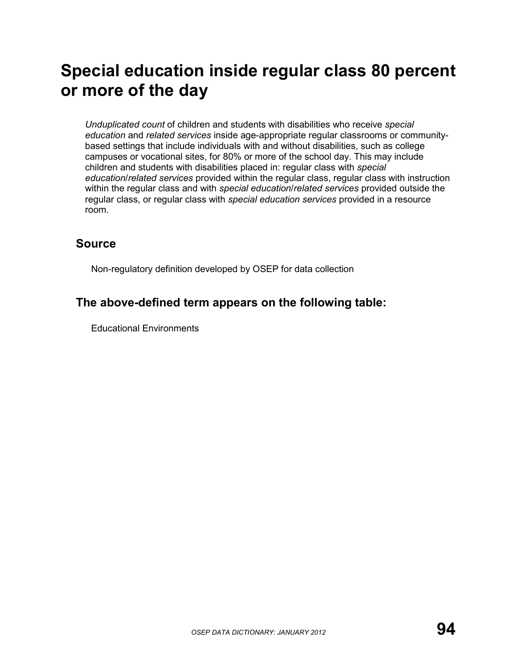# **Special education inside regular class 80 percent or more of the day**

*Unduplicated count* of children and students with disabilities who receive *special education* and *related services* inside age-appropriate regular classrooms or communitybased settings that include individuals with and without disabilities, such as college campuses or vocational sites, for 80% or more of the school day. This may include children and students with disabilities placed in: regular class with *special education*/*related services* provided within the regular class, regular class with instruction within the regular class and with *special education*/*related services* provided outside the regular class, or regular class with *special education services* provided in a resource room.

### **Source**

Non-regulatory definition developed by OSEP for data collection

#### **The above-defined term appears on the following table:**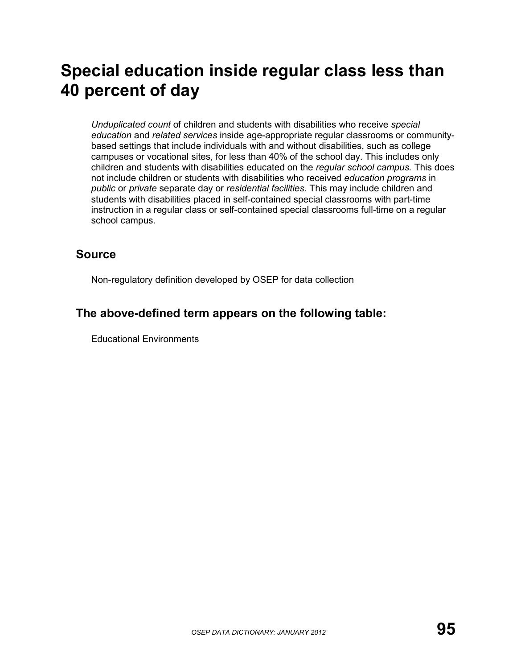# **Special education inside regular class less than 40 percent of day**

*Unduplicated count* of children and students with disabilities who receive *special education* and *related services* inside age-appropriate regular classrooms or communitybased settings that include individuals with and without disabilities, such as college campuses or vocational sites, for less than 40% of the school day. This includes only children and students with disabilities educated on the *regular school campus.* This does not include children or students with disabilities who received *education programs* in *public* or *private* separate day or *residential facilities.* This may include children and students with disabilities placed in self-contained special classrooms with part-time instruction in a regular class or self-contained special classrooms full-time on a regular school campus.

### **Source**

Non-regulatory definition developed by OSEP for data collection

### **The above-defined term appears on the following table:**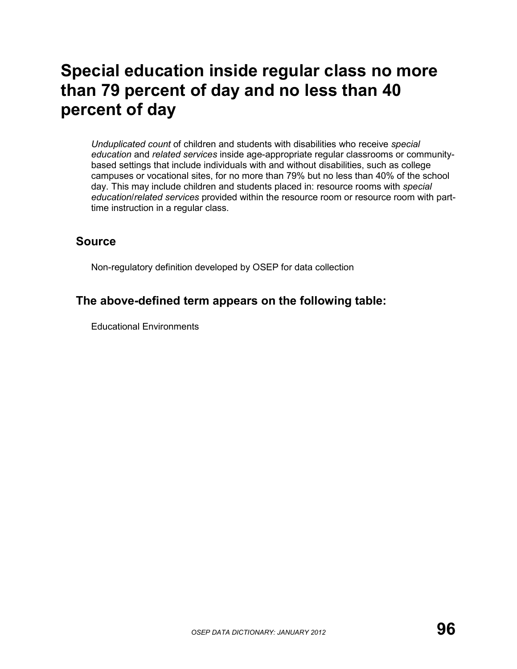# **Special education inside regular class no more than 79 percent of day and no less than 40 percent of day**

*Unduplicated count* of children and students with disabilities who receive *special education* and *related services* inside age-appropriate regular classrooms or communitybased settings that include individuals with and without disabilities, such as college campuses or vocational sites, for no more than 79% but no less than 40% of the school day. This may include children and students placed in: resource rooms with *special education*/*related services* provided within the resource room or resource room with parttime instruction in a regular class.

#### **Source**

Non-regulatory definition developed by OSEP for data collection

### **The above-defined term appears on the following table:**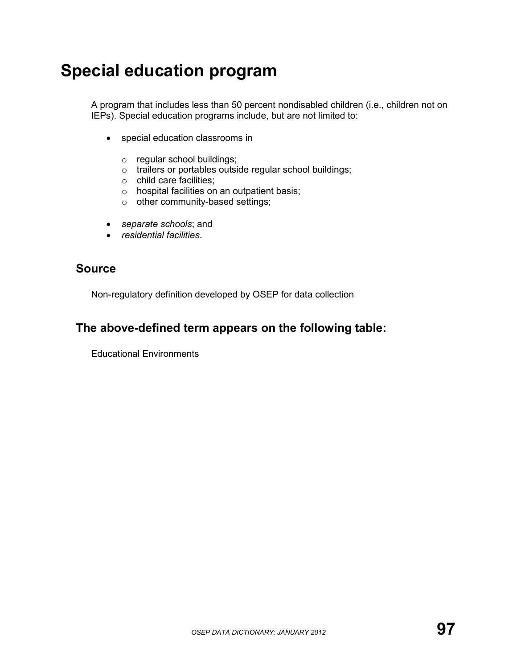# **Special education program**

A program that includes less than 50 percent nondisabled children (i.e., children not on IEPs). Special education programs include, but are not limited to:

- special education classrooms in
	- o regular school buildings;
	- o trailers or portables outside regular school buildings;
	- o child care facilities;
	- $\circ$  hospital facilities on an outpatient basis;
	- $\circ$  other community-based settings;
- *separate schools*; and
- *residential facilities*.

#### **Source**

Non-regulatory definition developed by OSEP for data collection

#### **The above-defined term appears on the following table:**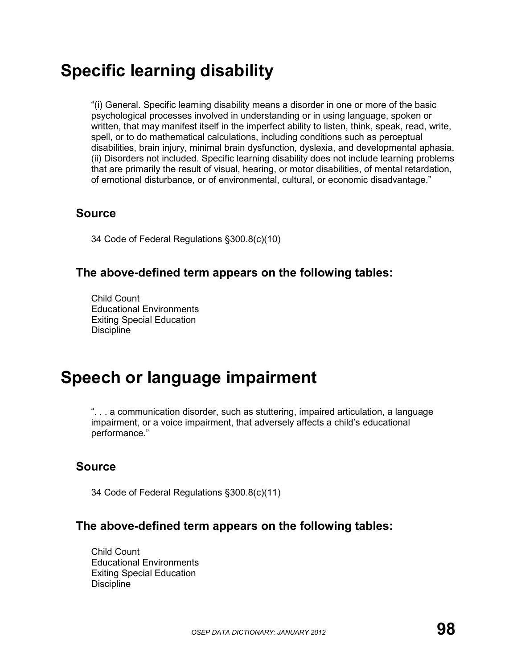# **Specific learning disability**

"(i) General. Specific learning disability means a disorder in one or more of the basic psychological processes involved in understanding or in using language, spoken or written, that may manifest itself in the imperfect ability to listen, think, speak, read, write, spell, or to do mathematical calculations, including conditions such as perceptual disabilities, brain injury, minimal brain dysfunction, dyslexia, and developmental aphasia. (ii) Disorders not included. Specific learning disability does not include learning problems that are primarily the result of visual, hearing, or motor disabilities, of mental retardation, of emotional disturbance, or of environmental, cultural, or economic disadvantage."

#### **Source**

34 Code of Federal Regulations §300.8(c)(10)

#### **The above-defined term appears on the following tables:**

Child Count Educational Environments Exiting Special Education **Discipline** 

## **Speech or language impairment**

". . . a communication disorder, such as stuttering, impaired articulation, a language impairment, or a voice impairment, that adversely affects a child's educational performance."

#### **Source**

34 Code of Federal Regulations §300.8(c)(11)

#### **The above-defined term appears on the following tables:**

Child Count Educational Environments Exiting Special Education **Discipline**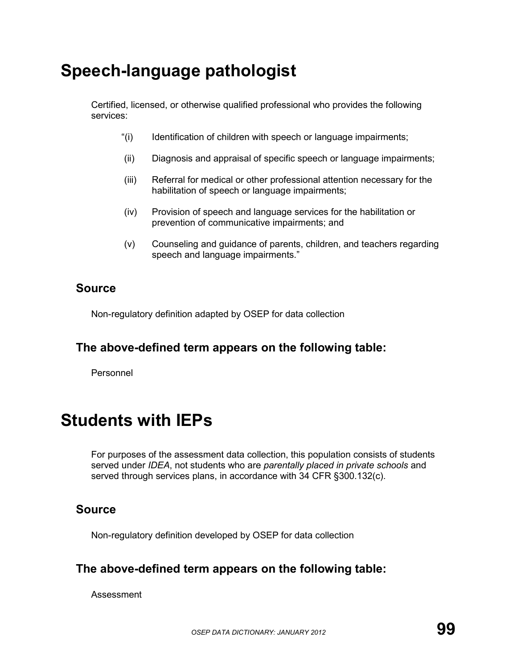# **Speech-language pathologist**

Certified, licensed, or otherwise qualified professional who provides the following services:

- "(i) Identification of children with speech or language impairments;
- (ii) Diagnosis and appraisal of specific speech or language impairments;
- (iii) Referral for medical or other professional attention necessary for the habilitation of speech or language impairments;
- (iv) Provision of speech and language services for the habilitation or prevention of communicative impairments; and
- (v) Counseling and guidance of parents, children, and teachers regarding speech and language impairments."

#### **Source**

Non-regulatory definition adapted by OSEP for data collection

#### **The above-defined term appears on the following table:**

Personnel

## **Students with IEPs**

For purposes of the assessment data collection, this population consists of students served under *IDEA*, not students who are *parentally placed in private schools* and served through services plans, in accordance with 34 CFR §300.132(c).

#### **Source**

Non-regulatory definition developed by OSEP for data collection

#### **The above-defined term appears on the following table:**

Assessment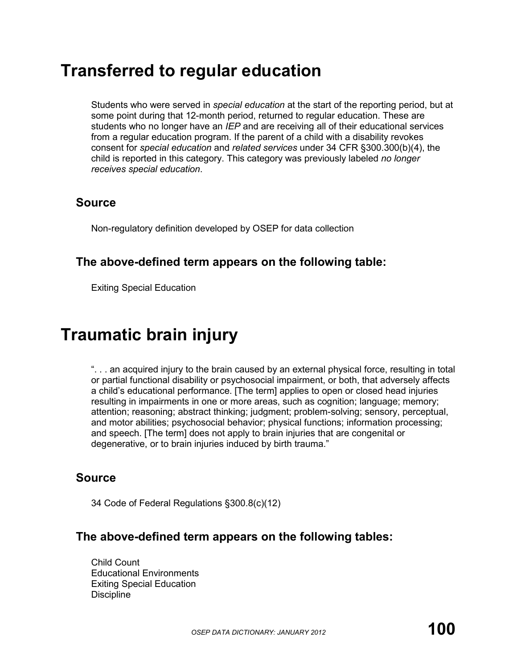## **Transferred to regular education**

Students who were served in *special education* at the start of the reporting period, but at some point during that 12-month period, returned to regular education. These are students who no longer have an *IEP* and are receiving all of their educational services from a regular education program. If the parent of a child with a disability revokes consent for *special education* and *related services* under 34 CFR §300.300(b)(4), the child is reported in this category. This category was previously labeled *no longer receives special education*.

#### **Source**

Non-regulatory definition developed by OSEP for data collection

### **The above-defined term appears on the following table:**

Exiting Special Education

# **Traumatic brain injury**

". . . an acquired injury to the brain caused by an external physical force, resulting in total or partial functional disability or psychosocial impairment, or both, that adversely affects a child's educational performance. [The term] applies to open or closed head injuries resulting in impairments in one or more areas, such as cognition; language; memory; attention; reasoning; abstract thinking; judgment; problem-solving; sensory, perceptual, and motor abilities; psychosocial behavior; physical functions; information processing; and speech. [The term] does not apply to brain injuries that are congenital or degenerative, or to brain injuries induced by birth trauma."

### **Source**

34 Code of Federal Regulations §300.8(c)(12)

#### **The above-defined term appears on the following tables:**

Child Count Educational Environments Exiting Special Education **Discipline**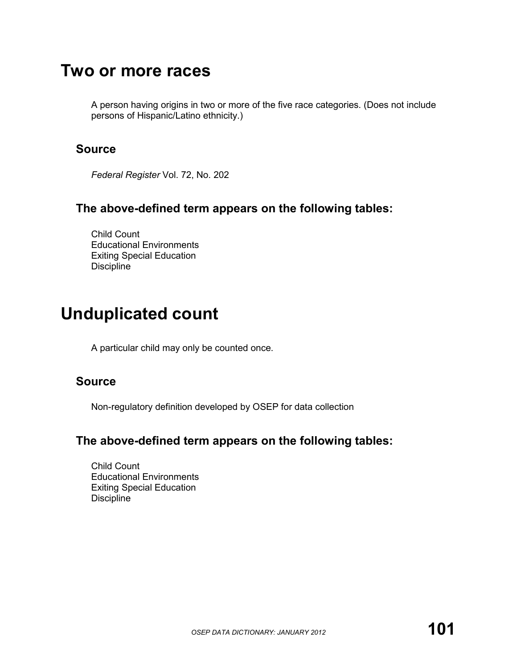## **Two or more races**

A person having origins in two or more of the five race categories. (Does not include persons of Hispanic/Latino ethnicity.)

#### **Source**

*Federal Register* Vol. 72, No. 202

#### **The above-defined term appears on the following tables:**

Child Count Educational Environments Exiting Special Education **Discipline** 

## **Unduplicated count**

A particular child may only be counted once.

#### **Source**

Non-regulatory definition developed by OSEP for data collection

#### **The above-defined term appears on the following tables:**

Child Count Educational Environments Exiting Special Education **Discipline**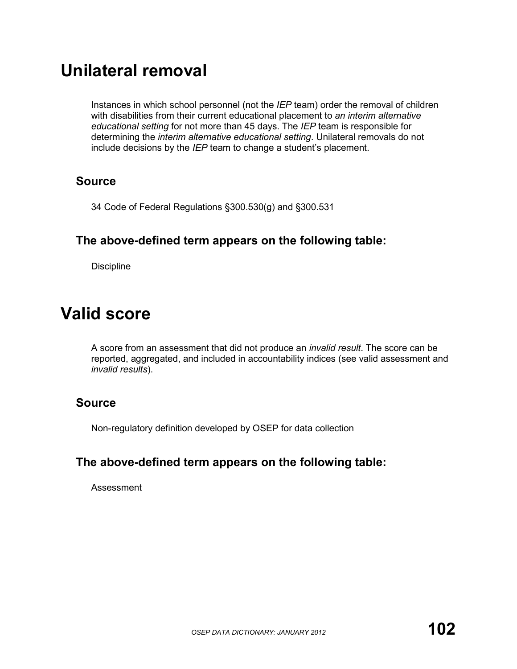## **Unilateral removal**

Instances in which school personnel (not the *IEP* team) order the removal of children with disabilities from their current educational placement to *an interim alternative educational setting* for not more than 45 days. The *IEP* team is responsible for determining the *interim alternative educational setting*. Unilateral removals do not include decisions by the *IEP* team to change a student's placement.

#### **Source**

34 Code of Federal Regulations §300.530(g) and §300.531

### **The above-defined term appears on the following table:**

**Discipline** 

## **Valid score**

A score from an assessment that did not produce an *invalid result*. The score can be reported, aggregated, and included in accountability indices (see valid assessment and *invalid results*).

#### **Source**

Non-regulatory definition developed by OSEP for data collection

### **The above-defined term appears on the following table:**

Assessment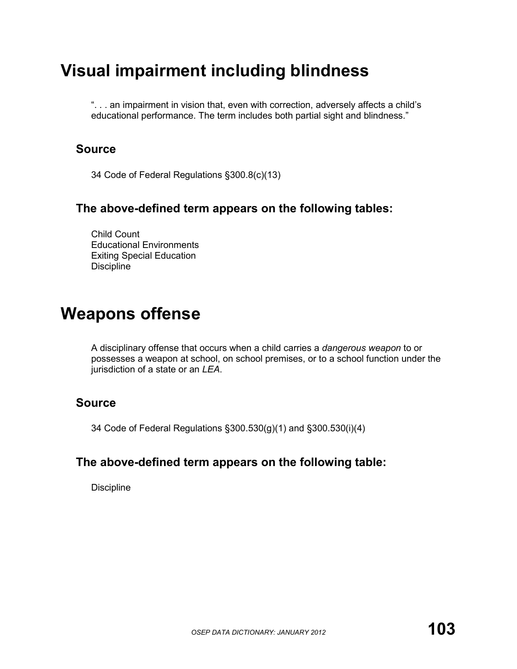# **Visual impairment including blindness**

". . . an impairment in vision that, even with correction, adversely affects a child's educational performance. The term includes both partial sight and blindness."

### **Source**

34 Code of Federal Regulations §300.8(c)(13)

#### **The above-defined term appears on the following tables:**

Child Count Educational Environments Exiting Special Education **Discipline** 

## **Weapons offense**

A disciplinary offense that occurs when a child carries a *dangerous weapon* to or possesses a weapon at school, on school premises, or to a school function under the jurisdiction of a state or an *LEA*.

#### **Source**

34 Code of Federal Regulations §300.530(g)(1) and §300.530(i)(4)

#### **The above-defined term appears on the following table:**

Discipline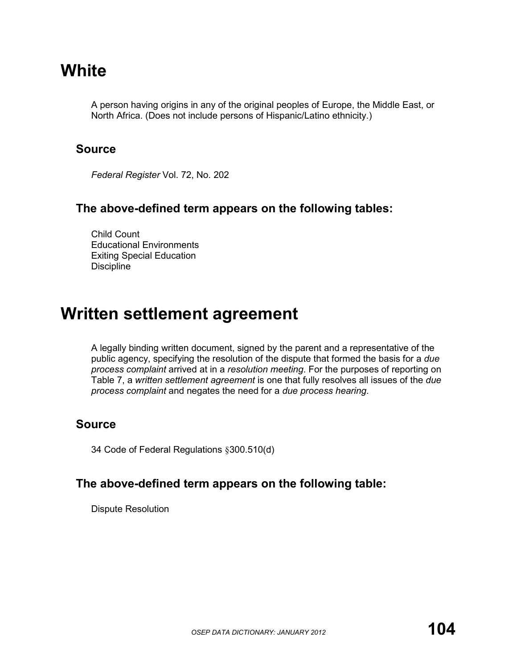## **White**

A person having origins in any of the original peoples of Europe, the Middle East, or North Africa. (Does not include persons of Hispanic/Latino ethnicity.)

#### **Source**

*Federal Register* Vol. 72, No. 202

#### **The above-defined term appears on the following tables:**

Child Count Educational Environments Exiting Special Education **Discipline** 

## **Written settlement agreement**

A legally binding written document, signed by the parent and a representative of the public agency, specifying the resolution of the dispute that formed the basis for a *due process complaint* arrived at in a *resolution meeting*. For the purposes of reporting on Table 7, a *written settlement agreement* is one that fully resolves all issues of the *due process complaint* and negates the need for a *due process hearing*.

#### **Source**

34 Code of Federal Regulations §300.510(d)

#### **The above-defined term appears on the following table:**

Dispute Resolution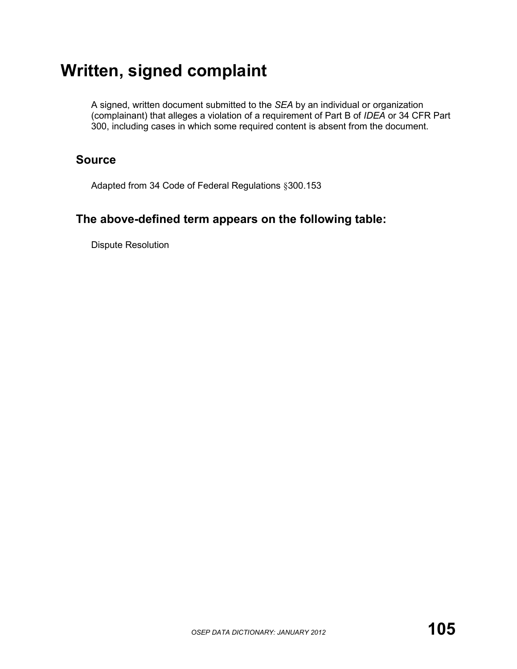# **Written, signed complaint**

A signed, written document submitted to the *SEA* by an individual or organization (complainant) that alleges a violation of a requirement of Part B of *IDEA* or 34 CFR Part 300, including cases in which some required content is absent from the document.

### **Source**

Adapted from 34 Code of Federal Regulations §300.153

### **The above-defined term appears on the following table:**

Dispute Resolution